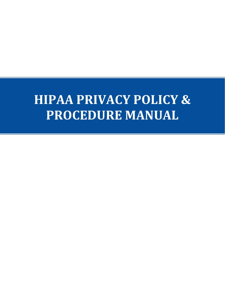# **HIPAA PRIVACY POLICY & PROCEDURE MANUAL**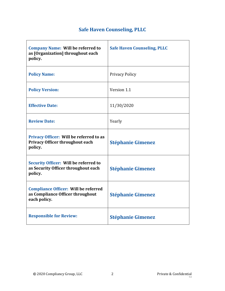# **Safe Haven Counseling, PLLC**

| <b>Company Name: Will be referred to</b><br>as [Organization] throughout each<br>policy.        | <b>Safe Haven Counseling, PLLC</b> |
|-------------------------------------------------------------------------------------------------|------------------------------------|
| <b>Policy Name:</b>                                                                             | <b>Privacy Policy</b>              |
| <b>Policy Version:</b>                                                                          | Version 1.1                        |
| <b>Effective Date:</b>                                                                          | 11/30/2020                         |
| <b>Review Date:</b>                                                                             | Yearly                             |
| Privacy Officer: Will be referred to as<br><b>Privacy Officer throughout each</b><br>policy.    | <b>Stéphanie Gimenez</b>           |
| <b>Security Officer: Will be referred to</b><br>as Security Officer throughout each<br>policy.  | <b>Stéphanie Gimenez</b>           |
| <b>Compliance Officer: Will be referred</b><br>as Compliance Officer throughout<br>each policy. | <b>Stéphanie Gimenez</b>           |
| <b>Responsible for Review:</b>                                                                  | <b>Stéphanie Gimenez</b>           |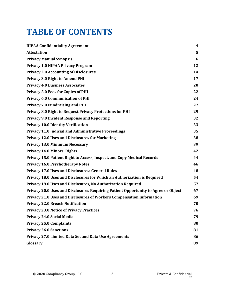# **TABLE OF CONTENTS**

| <b>HIPAA Confidentiality Agreement</b>                                             | $\overline{\mathbf{4}}$ |
|------------------------------------------------------------------------------------|-------------------------|
| <b>Attestation</b>                                                                 | 5                       |
| <b>Privacy Manual Synopsis</b>                                                     | 6                       |
| <b>Privacy 1.0 HIPAA Privacy Program</b>                                           | 12                      |
| <b>Privacy 2.0 Accounting of Disclosures</b>                                       | 14                      |
| <b>Privacy 3.0 Right to Amend PHI</b>                                              | 17                      |
| <b>Privacy 4.0 Business Associates</b>                                             | 20                      |
| <b>Privacy 5.0 Fees for Copies of PHI</b>                                          | 22                      |
| <b>Privacy 6.0 Communication of PHI</b>                                            | 24                      |
| <b>Privacy 7.0 Fundraising and PHI</b>                                             | 27                      |
| <b>Privacy 8.0 Right to Request Privacy Protections for PHI</b>                    | 29                      |
| <b>Privacy 9.0 Incident Response and Reporting</b>                                 | 32                      |
| <b>Privacy 10.0 Identity Verification</b>                                          | 33                      |
| <b>Privacy 11.0 Judicial and Administrative Proceedings</b>                        | 35                      |
| <b>Privacy 12.0 Uses and Disclosures for Marketing</b>                             | 38                      |
| <b>Privacy 13.0 Minimum Necessary</b>                                              | 39                      |
| <b>Privacy 14.0 Minors' Rights</b>                                                 | 42                      |
| Privacy 15.0 Patient Right to Access, Inspect, and Copy Medical Records            | 44                      |
| <b>Privacy 16.0 Psychotherapy Notes</b>                                            | 46                      |
| <b>Privacy 17.0 Uses and Disclosures: General Rules</b>                            | 48                      |
| Privacy 18.0 Uses and Disclosures for Which an Authorization is Required           | 54                      |
| Privacy 19.0 Uses and Disclosures, No Authorization Required                       | 57                      |
| Privacy 20.0 Uses and Disclosures Requiring Patient Opportunity to Agree or Object | 67                      |
| Privacy 21.0 Uses and Disclosures of Workers Compensation Information              | 69                      |
| <b>Privacy 22.0 Breach Notification</b>                                            | 70                      |
| <b>Privacy 23.0 Notice of Privacy Practices</b>                                    | 76                      |
| <b>Privacy 24.0 Social Media</b>                                                   | 79                      |
| <b>Privacy 25.0 Complaints</b>                                                     | 80                      |
| <b>Privacy 26.0 Sanctions</b>                                                      | 81                      |
| <b>Privacy 27.0 Limited Data Set and Data Use Agreements</b>                       | 86                      |
| Glossary                                                                           | 89                      |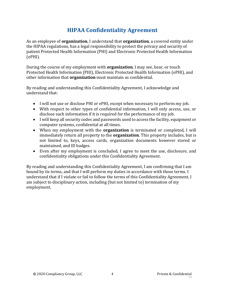# **HIPAA Confidentiality Agreement**

<span id="page-3-0"></span>As an employee of **organization**, I understand that **organization**, a covered entity under the HIPAA regulations, has a legal responsibility to protect the privacy and security of patient Protected Health Information (PHI) and Electronic Protected Health Information (ePHI).

During the course of my employment with **organization**, I may see, hear, or touch Protected Health Information (PHI), Electronic Protected Health Information (ePHI), and other information that **organization** must maintain as confidential.

By reading and understanding this Confidentiality Agreement, I acknowledge and understand that:

- I will not use or disclose PHI or ePHI, except when necessary to perform my job.
- With respect to other types of confidential information, I will only access, use, or disclose such information if it is required for the performance of my job.
- I will keep all security codes and passwords used to access the facility, equipment or computer systems, confidential at all times.
- When my employment with the **organization** is terminated or completed, I will immediately return all property to the **organization**. This property includes, but is not limited to, keys, access cards, organization documents however stored or maintained, and ID badges.
- Even after my employment is concluded, I agree to meet the use, disclosure, and confidentiality obligations under this Confidentiality Agreement.

By reading and understanding this Confidentiality Agreement, I am confirming that I am bound by its terms, and that I will perform my duties in accordance with those terms. I understand that if I violate or fail to follow the terms of this Confidentiality Agreement, I am subject to disciplinary action, including (but not limited to) termination of my employment.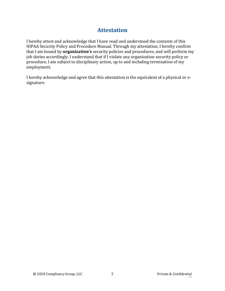# **Attestation**

<span id="page-4-0"></span>I hereby attest and acknowledge that I have read and understood the contents of this HIPAA Security Policy and Procedure Manual. Through my attestation, I hereby confirm that I am bound by **organization's** security policies and procedures, and will perform my job duties accordingly. I understand that if I violate any organization security policy or procedure, I am subject to disciplinary action, up to and including termination of my employment.

I hereby acknowledge and agree that this attestation is the equivalent of a physical or esignature.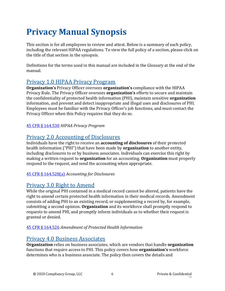# <span id="page-5-0"></span>**Privacy Manual Synopsis**

This section is for all employees to review and attest. Below is a summary of each policy, including the relevant HIPAA regulations. To view the full policy of a section, please click on the title of that section in the synopsis.

Definitions for the terms used in this manual are included in the Glossary at the end of the manual.

# [Privacy 1.0 HIPAA Privacy Program](#page-11-0)

**Organization's** Privacy Officer oversees **organization's** compliance with the HIPAA Privacy Rule. The Privacy Officer oversees **organization's** efforts to secure and maintain the confidentiality of protected health information (PHI), maintain sensitive **organization** information, and prevent and detect inappropriate and illegal uses and disclosures of PHI. Employees must be familiar with the Privacy Officer's job functions, and must contact the Privacy Officer when this Policy requires that they do so.

### 45 CFR § [164.530](https://gov.ecfr.io/cgi-bin/retrieveECFR?gp=&SID=15863a3e461afc3dc98e0da4885434cc&mc=true&n=sp45.2.164.e&r=SUBPART&ty=HTML#se45.2.164_1530) *HIPAA Privacy Program*

# Privacy 2.0 Accounting of Disclosures

Individuals have the right to receive an **accounting of disclosures** of their protected health information ("PHI") that have been made by **organization** to another entity, including disclosures to or by business associates. Individuals can exercise this right by making a written request to **organization** for an accounting. **Organization** must properly respond to the request, and send the accounting when appropriate.

### [45 CFR § 164.528\(a\)](https://gov.ecfr.io/cgi-bin/retrieveECFR?gp=&SID=15863a3e461afc3dc98e0da4885434cc&mc=true&n=sp45.2.164.e&r=SUBPART&ty=HTML#se45.2.164_1528) *Accounting for Disclosures*

# [Privacy 3.0 Right to Amend](#page-16-0)

While the original PHI contained in a medical record cannot be altered, patients have the right to amend certain protected health information in their medical records. Amendment consists of adding PHI to an existing record, or supplementing a record by, for example, submitting a second opinion. **Organization** and its workforce shall promptly respond to requests to amend PHI, and promptly inform individuals as to whether their request is granted or denied.

### [45 CFR § 164.526](https://gov.ecfr.io/cgi-bin/retrieveECFR?gp=&SID=15863a3e461afc3dc98e0da4885434cc&mc=true&n=sp45.2.164.e&r=SUBPART&ty=HTML#se45.2.164_1526) *Amendment of Protected Health Information*

# [Privacy 4.0 Business Associates](#page-19-0)

**Organization** relies on business associates, which are vendors that handle **organization** functions that require access to PHI. This policy covers how **organization's** workforce determines who is a business associate. The policy then covers the details and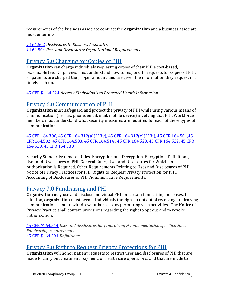requirements of the business associate contract the **organization** and a business associate must enter into.

[§ 164.502](https://gov.ecfr.io/cgi-bin/retrieveECFR?gp=&SID=15863a3e461afc3dc98e0da4885434cc&mc=true&n=sp45.2.164.e&r=SUBPART&ty=HTML#se45.2.164_1502) *Disclosures to Business Associates* [§ 164.504](https://gov.ecfr.io/cgi-bin/retrieveECFR?gp=&SID=15863a3e461afc3dc98e0da4885434cc&mc=true&r=SECTION&n=se45.2.164_1504) *Uses and Disclosures: Organizational Requirements*

# [Privacy 5.0 Charging for Copies of PHI](#page-21-0)

**Organization** can charge individuals requesting copies of their PHI a cost-based, reasonable fee. Employees must understand how to respond to requests for copies of PHI, so patients are charged the proper amount, and are given the information they request in a timely fashion.

45 CFR § [164.524](https://gov.ecfr.io/cgi-bin/retrieveECFR?gp=&SID=15863a3e461afc3dc98e0da4885434cc&mc=true&n=sp45.2.164.e&r=SUBPART&ty=HTML#se45.2.164_1524) *Access of Individuals to Protected Health Information*

# [Privacy 6.0 Communication of PHI](#page-23-0)

**Organization** must safeguard and protect the privacy of PHI while using various means of communication (i.e., fax, phone, email, mail, mobile device) involving that PHI. Workforce members must understand what security measures are required for each of these types of communication.

[45 CFR 164.306,](https://gov.ecfr.io/cgi-bin/retrieveECFR?gp=&SID=15863a3e461afc3dc98e0da4885434cc&mc=true&n=pt45.2.164&r=PART&ty=HTML#se45.2.164_1306) [45 CFR 164.312\(a\)\(2\)\(iv\),](https://gov.ecfr.io/cgi-bin/retrieveECFR?gp=&SID=15863a3e461afc3dc98e0da4885434cc&mc=true&n=pt45.2.164&r=PART&ty=HTML#se45.2.164_1312) [45 CFR 164.312\(e\)\(2\)\(ii\),](https://gov.ecfr.io/cgi-bin/retrieveECFR?gp=&SID=15863a3e461afc3dc98e0da4885434cc&mc=true&n=pt45.2.164&r=PART&ty=HTML#se45.2.164_1312) [45 CFR 164.501,](https://gov.ecfr.io/cgi-bin/text-idx?SID=a7c7a7ed6ddfb49f7200a9d84a925136&mc=true&node=se45.2.164_1501&rgn=div8)[45](https://gov.ecfr.io/cgi-bin/retrieveECFR?gp=&SID=15863a3e461afc3dc98e0da4885434cc&mc=true&r=SECTION&n=se45.2.164_1502)  [CFR 164.502,](https://gov.ecfr.io/cgi-bin/retrieveECFR?gp=&SID=15863a3e461afc3dc98e0da4885434cc&mc=true&r=SECTION&n=se45.2.164_1502) [45 CFR 164.508,](https://gov.ecfr.io/cgi-bin/retrieveECFR?gp=&SID=15863a3e461afc3dc98e0da4885434cc&mc=true&r=SECTION&n=se45.2.164_1508) [45 CFR 164.514](https://gov.ecfr.io/cgi-bin/retrieveECFR?gp=&SID=15863a3e461afc3dc98e0da4885434cc&mc=true&r=SECTION&n=se45.2.164_1514) [, 45 CFR 164.520,](https://gov.ecfr.io/cgi-bin/retrieveECFR?gp=&SID=15863a3e461afc3dc98e0da4885434cc&mc=true&n=sp45.2.164.e&r=SUBPART&ty=HTML#se45.2.164_1520) [45 CFR 164.522,](https://gov.ecfr.io/cgi-bin/retrieveECFR?gp=&SID=15863a3e461afc3dc98e0da4885434cc&mc=true&n=sp45.2.164.e&r=SUBPART&ty=HTML#se45.2.164_1522) [45 CFR](https://gov.ecfr.io/cgi-bin/retrieveECFR?gp=&SID=15863a3e461afc3dc98e0da4885434cc&mc=true&n=sp45.2.164.e&r=SUBPART&ty=HTML#se45.2.164_1528)  [164.528,](https://gov.ecfr.io/cgi-bin/retrieveECFR?gp=&SID=15863a3e461afc3dc98e0da4885434cc&mc=true&n=sp45.2.164.e&r=SUBPART&ty=HTML#se45.2.164_1528) [45 CFR 164.530](https://gov.ecfr.io/cgi-bin/retrieveECFR?gp=&SID=15863a3e461afc3dc98e0da4885434cc&mc=true&n=sp45.2.164.e&r=SUBPART&ty=HTML#se45.2.164_1530)

Security Standards: General Rules, Encryption and Decryption, Encryption, Definitions, Uses and Disclosures of PHI: General Rules, Uses and Disclosures for Which an Authorization is Required, Other Requirements Relating to Uses and Disclosures of PHI, Notice of Privacy Practices for PHI, Rights to Request Privacy Protection for PHI, Accounting of Disclosures of PHI, Administrative Requirements.

# [Privacy 7.0 Fundraising and PHI](#page-26-0)

**Organization** may use and disclose individual PHI for certain fundraising purposes. In addition, **organization** must permit individuals the right to opt out of receiving fundraising communications, and to withdraw authorizations permitting such activities. The Notice of Privacy Practice shall contain provisions regarding the right to opt out and to revoke authorization.

[45 CFR §164.514](https://gov.ecfr.io/cgi-bin/retrieveECFR?gp=&SID=15863a3e461afc3dc98e0da4885434cc&mc=true&n=pt45.2.164&r=PART&ty=HTML#se45.2.164_1514) *Uses and disclosures for fundraising & Implementation specifications: Fundraising requirements* [45 CFR §164.501](https://gov.ecfr.io/cgi-bin/text-idx?SID=a7c7a7ed6ddfb49f7200a9d84a925136&mc=true&node=se45.2.164_1501&rgn=div8) *Definitions*

# [Privacy 8.0 Right to Request Privacy Protections for PHI](#page-28-0)

**Organization** will honor patient requests to restrict uses and disclosures of PHI that are made to carry out treatment, payment, or health care operations, and that are made to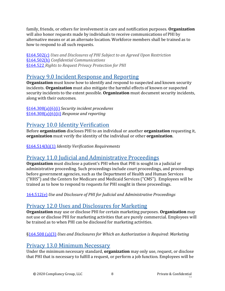family, friends, or others for involvement in care and notification purposes. **Organization** will also honor requests made by individuals to receive communications of PHI by alternative means or at an alternate location. Workforce members shall be trained as to how to respond to all such requests.

[§164.502\(c\)](https://gov.ecfr.io/cgi-bin/retrieveECFR?gp=&SID=15863a3e461afc3dc98e0da4885434cc&mc=true&r=SECTION&n=se45.2.164_1502) *Uses and Disclosures of PHI Subject to an Agreed Upon Restriction* [§164.502\(h\)](https://gov.ecfr.io/cgi-bin/retrieveECFR?gp=&SID=15863a3e461afc3dc98e0da4885434cc&mc=true&r=SECTION&n=se45.2.164_1502) *Confidential Communications* [§164.522](https://gov.ecfr.io/cgi-bin/retrieveECFR?gp=&SID=15863a3e461afc3dc98e0da4885434cc&mc=true&n=sp45.2.164.e&r=SUBPART&ty=HTML#se45.2.164_1522) *Rights to Request Privacy Protection for PHI*

# [Privacy 9.0 Incident Response and Reporting](#page-31-0)

**Organization** must know how to identify and respond to suspected and known security incidents. **Organization** must also mitigate the harmful effects of known or suspected security incidents to the extent possible. **Organization** must document security incidents, along with their outcomes.

[§164.308\(a\)\(6\)\(i\)](https://www.law.cornell.edu/cfr/text/45/164.308) *Security incident procedures* [§164.308\(a\)\(6\)\(ii\)](https://www.law.cornell.edu/cfr/text/45/164.308) *Response and reporting*

# [Privacy 10.0 Identity Verification](#page-32-0)

Before **organization** discloses PHI to an individual or another **organization** requesting it, **organization** must verify the identity of the individual or other **organization**.

[§164.514\(h\)\(1\)](https://gov.ecfr.io/cgi-bin/retrieveECFR?gp=&SID=15863a3e461afc3dc98e0da4885434cc&mc=true&n=pt45.2.164&r=PART&ty=HTML#se45.2.164_1514) *Identity Verification Requirements*

# [Privacy 11.0 Judicial and Administrative Proceedings](#page-34-0)

**Organization** must disclose a patient's PHI when that PHI is sought in a judicial or administrative proceeding. Such proceedings include court proceedings, and proceedings before government agencies, such as the Department of Health and Human Services ("HHS") and the Centers for Medicare and Medicaid Services ("CMS"). Employees will be trained as to how to respond to requests for PHI sought in these proceedings.

[164.512\(e\)](https://gov.ecfr.io/cgi-bin/retrieveECFR?gp=&SID=15863a3e461afc3dc98e0da4885434cc&mc=true&n=pt45.2.164&r=PART&ty=HTML#se45.2.164_1512) *Use and Disclosure of PHI for Judicial and Administrative Proceedings*

# [Privacy 12.0 Uses and Disclosures for Marketing](#page-37-0)

**Organization** may use or disclose PHI for certain marketing purposes. **Organization** may not use or disclose PHI for marketing activities that are purely commercial. Employees will be trained as to when PHI can be disclosed for marketing activities.

## [§164.508 \(a\)\(3\)](https://gov.ecfr.io/cgi-bin/retrieveECFR?gp=&SID=15863a3e461afc3dc98e0da4885434cc&mc=true&r=SECTION&n=se45.2.164_1508) *Uses and Disclosures for Which an Authorization is Required: Marketing*

# [Privacy 13.0 Minimum Necessary](#page-38-0)

Under the minimum necessary standard, **organization** may only use, request, or disclose that PHI that is necessary to fulfill a request, or perform a job function. Employees will be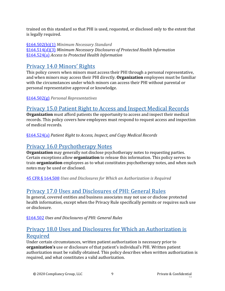trained on this standard so that PHI is used, requested, or disclosed only to the extent that is legally required.

[§164.502\(b\)\(1\)](https://gov.ecfr.io/cgi-bin/retrieveECFR?gp=&SID=15863a3e461afc3dc98e0da4885434cc&mc=true&r=SECTION&n=se45.2.164_1502) *Minimum Necessary Standard* [§164.514\(d\)\(3\)](https://gov.ecfr.io/cgi-bin/retrieveECFR?gp=&SID=15863a3e461afc3dc98e0da4885434cc&mc=true&r=SECTION&n=se45.2.164_1514) *Minimum Necessary Disclosures of Protected Health Information* [§164.524\(a\)](https://gov.ecfr.io/cgi-bin/retrieveECFR?gp=&SID=15863a3e461afc3dc98e0da4885434cc&mc=true&n=sp45.2.164.e&r=SUBPART&ty=HTML#se45.2.164_1524) *Access to Protected Health Information*

# Privacy 14.0 Minors' Rights

This policy covers when minors must access their PHI through a personal representative, and when minors may access their PHI directly. **Organization** employees must be familiar with the circumstances under which minors can access their PHI without parental or personal representative approval or knowledge.

[§164.502\(g\)](https://gov.ecfr.io/cgi-bin/retrieveECFR?gp=&SID=15863a3e461afc3dc98e0da4885434cc&mc=true&r=SECTION&n=se45.2.164_1502) *Personal Representatives*

# [Privacy 15.0 Patient Right to Access and Inspect Medical Records](#page-43-0)

**Organization** must afford patients the opportunity to access and inspect their medical records. This policy covers how employees must respond to request access and inspection of medical records.

[§164.524\(a\)](https://gov.ecfr.io/cgi-bin/retrieveECFR?gp=&SID=15863a3e461afc3dc98e0da4885434cc&mc=true&n=sp45.2.164.e&r=SUBPART&ty=HTML#se45.2.164_1524) *Patient Right to Access, Inspect, and Copy Medical Records*

# [Privacy 16.0 Psychotherapy Notes](#page-45-0)

**Organization** may generally not disclose psychotherapy notes to requesting parties. Certain exceptions allow **organization** to release this information. This policy serves to train **organization** employees as to what constitutes psychotherapy notes, and when such notes may be used or disclosed.

[45 CFR § 164.508](https://gov.ecfr.io/cgi-bin/retrieveECFR?gp=&SID=15863a3e461afc3dc98e0da4885434cc&mc=true&r=SECTION&n=se45.2.164_1508) *Uses and Disclosures for Which an Authorization is Required*

# [Privacy 17.0 Uses and Disclosures of PHI: General Rules](#page-47-0)

In general, covered entities and business associates may not use or disclose protected health information, except when the Privacy Rule specifically permits or requires such use or disclosure.

[§164.502](https://gov.ecfr.io/cgi-bin/retrieveECFR?gp=&SID=15863a3e461afc3dc98e0da4885434cc&mc=true&r=SECTION&n=se45.2.164_1502) *Uses and Disclosures of PHI: General Rules*

# [Privacy 18.0 Uses and Disclosures for Which an Authorization is](#page-53-0)  [Required](#page-53-0)

Under certain circumstances, written patient authorization is necessary prior to **organization's** use or disclosure of that patient's individual's PHI. Written patient authorization must be validly obtained. This policy describes when written authorization is required, and what constitutes a valid authorization.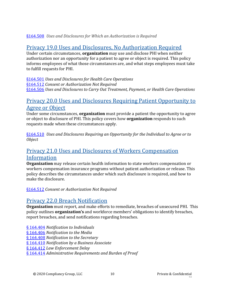### [§164.508](https://gov.ecfr.io/cgi-bin/retrieveECFR?gp=&SID=15863a3e461afc3dc98e0da4885434cc&mc=true&r=SECTION&n=se45.2.164_1508) *Uses and Disclosures for Which an Authorization is Required*

# [Privacy 19.0 Uses and Disclosures, No Authorization Required](#page-56-0)

Under certain circumstances, **organization** may use and disclose PHI when neither authorization nor an opportunity for a patient to agree or object is required. This policy informs employees of what those circumstances are, and what steps employees must take to fulfill requests for PHI.

[§164.501](https://gov.ecfr.io/cgi-bin/text-idx?SID=a7c7a7ed6ddfb49f7200a9d84a925136&mc=true&node=se45.2.164_1501&rgn=div8) *Uses and Disclosures for Health Care Operations* [§164.512](https://gov.ecfr.io/cgi-bin/retrieveECFR?gp=&SID=15863a3e461afc3dc98e0da4885434cc&mc=true&r=SECTION&n=se45.2.164_1512) *Consent or Authorization Not Required*  [§164.506](https://gov.ecfr.io/cgi-bin/retrieveECFR?gp=&SID=15863a3e461afc3dc98e0da4885434cc&mc=true&r=SECTION&n=se45.2.164_1506) *Uses and Disclosures to Carry Out Treatment, Payment, or Health Care Operations*

# Privacy 20.0 Uses and Disclosures Requiring Patient Opportunity to Agree or Object

Under some circumstances, **organization** must provide a patient the opportunity to agree or object to disclosure of PHI. This policy covers how **organization** responds to such requests made when these circumstances apply.

[§164.510](https://gov.ecfr.io/cgi-bin/retrieveECFR?gp=&SID=15863a3e461afc3dc98e0da4885434cc&mc=true&r=SECTION&n=se45.2.164_1510) *Uses and Disclosures Requiring an Opportunity for the Individual to Agree or to Object*

# [Privacy 21.0 Uses and Disclosures of Workers Compensation](#page-68-0)  [Information](#page-68-0)

**Organization** may release certain health information to state workers compensation or workers compensation insurance programs without patient authorization or release. This policy describes the circumstances under which such disclosure is required, and how to make the disclosure.

[§164.512](https://gov.ecfr.io/cgi-bin/retrieveECFR?gp=&SID=15863a3e461afc3dc98e0da4885434cc&mc=true&r=SECTION&n=se45.2.164_1512) *Consent or Authorization Not Required* 

# [Privacy 22.0 Breach Notification](#page-69-0)

**Organization** must report, and make efforts to remediate, breaches of unsecured PHI. This policy outlines **organization's** and workforce members' obligations to identify breaches, report breaches, and send notifications regarding breaches.

[§ 164.404](https://www.law.cornell.edu/cfr/text/45/164.404) *Notification to Individuals* [§ 164.406](https://www.law.cornell.edu/cfr/text/45/164.406) *Notification to the Media* [§ 164.408](https://www.law.cornell.edu/cfr/text/45/164.408) *Notification to the Secretary* [§ 164.410](https://www.law.cornell.edu/cfr/text/45/164.410) *Notification by a Business Associate* [§ 164.412](https://www.law.cornell.edu/cfr/text/45/164.412) *Law Enforcement Delay*

[§ 164.414](https://www.law.cornell.edu/cfr/text/45/164.414) *Administrative Requirements and Burden of Proof*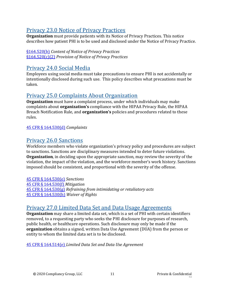# [Privacy 23.0 Notice of Privacy Practices](#page-75-0)

**Organization** must provide patients with its Notice of Privacy Practices. This notice describes how patient PHI is to be used and disclosed under the Notice of Privacy Practice.

[§164.520\(b\)](https://gov.ecfr.io/cgi-bin/retrieveECFR?gp=&SID=15863a3e461afc3dc98e0da4885434cc&mc=true&n=sp45.2.164.e&r=SUBPART&ty=HTML#se45.2.164_1520) *Content of Notice of Privacy Practices* [§164.520\(c\)\(2\)](https://gov.ecfr.io/cgi-bin/retrieveECFR?gp=&SID=15863a3e461afc3dc98e0da4885434cc&mc=true&n=sp45.2.164.e&r=SUBPART&ty=HTML#se45.2.164_1520) *Provision of Notice of Privacy Practices*

# [Privacy 24.0 Social Media](#page-78-0)

Employees using social media must take precautions to ensure PHI is not accidentally or intentionally disclosed during such use. This policy describes what precautions must be taken.

# [Privacy 25.0 Complaints About Organization](#page-79-0)

**Organization** must have a complaint process, under which individuals may make complaints about **organization's** compliance with the HIPAA Privacy Rule, the HIPAA Breach Notification Rule, and **organization's** policies and procedures related to these rules.

### [45 CFR § 164.530\(d\)](https://gov.ecfr.io/cgi-bin/retrieveECFR?gp=&SID=15863a3e461afc3dc98e0da4885434cc&mc=true&n=sp45.2.164.e&r=SUBPART&ty=HTML#se45.2.164_1530) *Complaints*

# [Privacy 26.0 Sanctions](#page-80-0)

Workforce members who violate organization's privacy policy and procedures are subject to sanctions. Sanctions are disciplinary measures intended to deter future violations. **Organization**, in deciding upon the appropriate sanction, may review the severity of the violation, the impact of the violation, and the workforce member's work history. Sanctions imposed should be consistent, and proportional with the severity of the offense.

[45 CFR § 164.530\(e\)](https://gov.ecfr.io/cgi-bin/retrieveECFR?gp=&SID=15863a3e461afc3dc98e0da4885434cc&mc=true&n=sp45.2.164.e&r=SUBPART&ty=HTML#se45.2.164_1530) *Sanctions*

45 CFR [§ 164.530\(f\)](https://gov.ecfr.io/cgi-bin/retrieveECFR?gp=&SID=15863a3e461afc3dc98e0da4885434cc&mc=true&n=sp45.2.164.e&r=SUBPART&ty=HTML#se45.2.164_1530) *Mitigation* [45 CFR § 164.530\(g\)](https://gov.ecfr.io/cgi-bin/retrieveECFR?gp=&SID=15863a3e461afc3dc98e0da4885434cc&mc=true&n=sp45.2.164.e&r=SUBPART&ty=HTML#se45.2.164_1530) *Refraining from intimidating or retaliatory acts* 45 CFR [§ 164.530\(h\)](https://gov.ecfr.io/cgi-bin/retrieveECFR?gp=&SID=15863a3e461afc3dc98e0da4885434cc&mc=true&n=sp45.2.164.e&r=SUBPART&ty=HTML#se45.2.164_1530) *Waiver of Rights*

# [Privacy 27.0 Limited Data Set and Data Usage Agreements](#page-85-0)

**Organization** may share a limited data set, which is a set of PHI with certain identifiers removed, to a requesting party who seeks the PHI disclosure for purposes of research, public health, or healthcare operations. Such disclosure may only be made if the **organization** obtains a signed, written Data Use Agreement (DUA) from the person or entity to whom the limited data set is to be disclosed.

45 CFR [§ 164.514\(e\)](https://gov.ecfr.io/cgi-bin/retrieveECFR?gp=&SID=15863a3e461afc3dc98e0da4885434cc&mc=true&r=SECTION&n=se45.2.164_1514) *Limited Data Set and Data Use Agreement*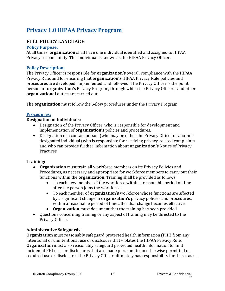# <span id="page-11-0"></span>**Privacy 1.0 HIPAA Privacy Program**

# **FULL POLICY LANGUAGE:**

#### **Policy Purpose:**

At all times, **organization** shall have one individual identified and assigned to HIPAA Privacy responsibility. This individual is known as the HIPAA Privacy Officer.

#### **Policy Description:**

The Privacy Officer is responsible for **organization's** overall compliance with the HIPAA Privacy Rule, and for ensuring that **organization's** HIPAA Privacy Rule policies and procedures are developed, implemented, and followed. The Privacy Officer is the point person for **organization's** Privacy Program, through which the Privacy Officer's and other **organizational** duties are carried out.

The **organization** must follow the below procedures under the Privacy Program.

#### **Procedures:**

#### **Designation of Individuals:**

- Designation of the Privacy Officer, who is responsible for development and implementation of **organization's** policies and procedures.
- Designation of a contact person (who may be either the Privacy Officer or another designated individual) who is responsible for receiving privacy-related complaints, and who can provide further information about **organization's** Notice of Privacy Practices.

#### **Training:**

- **Organization** must train all workforce members on its Privacy Policies and Procedures, as necessary and appropriate for workforce members to carry out their functions within the **organization**. Training shall be provided as follows:
	- To each new member of the workforce within a reasonable period of time after the person joins the workforce;
	- To each member of **organization's** workforce whose functions are affected by a significant change in **organization's** privacy policies and procedures, within a reasonable period of time after that change becomes effective.
	- **Organization** must document that the training has been provided.
- Questions concerning training or any aspect of training may be directed to the Privacy Officer.

#### **Administrative Safeguards**:

**Organization** must reasonably safeguard protected health information (PHI) from any intentional or unintentional use or disclosure that violates the HIPAA Privacy Rule. **Organization** must also reasonably safeguard protected health information to limit incidental PHI uses or disclosures that are made pursuant to an otherwise permitted or required use or disclosure. The Privacy Officer ultimately has responsibility for these tasks.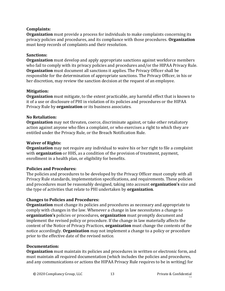#### **Complaints:**

**Organization** must provide a process for individuals to make complaints concerning its privacy policies and procedures, and its compliance with those procedures. **Organization** must keep records of complaints and their resolution.

#### **Sanctions:**

**Organization** must develop and apply appropriate sanctions against workforce members who fail to comply with its privacy policies and procedures and/or the HIPAA Privacy Rule. **Organization** must document all sanctions it applies. The Privacy Officer shall be responsible for the determination of appropriate sanctions. The Privacy Officer, in his or her discretion, may review the sanction decision at the request of an employee.

#### **Mitigation:**

**Organization** must mitigate, to the extent practicable, any harmful effect that is known to it of a use or disclosure of PHI in violation of its policies and procedures or the HIPAA Privacy Rule by **organization** or its business associates.

#### **No Retaliation:**

**Organization** may not threaten, coerce, discriminate against, or take other retaliatory action against anyone who files a complaint, or who exercises a right to which they are entitled under the Privacy Rule, or the Breach Notification Rule.

#### **Waiver of Rights:**

**Organization** may not require any individual to waive his or her right to file a complaint with **organization** or HHS, as a condition of the provision of treatment, payment, enrollment in a health plan, or eligibility for benefits.

#### **Policies and Procedures:**

The policies and procedures to be developed by the Privacy Officer must comply with all Privacy Rule standards, implementation specifications, and requirements. These policies and procedures must be reasonably designed, taking into account **organization's** size and the type of activities that relate to PHI undertaken by **organization**.

#### **Changes to Policies and Procedures:**

**Organization** must change its policies and procedures as necessary and appropriate to comply with changes in the law. Whenever a change in law necessitates a change to **organization's** policies or procedures, **organization** must promptly document and implement the revised policy or procedure. If the change in law materially affects the content of the Notice of Privacy Practices, **organization** must change the contents of the notice accordingly. **Organization** may not implement a change to a policy or procedure prior to the effective date of the revised notice.

#### **Documentation:**

**Organization** must maintain its policies and procedures in written or electronic form, and must maintain all required documentation (which includes the policies and procedures, and any communications or actions the HIPAA Privacy Rule requires to be in writing) for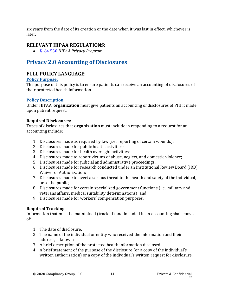six years from the date of its creation or the date when it was last in effect, whichever is later.

# **RELEVANT HIPAA REGULATIONS:**

• [§164.530](https://gov.ecfr.io/cgi-bin/retrieveECFR?gp=&SID=15863a3e461afc3dc98e0da4885434cc&mc=true&n=sp45.2.164.e&r=SUBPART&ty=HTML#se45.2.164_1530) *HIPAA Privacy Program*

# <span id="page-13-0"></span>**Privacy 2.0 Accounting of Disclosures**

## **FULL POLICY LANGUAGE:**

#### **Policy Purpose:**

The purpose of this policy is to ensure patients can receive an accounting of disclosures of their protected health information.

### **Policy Description:**

Under HIPAA, **organization** must give patients an accounting of disclosures of PHI it made, upon patient request.

### **Required Disclosures:**

Types of disclosures that **organization** must include in responding to a request for an accounting include:

- 1. Disclosures made as required by law (i.e., reporting of certain wounds);
- 2. Disclosures made for public health activities;
- 3. Disclosures made for health oversight activities;
- 4. Disclosures made to report victims of abuse, neglect, and domestic violence;
- 5. Disclosures made for judicial and administrative proceedings;
- 6. Disclosures made for research conducted under an Institutional Review Board (IRB) Waiver of Authorization;
- 7. Disclosures made to avert a serious threat to the health and safety of the individual, or to the public;
- 8. Disclosures made for certain specialized government functions (i.e., military and veterans affairs; medical suitability determinations); and
- 9. Disclosures made for workers' compensation purposes.

### **Required Tracking:**

Information that must be maintained (tracked) and included in an accounting shall consist of:

- 1. The date of disclosure;
- 2. The name of the individual or entity who received the information and their address, if known;
- 3. A brief description of the protected health information disclosed;
- 4. A brief statement of the purpose of the disclosure (or a copy of the individual's written authorization) or a copy of the individual's written request for disclosure.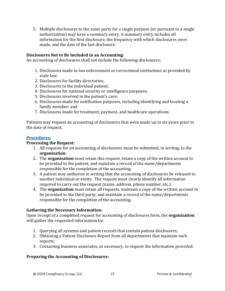5. Multiple disclosures to the same party for a single purpose (or pursuant to a single authorization) may have a summary entry. A summary entry includes all information for the first disclosure, the frequency with which disclosures were made, and the date of the last disclosure.

#### **Disclosures Not to Be Included in an Accounting:**

An accounting of disclosures shall not include the following disclosures:

- 1. Disclosures made to law enforcement or correctional institutions as provided by state law;
- 2. Disclosures for facility directories;
- 3. Disclosures to the individual patient;
- 4. Disclosures for national security or intelligence purposes;
- 5. Disclosures involved in the patient's care;
- 6. Disclosures made for notification purposes, including identifying and locating a family member; and
- 7. Disclosures made for treatment, payment, and healthcare operations.

Patients may request an accounting of disclosures that were made up to six years prior to the date of request.

#### **Procedures:**

#### **Processing the Request:**

- 1. All requests for an accounting of disclosures must be submitted, in writing, to the **organization**.
- 2. The **organization** must retain this request, retain a copy of the written account to be provided to the patient, and maintain a record of the name/departments responsible for the completion of the accounting.
- 3. A patient may authorize in writing that the accounting of disclosures be released to another individual or entity. The request must clearly identify all information required to carry out the request (name, address, phone number, etc.).
- 4. The **organization** must retain all requests, maintain a copy of the written account to be provided to the third party, and maintain a record of the name/departments responsible for the completion of the accounting.

#### **Gathering the Necessary Information:**

Upon receipt of a completed request for accounting of disclosures form, the **organization** will gather the requested information by:

- 1. Querying all systems and patient records that contain patient disclosures;
- 2. Obtaining a Patient Disclosure Report from all departments that maintain such reports;
- 3. Contacting business associates, as necessary, to request the information provided.

#### **Preparing the Accounting of Disclosures:**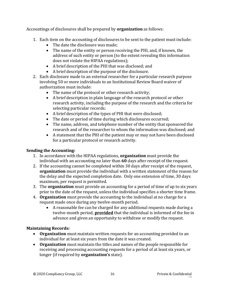Accountings of disclosures shall be prepared by **organization** as follows:

- 1. Each item on the accounting of disclosures to be sent to the patient must include:
	- The date the disclosure was made:
	- The name of the entity or person receiving the PHI, and, if known, the address of such entity or person (to the extent revealing this information does not violate the HIPAA regulations);
	- A brief description of the PHI that was disclosed; and
	- A brief description of the purpose of the disclosure.
- 2. Each disclosure made to an external researcher for a particular research purpose involving 50 or more individuals to an Institutional Review Board waiver of authorization must include:
	- The name of the protocol or other research activity;
	- A brief description in plain language of the research protocol or other research activity, including the purpose of the research and the criteria for selecting particular records;
	- A brief description of the types of PHI that were disclosed;
	- The date or period of time during which disclosures occurred;
	- The name, address, and telephone number of the entity that sponsored the research and of the researcher to whom the information was disclosed; and
	- A statement that the PHI of the patient may or may not have been disclosed for a particular protocol or research activity.

### **Sending the Accounting:**

- 1. In accordance with the HIPAA regulations, **organization** must provide the individual with an accounting no later than **60** days after receipt of the request.
- 2. If the accounting cannot be completed within 30 days after receipt of the request, **organization** must provide the individual with a written statement of the reason for the delay and the expected completion date. Only one extension of time, 30 days maximum, per request is permitted.
- 3. The **organization** must provide an accounting for a period of time of up to six years prior to the date of the request, unless the individual specifies a shorter time frame.
- 4. **Organization** must provide the accounting to the individual at no charge for a request made once during any twelve-month period.
	- A reasonable fee can be charged for any additional requests made during a twelve-month period, **provided** that the individual is informed of the fee in advance and given an opportunity to withdraw or modify the request.

### **Maintaining Records:**

- **Organization** must maintain written requests for an accounting provided to an individual for at least six years from the date it was created.
- **Organization** must maintain the titles and names of the people responsible for receiving and processing accounting requests for a period of at least six years, or longer (if required by **organization's** state).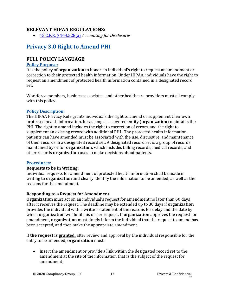### **RELEVANT HIPAA REGULATIONS:**

• [45 C.F.R. § 164.528\(a\)](https://gov.ecfr.io/cgi-bin/retrieveECFR?gp=&SID=15863a3e461afc3dc98e0da4885434cc&mc=true&n=sp45.2.164.e&r=SUBPART&ty=HTML#se45.2.164_1528) *Accounting for Disclosures*

# <span id="page-16-0"></span>**Privacy 3.0 Right to Amend PHI**

### **FULL POLICY LANGUAGE:**

#### **Policy Purpose:**

It is the policy of **organization** to honor an individual's right to request an amendment or correction to their protected health information. Under HIPAA, individuals have the right to request an amendment of protected health information contained in a designated record set.

Workforce members, business associates, and other healthcare providers must all comply with this policy.

#### **Policy Description:**

The HIPAA Privacy Rule grants individuals the right to amend or supplement their own protected health information, for as long as a covered entity (**organization**) maintains the PHI. The right to amend includes the right to correction of errors, and the right to supplement an existing record with additional PHI. The protected health information patients can have amended must be associated with the use, disclosure, and maintenance of their records in a designated record set. A designated record set is a group of records maintained by or for **organization,** which includes billing records, medical records, and other records **organization** uses to make decisions about patients.

#### **Procedures:**

#### **Requests to be in Writing:**

Individual requests for amendment of protected health information shall be made in writing to **organization** and clearly identify the information to be amended, as well as the reasons for the amendment.

#### **Responding to a Request for Amendment:**

**Organization** must act on an individual's request for amendment no later than 60 days after it receives the request. The deadline may be extended up to 30 days if **organization** provides the individual with a written statement of the reasons for delay and the date by which **organization** will fulfill his or her request. If **organization** approves the request for amendment, **organization** must timely inform the individual that the request to amend has been accepted, and then make the appropriate amendment.

If **the request is granted,** after review and approval by the individual responsible for the entry to be amended, **organization** must:

• Insert the amendment or provide a link within the designated record set to the amendment at the site of the information that is the subject of the request for amendment;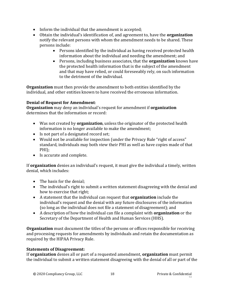- Inform the individual that the amendment is accepted;
- Obtain the individual's identification of, and agreement to, have the **organization** notify the relevant persons with whom the amendment needs to be shared. These persons include:
	- Persons identified by the individual as having received protected health information about the individual and needing the amendment; and
	- Persons, including business associates, that the **organization** knows have the protected health information that is the subject of the amendment and that may have relied, or could foreseeably rely, on such information to the detriment of the individual.

**Organization** must then provide the amendment to both entities identified by the individual, and other entities known to have received the erroneous information.

#### **Denial of Request for Amendment**:

**Organization** may deny an individual's request for amendment if **organization**  determines that the information or record:

- Was not created by **organization**, unless the originator of the protected health information is no longer available to make the amendment;
- Is not part of a designated record set:
- Would not be available for inspection (under the Privacy Rule "right of access" standard, individuals may both view their PHI as well as have copies made of that PHI);
- Is accurate and complete.

If **organization** denies an individual's request, it must give the individual a timely, written denial, which includes:

- The basis for the denial:
- The individual's right to submit a written statement disagreeing with the denial and how to exercise that right;
- A statement that the individual can request that **organization** include the individual's request and the denial with any future disclosures of the information (so long as the individual does not file a statement of disagreement); and
- A description of how the individual can file a complaint with **organization** or the Secretary of the Department of Health and Human Services (HHS).

**Organization** must document the titles of the persons or offices responsible for receiving and processing requests for amendments by individuals and retain the documentation as required by the HIPAA Privacy Rule.

#### **Statements of Disagreement:**

If **organization** denies all or part of a requested amendment, **organization** must permit the individual to submit a written statement disagreeing with the denial of all or part of the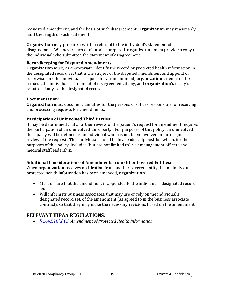requested amendment, and the basis of such disagreement. **Organization** may reasonably limit the length of such statement.

**Organization** may prepare a written rebuttal to the individual's statement of disagreement. Whenever such a rebuttal is prepared, **organization** must provide a copy to the individual who submitted the statement of disagreement.

#### **Recordkeeping for Disputed Amendments:**

**Organization** must, as appropriate, identify the record or protected health information in the designated record set that is the subject of the disputed amendment and append or otherwise link the individual's request for an amendment, **organization's** denial of the request, the individual's statement of disagreement, if any, and **organization's** entity's rebuttal, if any, to the designated record set.

### **Documentation:**

**Organization** must document the titles for the persons or offices responsible for receiving and processing requests for amendments.

### **Participation of Uninvolved Third Parties:**

It may be determined that a further review of the patient's request for amendment requires the participation of an uninvolved third party. For purposes of this policy, an uninvolved third party will be defined as an individual who has not been involved in the original review of the request. This individual should be in a leadership position which, for the purposes of this policy, includes (but are not limited to) risk management officers and medical staff leadership.

### **Additional Considerations of Amendments from Other Covered Entities:**

When **organization** receives notification from another covered entity that an individual's protected health information has been amended, **organization**:

- Must ensure that the amendment is appended to the individual's designated record; and
- Will inform its business associates, that may use or rely on the individual's designated record set, of the amendment (as agreed to in the business associate contract), so that they may make the necessary revisions based on the amendment.

# **RELEVANT HIPAA REGULATIONS:**

• [§ 164.526\(a\)\(1\)](https://gov.ecfr.io/cgi-bin/retrieveECFR?gp=&SID=15863a3e461afc3dc98e0da4885434cc&mc=true&n=sp45.2.164.e&r=SUBPART&ty=HTML#se45.2.164_1526) *Amendment of Protected Health Information*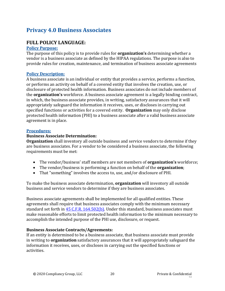# <span id="page-19-0"></span>**Privacy 4.0 Business Associates**

## **FULL POLICY LANGUAGE:**

#### **Policy Purpose:**

The purpose of this policy is to provide rules for **organization's** determining whether a vendor is a business associate as defined by the HIPAA regulations. The purpose is also to provide rules for creation, maintenance, and termination of business associate agreements

#### **Policy Description:**

A business associate is an individual or entity that provides a service, performs a function, or performs an activity on behalf of a covered entity that involves the creation, use, or disclosure of protected health information. Business associates do not include members of the **organization's** workforce. A business associate agreement is a legally binding contract, in which, the business associate provides, in writing, satisfactory assurances that it will appropriately safeguard the information it receives, uses, or discloses in carrying out specified functions or activities for a covered entity. **Organization** may only disclose protected health information (PHI) to a business associate after a valid business associate agreement is in place.

#### **Procedures:**

#### **Business Associate Determination:**

**Organization** shall inventory all outside business and service vendors to determine if they are business associates. For a vendor to be considered a business associate, the following requirements must be met:

- The vendor/business' staff members are not members of **organization's** workforce;
- The vendor/business is performing a function on behalf of the **organization**;
- That "something" involves the access to, use, and/or disclosure of PHI.

To make the business associate determination, **organization** will inventory all outside business and service vendors to determine if they are business associates.

Business associate agreements shall be implemented for all qualified entities. These agreements shall require that business associates comply with the minimum necessary standard set forth in [45 C.F.R. 164.502\(b\).](https://gov.ecfr.io/cgi-bin/retrieveECFR?gp=&SID=15863a3e461afc3dc98e0da4885434cc&mc=true&r=SECTION&n=se45.2.164_1502) Under this standard, business associates must make reasonable efforts to limit protected health information to the minimum necessary to accomplish the intended purpose of the PHI use, disclosure, or request.

#### **Business Associate Contracts/Agreements:**

If an entity is determined to be a business associate, that business associate must provide in writing to **organization** satisfactory assurances that it will appropriately safeguard the information it receives, uses, or discloses in carrying out the specified functions or activities.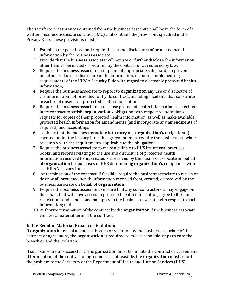The satisfactory assurances obtained from the business associate shall be in the form of a written business associate contract (BAC) that contains the provisions specified in the Privacy Rule. These provisions must:

- 1. Establish the permitted and required uses and disclosures of protected health information by the business associate;
- 2. Provide that the business associate will not use or further disclose the information other than as permitted or required by the contract or as required by law;
- 3. Require the business associate to implement appropriate safeguards to prevent unauthorized use or disclosure of the information, including implementing requirements of the HIPAA Security Rule with regard to electronic protected health information;
- 4. Require the business associate to report to **organization** any use or disclosure of the information not provided for by its contract, including incidents that constitute breaches of unsecured protected health information;
- 5. Require the business associate to disclose protected health information as specified in its contract to satisfy **organization's** obligation with respect to individuals' requests for copies of their protected health information, as well as make available protected health information for amendments (and incorporate any amendments, if required) and accountings;
- 6. To the extent the business associate is to carry out **organization's** obligation(s) covered under the Privacy Rule, the agreement must require the business associate to comply with the requirements applicable to the obligation;
- 7. Require the business associate to make available to HHS its internal practices, books, and records relating to the use and disclosure of protected health information received from, created, or received by the business associate on behalf of **organization** for purposes of HHS determining **organization's** compliance with the HIPAA Privacy Rule;
- 8. At termination of the contract, if feasible, require the business associate to return or destroy all protected health information received from, created, or received by the business associate on behalf of **organization;**
- 9. Require the business associate to ensure that any subcontractors it may engage on its behalf, that will have access to protected health information, agree to the same restrictions and conditions that apply to the business associate with respect to such information; and
- 10. Authorize termination of the contract by the **organization** if the business associate violates a material term of the contract.

### **In the Event of Material Breach or Violation:**

If **organization** knows of a material breach or violation by the business associate of the contract or agreement, the **organization** is required to take reasonable steps to cure the breach or end the violation.

If such steps are unsuccessful, the **organization** must terminate the contract or agreement. If termination of the contract or agreement is not feasible, the **organization** must report the problem to the Secretary of the Department of Health and Human Services (HHS).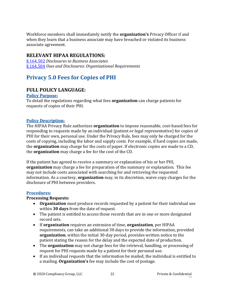Workforce members shall immediately notify the **organization's** Privacy Officer if and when they learn that a business associate may have breached or violated its business associate agreement.

### **RELEVANT HIPAA REGULATIONS:**

[§ 164.502](https://gov.ecfr.io/cgi-bin/retrieveECFR?gp=&SID=15863a3e461afc3dc98e0da4885434cc&mc=true&n=sp45.2.164.e&r=SUBPART&ty=HTML#se45.2.164_1502) *Disclosures to Business Associates* [§ 164.504](https://gov.ecfr.io/cgi-bin/retrieveECFR?gp=&SID=15863a3e461afc3dc98e0da4885434cc&mc=true&r=SECTION&n=se45.2.164_1504) *Uses and Disclosures: Organizational Requirements*

# <span id="page-21-0"></span>**Privacy 5.0 Fees for Copies of PHI**

## **FULL POLICY LANGUAGE:**

#### **Policy Purpose:**

To detail the regulations regarding what fees **organization** can charge patients for requests of copies of their PHI.

#### **Policy Description:**

The HIPAA Privacy Rule authorizes **organization** to impose reasonable, cost-based fees for responding to requests made by an individual (patient or legal representative) for copies of PHI for their own, personal use. Under the Privacy Rule, fees may only be charged for the costs of copying, including the labor and supply costs. For example, if hard copies are made, the **organization** may charge for the costs of paper. If electronic copies are made to a CD, the **organization** may charge a fee for the cost of the CD.

If the patient has agreed to receive a summary or explanation of his or her PHI, **organization** may charge a fee for preparation of the summary or explanation. This fee may not include costs associated with searching for and retrieving the requested information. As a courtesy, **organization** may, in its discretion, waive copy charges for the disclosure of PHI between providers.

#### **Procedures:**

#### **Processing Requests:**

- **Organization** must produce records requested by a patient for their individual use within **30 days** from the date of request.
- The patient is entitled to access those records that are in one or more designated record sets.
- If **organization** requires an extension of time, **organization**, per HIPAA requirements, can take an additional 30 days to provide the information, provided **organization**, within the initial 30-day period, provides written notice to the patient stating the reason for the delay and the expected date of production.
- The **organization** may not charge fees for the retrieval, handling, or processing of request for PHI requests made by a patient for their personal use.
- If an individual requests that the information be mailed, the individual is entitled to a mailing. **Organization's** fee may include the cost of postage.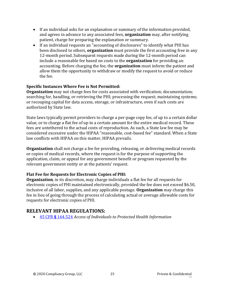- If an individual asks for an explanation or summary of the information provided, and agrees in advance to any associated fees, **organization** may, after notifying patient, charge for preparing the explanation or summary.
- If an individual requests an "accounting of disclosures" to identify what PHI has been disclosed to others, **organization** must provide the first accounting free in any 12-month period. Subsequent requests made during the 12-month period can include a reasonable fee based on costs to the **organization** for providing an accounting. Before charging the fee, the **organization** must inform the patient and allow them the opportunity to withdraw or modify the request to avoid or reduce the fee.

#### **Specific Instances Where Fee is Not Permitted:**

**Organization** may not charge fees for costs associated with verification; documentation; searching for, handling, or retrieving the PHI; processing the request; maintaining systems; or recouping capital for data access, storage, or infrastructure, even if such costs are authorized by State law.

State laws typically permit providers to charge a per-page copy fee, of up to a certain dollar value, or to charge a flat fee of up to a certain amount for the entire medical record. These fees are untethered to the actual costs of reproduction. As such, a State law fee may be considered excessive under the HIPAA "reasonable, cost-based fee" standard. When a State law conflicts with HIPAA on this matter, HIPAA prevails.

**Organization** shall not charge a fee for providing, releasing, or delivering medical records or copies of medical records, where the request is for the purpose of supporting the application, claim, or appeal for any government benefit or program requested by the relevant government entity or at the patients' request.

#### **Flat Fee for Requests for Electronic Copies of PHI:**

**Organization**, in its discretion, may charge individuals a flat fee for all requests for electronic copies of PHI maintained electronically, provided the fee does not exceed \$6.50, inclusive of all labor, supplies, and any applicable postage. **Organization** may charge this fee in lieu of going through the process of calculating actual or average allowable costs for requests for electronic copies of PHI.

### **RELEVANT HIPAA REGULATIONS:**

• 45 CFR **§** [164.524](https://gov.ecfr.io/cgi-bin/retrieveECFR?gp=&SID=15863a3e461afc3dc98e0da4885434cc&mc=true&n=sp45.2.164.e&r=SUBPART&ty=HTML#se45.2.164_1524) *Access of Individuals to Protected Health Information*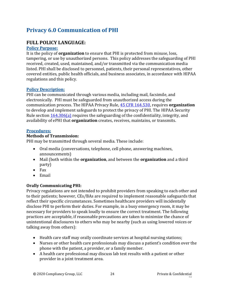# <span id="page-23-0"></span>**Privacy 6.0 Communication of PHI**

# **FULL POLICY LANGUAGE:**

#### **Policy Purpose:**

It is the policy of **organization** to ensure that PHI is protected from misuse, loss, tampering, or use by unauthorized persons. This policy addresses the safeguarding of PHI received, created, used, maintained, and/or transmitted via the communication media listed. PHI shall be disclosed to personnel, patients, their personal representatives, other covered entities, public health officials, and business associates, in accordance with HIPAA regulations and this policy.

### **Policy Description:**

PHI can be communicated through various media, including mail, facsimile, and electronically. PHI must be safeguarded from unauthorized access during the communication process. The HIPAA Privacy Rule, [45 CFR 164.530,](https://gov.ecfr.io/cgi-bin/retrieveECFR?gp=&SID=15863a3e461afc3dc98e0da4885434cc&mc=true&n=pt45.2.164&r=PART&ty=HTML#se45.2.164_1530) requires **organization** to develop and implement safeguards to protect the privacy of PHI. The HIPAA Security Rule section [164.306\(a\)](https://gov.ecfr.io/cgi-bin/retrieveECFR?gp=&SID=15863a3e461afc3dc98e0da4885434cc&mc=true&n=pt45.2.164&r=PART&ty=HTML#se45.2.164_1306) requires the safeguarding of the confidentiality, integrity, and availability of ePHI that **organization** creates, receives, maintains, or transmits.

### **Procedures:**

### **Methods of Transmission:**

PHI may be transmitted through several media. These include:

- Oral media (conversations, telephone, cell phone, answering machines, announcements)
- Mail (both within the **organization**, and between the **organization** and a third party)
- Fax
- Email

### **Orally Communicating PHI:**

Privacy regulations are not intended to prohibit providers from speaking to each other and to their patients; however, CEs/BAs are required to implement reasonable safeguards that reflect their specific circumstances. Sometimes healthcare providers will incidentally disclose PHI to perform their duties. For example, in a busy emergency room, it may be necessary for providers to speak loudly to ensure the correct treatment. The following practices are acceptable, if reasonable precautions are taken to minimize the chance of unintentional disclosures to others who may be nearby (such as using lowered voices or talking away from others):

- Health care staff may orally coordinate services at hospital nursing stations;
- Nurses or other health care professionals may discuss a patient's condition over the phone with the patient, a provider, or a family member.
- A health care professional may discuss lab test results with a patient or other provider in a joint treatment area.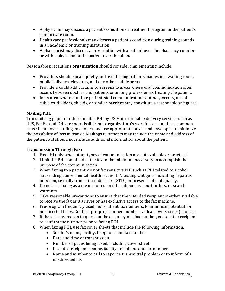- A physician may discuss a patient's condition or treatment program in the patient's semiprivate room.
- Health care professionals may discuss a patient's condition during training rounds in an academic or training institution.
- A pharmacist may discuss a prescription with a patient over the pharmacy counter or with a physician or the patient over the phone.

Reasonable precautions **organization** should consider implementing include:

- Providers should speak quietly and avoid using patients' names in a waiting room, public hallways, elevators, and any other public areas.
- Providers could add curtains or screens to areas where oral communication often occurs between doctors and patients or among professionals treating the patient.
- In an area where multiple patient-staff communication routinely occurs, use of cubicles, dividers, shields, or similar barriers may constitute a reasonable safeguard.

#### **Mailing PHI:**

Transmitting paper or other tangible PHI by US Mail or reliable delivery services such as UPS, FedEx, and DHL are permissible, but **organization's** workforce should use common sense in not overstuffing envelopes, and use appropriate boxes and envelopes to minimize the possibility of loss in transit. Mailings to patients may include the name and address of the patient but should not include additional information about the patient.

#### **Transmission Through Fax:**

- 1. Fax PHI only when other types of communication are not available or practical.
- 2. Limit the PHI contained in the fax to the minimum necessary to accomplish the purpose of the communication.
- 3. When faxing to a patient, do not fax sensitive PHI such as PHI related to alcohol abuse, drug abuse, mental health issues, HIV testing, antigens indicating hepatitis infection, sexually transmitted diseases (STD), or presence of malignancy.
- 4. Do not use faxing as a means to respond to subpoenas, court orders, or search warrants.
- 5. Take reasonable precautions to ensure that the intended recipient is either available to receive the fax as it arrives or has exclusive access to the fax machine.
- 6. Pre-program frequently used, non-patient fax numbers, to minimize potential for misdirected faxes. Confirm pre-programmed numbers at least every six (6) months.
- 7. If there is any reason to question the accuracy of a fax number, contact the recipient to confirm the number prior to faxing PHI.
- 8. When faxing PHI, use fax cover sheets that include the following information:
	- Sender's name, facility, telephone and fax number
	- Date and time of transmission
	- Number of pages being faxed, including cover sheet
	- Intended recipient's name, facility, telephone and fax number
	- Name and number to call to report a transmittal problem or to inform of a misdirected fax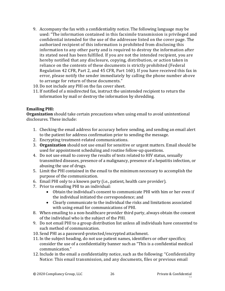- 9. Accompany the fax with a confidentiality notice. The following language may be used: "The information contained in this facsimile transmission is privileged and confidential intended for the use of the addressee listed on the cover page. The authorized recipient of this information is prohibited from disclosing this information to any other party and is required to destroy the information after its stated need has been fulfilled. If you are not the intended recipient, you are hereby notified that any disclosure, copying, distribution, or action taken in reliance on the contents of these documents is strictly prohibited (Federal Regulation 42 CFR, Part 2, and 45 CFR, Part 160). If you have received this fax in error, please notify the sender immediately by calling the phone number above to arrange for return of these documents."
- 10. Do not include any PHI on the fax cover sheet.
- 11. If notified of a misdirected fax, instruct the unintended recipient to return the information by mail or destroy the information by shredding.

#### **Emailing PHI:**

**Organization** should take certain precautions when using email to avoid unintentional disclosures. These include:

- 1. Checking the email address for accuracy before sending, and sending an email alert to the patient for address confirmation prior to sending the message.
- 2. Encrypting treatment-related communications.
- 3. **Organization** should not use email for sensitive or urgent matters. Email should be used for appointment scheduling and routine follow-up questions.
- 4. Do not use email to convey the results of tests related to HIV status, sexually transmitted diseases, presence of a malignancy, presence of a hepatitis infection, or abusing the use of drugs.
- 5. Limit the PHI contained in the email to the minimum necessary to accomplish the purpose of the communication.
- 6. Email PHI only to a known party (i.e., patient, health care provider).
- 7. Prior to emailing PHI to an individual:
	- Obtain the individual's consent to communicate PHI with him or her even if the individual initiated the correspondence; and
	- Clearly communicate to the individual the risks and limitations associated with using email for communications of PHI.
- 8. When emailing to a non-healthcare provider third party, always obtain the consent of the individual who is the subject of the PHI.
- 9. Do not email PHI to a group distribution list unless all individuals have consented to such method of communication.
- 10. Send PHI as a password-protected/encrypted attachment.
- 11. In the subject heading, do not use patient names, identifiers or other specifics; consider the use of a confidentiality banner such as "This is a confidential medical communication."
- 12. Include in the email a confidentiality notice, such as the following: "Confidentiality Notice: This email transmission, and any documents, files or previous email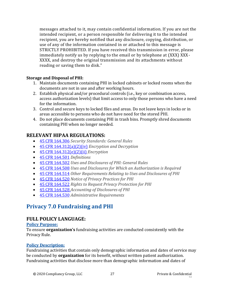messages attached to it, may contain confidential information. If you are not the intended recipient, or a person responsible for delivering it to the intended recipient, you are hereby notified that any disclosure, copying, distribution, or use of any of the information contained in or attached to this message is STRICTLY PROHIBITED. If you have received this transmission in error, please immediately notify us by replying to the email or by telephone at (XXX) XXX-XXXX, and destroy the original transmission and its attachments without reading or saving them to disk."

#### **Storage and Disposal of PHI:**

- 1. Maintain documents containing PHI in locked cabinets or locked rooms when the documents are not in use and after working hours.
- 2. Establish physical and/or procedural controls (i.e., key or combination access, access authorization levels) that limit access to only those persons who have a need for the information.
- 3. Control and secure keys to locked files and areas. Do not leave keys in locks or in areas accessible to persons who do not have need for the stored PHI.
- 4. Do not place documents containing PHI in trash bins. Promptly shred documents containing PHI when no longer needed.

### **RELEVANT HIPAA REGULATIONS:**

- [45 CFR 164.306](https://gov.ecfr.io/cgi-bin/retrieveECFR?gp=&SID=15863a3e461afc3dc98e0da4885434cc&mc=true&n=pt45.2.164&r=PART&ty=HTML#se45.2.164_1306) *Security Standards: General Rules*
- [45 CFR 164.312\(a\)\(2\)\(iv\)](https://gov.ecfr.io/cgi-bin/retrieveECFR?gp=&SID=15863a3e461afc3dc98e0da4885434cc&mc=true&n=pt45.2.164&r=PART&ty=HTML#se45.2.164_1312) *Encryption and Decryption*
- [45 CFR 164.312\(e\)\(2\)\(ii\)](https://gov.ecfr.io/cgi-bin/retrieveECFR?gp=&SID=15863a3e461afc3dc98e0da4885434cc&mc=true&n=pt45.2.164&r=PART&ty=HTML#se45.2.164_1312) *Encryption*
- [45 CFR 164.501](https://gov.ecfr.io/cgi-bin/text-idx?SID=a7c7a7ed6ddfb49f7200a9d84a925136&mc=true&node=se45.2.164_1501&rgn=div8) *Definitions*
- [45 CFR 164.502](https://gov.ecfr.io/cgi-bin/retrieveECFR?gp=&SID=15863a3e461afc3dc98e0da4885434cc&mc=true&r=SECTION&n=se45.2.164_1502) *Uses and Disclosures of PHI: General Rules*
- [45 CFR 164.508](https://gov.ecfr.io/cgi-bin/retrieveECFR?gp=&SID=15863a3e461afc3dc98e0da4885434cc&mc=true&r=SECTION&n=se45.2.164_1508) *Uses and Disclosures for Which an Authorization is Required*
- [45 CFR 164.514](https://gov.ecfr.io/cgi-bin/retrieveECFR?gp=&SID=15863a3e461afc3dc98e0da4885434cc&mc=true&r=SECTION&n=se45.2.164_1514) *Other Requirements Relating to Uses and Disclosures of PHI*
- [45 CFR 164.520](https://gov.ecfr.io/cgi-bin/retrieveECFR?gp=&SID=15863a3e461afc3dc98e0da4885434cc&mc=true&n=sp45.2.164.e&r=SUBPART&ty=HTML#se45.2.164_1520) *Notice of Privacy Practices for PHI*
- [45 CFR 164.522](https://gov.ecfr.io/cgi-bin/retrieveECFR?gp=&SID=15863a3e461afc3dc98e0da4885434cc&mc=true&n=sp45.2.164.e&r=SUBPART&ty=HTML#se45.2.164_1522) *Rights to Request Privacy Protection for PHI*
- [45 CFR 164.528](https://gov.ecfr.io/cgi-bin/retrieveECFR?gp=&SID=15863a3e461afc3dc98e0da4885434cc&mc=true&n=sp45.2.164.e&r=SUBPART&ty=HTML#se45.2.164_1528) *Accounting of Disclosures of PHI*
- [45 CFR 164.530](https://gov.ecfr.io/cgi-bin/retrieveECFR?gp=&SID=15863a3e461afc3dc98e0da4885434cc&mc=true&n=sp45.2.164.e&r=SUBPART&ty=HTML#se45.2.164_1530) *Administrative Requirements*

# <span id="page-26-0"></span>**Privacy 7.0 Fundraising and PHI**

### **FULL POLICY LANGUAGE:**

#### **Policy Purpose:**

To ensure **organization's** fundraising activities are conducted consistently with the Privacy Rule.

#### **Policy Description:**

Fundraising activities that contain only demographic information and dates of service may be conducted by **organization** for its benefit, without written patient authorization. Fundraising activities that disclose more than demographic information and dates of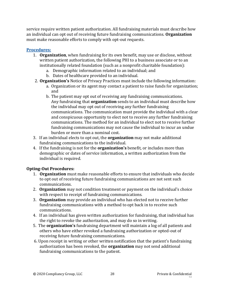service require written patient authorization. All fundraising materials must describe how an individual can opt out of receiving future fundraising communications. **Organization** must make reasonable efforts to comply with opt-out requests.

### **Procedures:**

- 1. **Organization**, when fundraising for its own benefit, may use or disclose, without written patient authorization, the following PHI to a business associate or to an institutionally related foundation (such as a nonprofit charitable foundation):
	- a. Demographic information related to an individual; and
	- b. Dates of healthcare provided to an individual.
- 2. **Organization's** Notice of Privacy Practices must include the following information:
	- a. Organization or its agent may contact a patient to raise funds for organization; and
	- b. The patient may opt out of receiving any fundraising communications. Any fundraising that **organization** sends to an individual must describe how the individual may opt out of receiving any further fundraising communications. The communication must provide the individual with a clear and conspicuous opportunity to elect not to receive any further fundraising communications. The method for an individual to elect not to receive further fundraising communications may not cause the individual to incur an undue burden or more than a nominal cost.
- 3. If an individual elects to opt out, the **organization** may not make additional fundraising communications to the individual.
- 4. If the fundraising is not for the **organization's** benefit, or includes more than demographic or dates of service information, a written authorization from the individual is required.

### **Opting-Out Procedures:**

- 1. **Organization** must make reasonable efforts to ensure that individuals who decide to opt out of receiving future fundraising communications are not sent such communications.
- 2. **Organization** may not condition treatment or payment on the individual's choice with respect to receipt of fundraising communications.
- 3. **Organization** may provide an individual who has elected not to receive further fundraising communications with a method to opt back in to receive such communications.
- 4. If an individual has given written authorization for fundraising, that individual has the right to revoke the authorization, and may do so in writing.
- 5. The **organization's** fundraising department will maintain a log of all patients and others who have either revoked a fundraising authorization or opted-out of receiving future fundraising communications.
- 6. Upon receipt in writing or other written notification that the patient's fundraising authorization has been revoked, the **organization** may not send additional fundraising communications to the patient.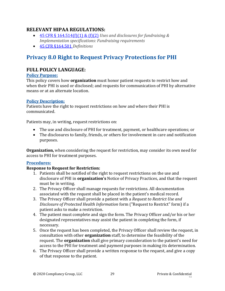### **RELEVANT HIPAA REGULATIONS:**

- [45 CFR § 164.514\(f\)\(1\) & \(f\)\(2\)](https://gov.ecfr.io/cgi-bin/retrieveECFR?gp=&SID=15863a3e461afc3dc98e0da4885434cc&mc=true&r=SECTION&n=se45.2.164_1514) *Uses and disclosures for fundraising & Implementation specifications: Fundraising requirements*
- [45 CFR §164.501](https://gov.ecfr.io/cgi-bin/text-idx?SID=a7c7a7ed6ddfb49f7200a9d84a925136&mc=true&node=se45.2.164_1501&rgn=div8) *Definitions*

# <span id="page-28-0"></span>**Privacy 8.0 Right to Request Privacy Protections for PHI**

# **FULL POLICY LANGUAGE:**

#### **Policy Purpose:**

This policy covers how **organization** must honor patient requests to restrict how and when their PHI is used or disclosed; and requests for communication of PHI by alternative means or at an alternate location.

### **Policy Description:**

Patients have the right to request restrictions on how and where their PHI is communicated.

Patients may, in writing, request restrictions on:

- The use and disclosure of PHI for treatment, payment, or healthcare operations; or
- The disclosures to family, friends, or others for involvement in care and notification purposes.

**Organization,** when considering the request for restriction, may consider its own need for access to PHI for treatment purposes.

#### **Procedures:**

#### **Response to Request for Restriction:**

- 1. Patients shall be notified of the right to request restrictions on the use and disclosure of PHI in **organization's** Notice of Privacy Practices, and that the request must be in writing.
- 2. The Privacy Officer shall manage requests for restrictions. All documentation associated with the request shall be placed in the patient's medical record.
- 3. The Privacy Officer shall provide a patient with a *Request to Restrict Use and Disclosure of Protected Health Information* form ("Request to Restrict" form) if a patient asks to make a restriction.
- 4. The patient must complete and sign the form. The Privacy Officer and/or his or her designated representatives may assist the patient in completing the form, if necessary.
- 5. Once the request has been completed, the Privacy Officer shall review the request, in consultation with other **organization** staff, to determine the feasibility of the request. The **organization** shall give primary consideration to the patient's need for access to the PHI for treatment and payment purposes in making its determination.
- 6. The Privacy Officer shall provide a written response to the request, and give a copy of that response to the patient.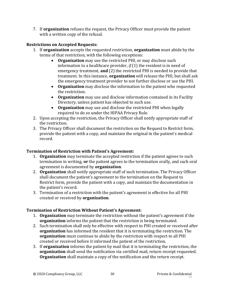7. If **organization** refuses the request, the Privacy Officer must provide the patient with a written copy of the refusal.

### **Restrictions on Accepted Requests:**

- 1. If **organization** accepts the requested restriction, **organization** must abide by the terms of that restriction, with the following exceptions:
	- **Organization** may use the restricted PHI, or may disclose such information to a healthcare provider, *if* (1) the resident is in need of emergency treatment, **and** (2) the restricted PHI is needed to provide that treatment. In this instance, **organization** will release the PHI, but shall ask the emergency treatment provider to not further disclose or use the PHI.
	- **Organization** may disclose the information to the patient who requested the restriction.
	- **Organization** may use and disclose information contained in its Facility Directory, unless patient has objected to such use.
	- **Organization** may use and disclose the restricted PHI when legally required to do so under the HIPAA Privacy Rule.
- 2. Upon accepting the restriction, the Privacy Officer shall notify appropriate staff of the restriction.
- 3. The Privacy Officer shall document the restriction on the Request to Restrict form, provide the patient with a copy, and maintain the original in the patient's medical record.

### **Termination of Restriction with Patient's Agreement:**

- 1. **Organization** may terminate the accepted restriction if the patient agrees to such termination in writing, **or** the patient agrees to the termination orally, and such oral agreement is documented by **organization**.
- 2. **Organization** shall notify appropriate staff of such termination. The Privacy Officer shall document the patient's agreement to the termination on the Request to Restrict form, provide the patient with a copy, and maintain the documentation in the patient's record.
- 3. Termination of a restriction with the patient's agreement is effective for all PHI created or received by **organization**.

### **Termination of Restriction Without Patient's Agreement:**

- 1. **Organization** may terminate the restriction without the patient's agreement if the **organization** informs the patient that the restriction is being terminated.
- 2. Such termination shall only be effective with respect to PHI created or received after **organization** has informed the resident that it is terminating the restriction. The **organization** must continue to abide by the restriction with respect to all PHI created or received before it informed the patient of the restriction.
- 3. If **organization** informs the patient by mail that it is terminating the restriction, the **organization** shall send the notification via certified mail, return receipt requested. **Organization** shall maintain a copy of the notification and the return receipt.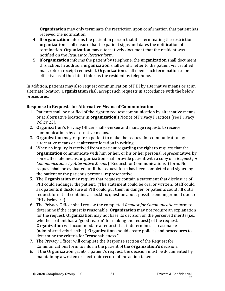**Organization** may only terminate the restriction upon confirmation that patient has received the notification.

- 4. If **organization** informs the patient in person that it is terminating the restriction, **organization** shall ensure that the patient signs and dates the notification of termination. **Organization** may alternatively document that the resident was notified on the *Request to Restrict* form.
- 5. If **organization** informs the patient by telephone, the **organization** shall document this action. In addition, **organization** shall send a letter to the patient via certified mail, return receipt requested. **Organization** shall deem such termination to be effective as of the date it informs the resident by telephone.

In addition, patients may also request communication of PHI by alternative means or at an alternate location. **Organization** shall accept such requests in accordance with the below procedures.

#### **Response to Requests for Alternative Means of Communication:**

- 1. Patients shall be notified of the right to request communication by alternative means or at alternative locations in **organization's** Notice of Privacy Practices (see Privacy Policy 23).
- 2. **Organization's** Privacy Officer shall oversee and manage requests to receive communications by alternative means.
- 3. **Organization** may require a patient to make the request for communication by alternative means or at alternate location in writing.
- 4. When an inquiry is received from a patient regarding the right to request that the **organization** communicate with him or her, or his or her personal representative, by some alternate means, **organization** shall provide patient with a copy of a *Request for Communications by Alternative Means* ("Request for Communications") form. No request shall be evaluated until the request form has been completed and signed by the patient or the patient's personal representative.
- 5. The **Organization** may require that requests contain a statement that disclosure of PHI could endanger the patient. (The statement could be oral or written. Staff could ask patients if disclosure of PHI could put them in danger, or patients could fill out a request form that contains a checkbox question about possible endangerment due to PHI disclosure).
- 6. The Privacy Officer shall review the completed *Request for Communications* form to determine if the request is reasonable. **Organization** may not require an explanation for the request. **Organization** may not base its decision on the perceived merits (i.e., whether patient has a "good reason" for making the request) of the request. **Organization** will accommodate a request that it determines is reasonable (administratively feasible). **Organization** should create policies and procedures to determine the criteria for "reasonableness."
- 7. The Privacy Officer will complete the Response section of the Request for Communications form to inform the patient of the **organization's** decision.
- 8. If the **Organization** grants a patient's request, the decision must be documented by maintaining a written or electronic record of the action taken.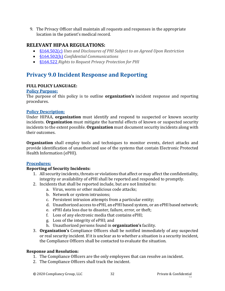9. The Privacy Officer shall maintain all requests and responses in the appropriate location in the patient's medical record.

# **RELEVANT HIPAA REGULATIONS:**

- [§164.502\(c\)](https://gov.ecfr.io/cgi-bin/retrieveECFR?gp=&SID=15863a3e461afc3dc98e0da4885434cc&mc=true&r=SECTION&n=se45.2.164_1502) *Uses and Disclosures of PHI Subject to an Agreed Upon Restriction*
- [§164.502\(h\)](https://gov.ecfr.io/cgi-bin/retrieveECFR?gp=&SID=15863a3e461afc3dc98e0da4885434cc&mc=true&r=SECTION&n=se45.2.164_1502) *Confidential Communications*
- [§164.522](https://gov.ecfr.io/cgi-bin/retrieveECFR?gp=&SID=15863a3e461afc3dc98e0da4885434cc&mc=true&n=sp45.2.164.e&r=SUBPART&ty=HTML#se45.2.164_1522) *Rights to Request Privacy Protection for PHI*

# <span id="page-31-0"></span>**Privacy 9.0 Incident Response and Reporting**

#### **FULL POLICY LANGUAGE:**

#### **Policy Purpose:**

The purpose of this policy is to outline **organization's** incident response and reporting procedures.

#### **Policy Description:**

Under HIPAA, **organization** must identify and respond to suspected or known security incidents. **Organization** must mitigate the harmful effects of known or suspected security incidents to the extent possible. **Organization** must document security incidents along with their outcomes.

**Organization** shall employ tools and techniques to monitor events, detect attacks and provide identification of unauthorized use of the systems that contain Electronic Protected Health Information (ePHI).

### **Procedures:**

### **Reporting of Security Incidents:**

- 1. All security incidents, threats or violations that affect or may affect the confidentiality, integrity or availability of ePHI shall be reported and responded to promptly.
- 2. Incidents that shall be reported include, but are not limited to:
	- a. Virus, worm or other malicious code attacks;
	- b. Network or system intrusions;
	- c. Persistent intrusion attempts from a particular entity;
	- d. Unauthorized access to ePHI, an ePHI based system, or an ePHI based network;
	- e. ePHI data loss due to disaster, failure, error, or theft;
	- f. Loss of any electronic media that contains ePHI;
	- g. Loss of the integrity of ePHI; and
	- h. Unauthorized persons found in **organization's** facility.
- 3. **Organization's** Compliance Officers shall be notified immediately of any suspected or real security incident. If it is unclear as to whether a situation is a security incident, the Compliance Officers shall be contacted to evaluate the situation.

#### **Response and Resolution:**

- 1. The Compliance Officers are the only employees that can resolve an incident.
- 2. The Compliance Officers shall track the incident.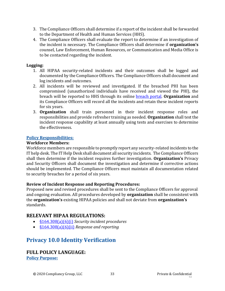- 3. The Compliance Officers shall determine if a report of the incident shall be forwarded to the Department of Health and Human Services (HHS).
- 4. The Compliance Officers shall evaluate the report to determine if an investigation of the incident is necessary. The Compliance Officers shall determine if **organization's**  counsel, Law Enforcement, Human Resources, or Communication and Media Office is to be contacted regarding the incident.

#### **Logging:**

- 1. All HIPAA security-related incidents and their outcomes shall be logged and documented by the Compliance Officers. The Compliance Officers shall document and log incidents and outcomes.
- 2. All incidents will be reviewed and investigated. If the breached PHI has been compromised (unauthorized individuals have received and viewed the PHI), the breach will be reported to HHS through its online [breach portal.](https://ocrportal.hhs.gov/ocr/breach/wizard_breach.jsf?faces-redirect=true) **Organization** and its Compliance Officers will record all the incidents and retain these incident reports for six years.
- 3. **Organization** shall train personnel in their incident response roles and responsibilities and provide refresher training as needed. **Organization** shall test the incident response capability at least annually using tests and exercises to determine the effectiveness.

#### **Policy Responsibilities:**

#### **Workforce Members:**

Workforce members are responsible to promptly report any security-related incidents to the IT help desk. The IT Help Desk shall document all security incidents. The Compliance Officers shall then determine if the incident requires further investigation. **Organization's** Privacy and Security Officers shall document the investigation and determine if corrective actions should be implemented. The Compliance Officers must maintain all documentation related to security breaches for a period of six years.

#### **Review of Incident Response and Reporting Procedures:**

Proposed new and revised procedures shall be sent to the Compliance Officers for approval and ongoing evaluation. All procedures developed by **organization** shall be consistent with the **organization's** existing HIPAA policies and shall not deviate from **organization's**  standards.

## **RELEVANT HIPAA REGULATIONS:**

- [§164.308\(a\)\(6\)\(i\)](https://www.law.cornell.edu/cfr/text/45/164.308) *Security incident procedures*
- [§164.308\(a\)\(6\)\(ii\)](https://www.law.cornell.edu/cfr/text/45/164.308) *Response and reporting*

# <span id="page-32-0"></span>**Privacy 10.0 Identity Verification**

## **FULL POLICY LANGUAGE:**

**Policy Purpose:**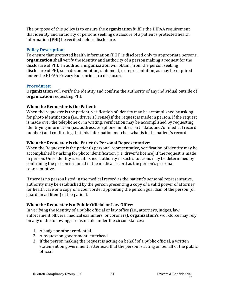The purpose of this policy is to ensure the **organization** fulfills the HIPAA requirement that identity and authority of persons seeking disclosure of a patient's protected health information (PHI) be verified before disclosure.

#### **Policy Description:**

To ensure that protected health information (PHI) is disclosed only to appropriate persons, **organization** shall verify the identity and authority of a person making a request for the disclosure of PHI. In addition, **organization** will obtain, from the person seeking disclosure of PHI, such documentation, statement, or representation, as may be required under the HIPAA Privacy Rule, prior to a disclosure.

#### **Procedures:**

**Organization** will verify the identity and confirm the authority of any individual outside of **organization** requesting PHI.

### **When the Requester is the Patient:**

When the requester is the patient, verification of identity may be accomplished by asking for photo identification (i.e., driver's license) if the request is made in person. If the request is made over the telephone or in writing, verification may be accomplished by requesting identifying information (i.e., address, telephone number, birth date, and/or medical record number) and confirming that this information matches what is in the patient's record.

#### **When the Requester is the Patient's Personal Representative:**

When the Requester is the patient's personal representative, verification of identity may be accomplished by asking for photo identification (i.e. driver's license) if the request is made in person. Once identity is established, authority in such situations may be determined by confirming the person is named in the medical record as the person's personal representative.

If there is no person listed in the medical record as the patient's personal representative, authority may be established by the person presenting a copy of a valid power of attorney for health care or a copy of a court order appointing the person guardian of the person (or guardian ad litem) of the patient.

### **When the Requester is a Public Official or Law Office:**

In verifying the identity of a public official or law office (i.e., attorneys, judges, law enforcement officers, medical examiners, or coroners), **organization'**s workforce may rely on any of the following, if reasonable under the circumstances:

- 1. A badge or other credential.
- 2. A request on government letterhead.
- 3. If the person making the request is acting on behalf of a public official, a written statement on government letterhead that the person is acting on behalf of the public official.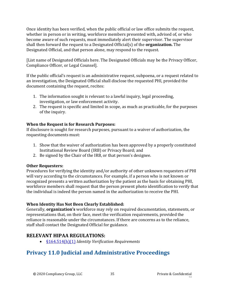Once identity has been verified, when the public official or law office submits the request, whether in person or in writing, workforce members presented with, advised of, or who become aware of such requests, must immediately alert their supervisor. The supervisor shall then forward the request to a Designated Official(s) of the **organization.** The Designated Official, and that person alone, may respond to the request.

[List name of Designated Officials here. The Designated Officials may be the Privacy Officer, Compliance Officer, or Legal Counsel].

If the public official's request is an administrative request, subpoena, or a request related to an investigation, the Designated Official shall disclose the requested PHI, provided the document containing the request, recites:

- 1. The information sought is relevant to a lawful inquiry, legal proceeding, investigation, or law enforcement activity.
- 2. The request is specific and limited in scope, as much as practicable, for the purposes of the inquiry.

### **When the Request is for Research Purposes:**

If disclosure is sought for research purposes, pursuant to a waiver of authorization, the requesting documents must:

- 1. Show that the waiver of authorization has been approved by a properly constituted Institutional Review Board (IRB) or Privacy Board; and
- 2. Be signed by the Chair of the IRB, or that person's designee.

#### **Other Requesters:**

Procedures for verifying the identity and/or authority of other unknown requesters of PHI will vary according to the circumstances. For example, if a person who is not known or recognized presents a written authorization by the patient as the basis for obtaining PHI, workforce members shall request that the person present photo identification to verify that the individual is indeed the person named in the authorization to receive the PHI.

#### **When Identity Has Not Been Clearly Established:**

Generally, **organization's** workforce may rely on required documentation, statements, or representations that, on their face, meet the verification requirements, provided the reliance is reasonable under the circumstances. If there are concerns as to the reliance, staff shall contact the Designated Official for guidance.

# **RELEVANT HIPAA REGULATIONS:**

• [§164.514\(h\)\(1\)](https://gov.ecfr.io/cgi-bin/retrieveECFR?gp=&SID=15863a3e461afc3dc98e0da4885434cc&mc=true&r=SECTION&n=se45.2.164_1514) *Identity Verification Requirements*

# <span id="page-34-0"></span>**Privacy 11.0 Judicial and Administrative Proceedings**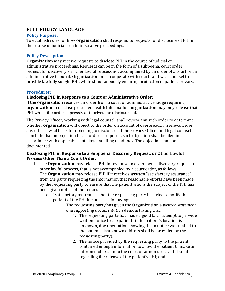### **FULL POLICY LANGUAGE:**

#### **Policy Purpose:**

To establish rules for how **organization** shall respond to requests for disclosure of PHI in the course of judicial or administrative proceedings.

#### **Policy Description:**

**Organization** may receive requests to disclose PHI in the course of judicial or administrative proceedings. Requests can be in the form of a subpoena, court order, request for discovery, or other lawful process not accompanied by an order of a court or an administrative tribunal. **Organization** must cooperate with courts and with counsel to provide lawfully sought PHI, while simultaneously ensuring protection of patient privacy.

#### **Procedures:**

#### **Disclosing PHI in Response to a Court or Administrative Order:**

If the **organization** receives an order from a court or administrative judge requiring **organization** to disclose protected health information, **organization** may only release that PHI which the order expressly authorizes the disclosure of.

The Privacy Officer, working with legal counsel, shall review any such order to determine whether **organization** will object to the order on account of overbreadth, irrelevance, or any other lawful basis for objecting to disclosure. If the Privacy Officer and legal counsel conclude that an objection to the order is required, such objection shall be filed in accordance with applicable state law and filing deadlines. The objection shall be documented.

#### **Disclosing PHI in Response to a Subpoena, Discovery Request, or Other Lawful Process Other Than a Court Order:**

- 1. The **Organization** may release PHI in response to a subpoena, discovery request, or other lawful process, that is not accompanied by a court order, as follows: The **Organization** may release PHI if it receives *written* "satisfactory assurance" from the party requesting the information that reasonable efforts have been made by the requesting party to ensure that the patient who is the subject of the PHI has been given notice of the request.
	- a. "Satisfactory assurance" that the requesting party has tried to notify the patient of the PHI includes the following:
		- i. The requesting party has given the **Organization** a *written statement and supporting documentation* demonstrating that:
			- 1. The requesting party has made a good faith attempt to provide written notice to the patient (if the patient's location is unknown, documentation showing that a notice was mailed to the patient's last known address shall be provided by the requesting party);
			- 2. The notice provided by the requesting party to the patient contained enough information to allow the patient to make an informed objection to the court or administrative tribunal regarding the release of the patient's PHI; and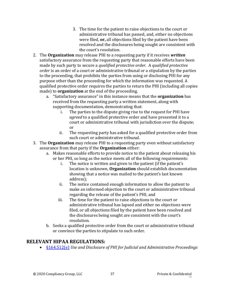- 3. The time for the patient to raise objections to the court or administrative tribunal has passed, and, either no objections were filed, **or,** all objections filed by the patient have been resolved and the disclosures being sought are consistent with the court's resolution.
- 2. The **Organization** may release PHI to a requesting party if it receives *written* satisfactory assurance from the requesting party that reasonable efforts have been made by such party to secure a *qualified protective order*. A *qualified protective order* is an order of a court or administrative tribunal or a stipulation by the parties to the proceeding, that prohibits the parties from using or disclosing PHI for any purpose other than the proceeding for which the information was requested. A qualified protective order requires the parties to return the PHI (including all copies made) to **organization** at the end of the proceeding.
	- a. "Satisfactory assurance" in this instance means that the **organization** has received from the requesting party a written statement, along with supporting documentation, demonstrating that:
		- i. The parties to the dispute giving rise to the request for PHI have *agreed* to a qualified protective order and have presented it to a court or administrative tribunal with jurisdiction over the dispute; or
		- ii. The requesting party has asked for a qualified protective order from such court or administrative tribunal.
- 3. The **Organization** may release PHI to a requesting party even without satisfactory assurance from that party if the **Organization** either:
	- a. Makes reasonable efforts to provide notice to the patient about releasing his or her PHI, so long as the notice meets all of the following requirements:
		- i. The notice is written and given to the patient (if the patient's location is unknown, **Organization** should establish documentation showing that a notice was mailed to the patient's last known address);
		- ii. The notice contained enough information to allow the patient to make an informed objection to the court or administrative tribunal regarding the release of the patient's PHI; and
		- iii. The time for the patient to raise objections to the court or administrative tribunal has lapsed and either no objections were filed, or all objections filed by the patient have been resolved and the disclosures being sought are consistent with the court's resolution.
	- b. Seeks a qualified protective order from the court or administrative tribunal or convince the parties to stipulate to such order.

### **RELEVANT HIPAA REGULATIONS:**

• [§164.512\(e\)](https://gov.ecfr.io/cgi-bin/retrieveECFR?gp=&SID=15863a3e461afc3dc98e0da4885434cc&mc=true&r=SECTION&n=se45.2.164_1512) *Use and Disclosure of PHI for Judicial and Administrative Proceedings*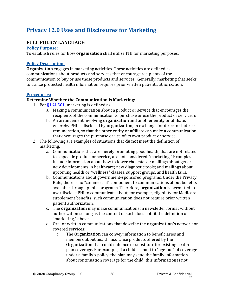# **Privacy 12.0 Uses and Disclosures for Marketing**

### **FULL POLICY LANGUAGE:**

#### **Policy Purpose:**

To establish rules for how **organization** shall utilize PHI for marketing purposes.

#### **Policy Description:**

**Organization** engages in marketing activities. These activities are defined as communications about products and services that encourage recipients of the communication to buy or use those products and services. Generally, marketing that seeks to utilize protected health information requires prior written patient authorization.

#### **Procedures:**

#### **Determine Whether the Communication is Marketing:**

- 1. Per  $§164.501$ , marketing is defined as:
	- a. Making a communication about a product or service that encourages the recipients of the communication to purchase or use the product or service; or
	- b. An arrangement involving **organization** and another entity or affiliate, whereby PHI is disclosed by **organization**, in exchange for direct or indirect remuneration, so that the other entity or affiliate can make a communication that encourages the purchase or use of its own product or service.
- 2. The following are examples of situations that **do not** meet the definition of marketing:
	- a. Communications that are merely promoting good health, that are not related to a specific product or service, are not considered "marketing." Examples include information about how to lower cholesterol; mailings about general new developments in healthcare; new diagnostic tools; and mailings about upcoming health or "wellness" classes, support groups, and health fairs.
	- b. Communications about government-sponsored programs. Under the Privacy Rule, there is no "commercial" component to communications about benefits available through public programs. Therefore, **organization** is permitted to use/disclose PHI to communicate about, for example, eligibility for Medicare supplement benefits; such communication does not require prior written patient authorization.
	- c. The **organization** may make communications in newsletter format without authorization so long as the content of such does not fit the definition of "marketing," above.
	- d. Oral or written communications that describe the **organization's** network or covered services:
		- i. The **Organization** can convey information to beneficiaries and members about health insurance products offered by the **Organization** that could enhance or substitute for existing health plan coverage. For example, if a child is about to "age-out" of coverage under a family's policy, the plan may send the family information about continuation coverage for the child; this information is not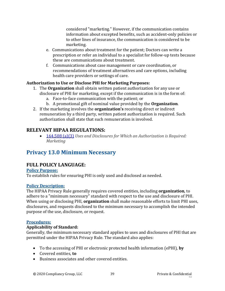considered "marketing." However, if the communication contains information about excepted benefits, such as accident-only policies or to other lines of insurance, the communication is considered to be marketing.

- e. Communications about treatment for the patient; Doctors can write a prescription or refer an individual to a specialist for follow-up tests because these are communications about treatment.
- f. Communications about case management or care coordination, or recommendations of treatment alternatives and care options, including health care providers or settings of care.

### **Authorization to Use or Disclose PHI for Marketing Purposes:**

- 1. The **Organization** shall obtain written patient authorization for any use or disclosure of PHI for marketing, except if the communication is in the form of:
	- a. Face-to-face communication with the patient; or
	- b. A promotional gift of nominal value provided by the **Organization**.
- 2. If the marketing involves the **organization's** receiving direct or indirect remuneration by a third party, written patient authorization is required. Such authorization shall state that such remuneration is involved.

### **RELEVANT HIPAA REGULATIONS:**

• [164.508 \(a\)\(3\)](https://gov.ecfr.io/cgi-bin/retrieveECFR?gp=&SID=15863a3e461afc3dc98e0da4885434cc&mc=true&r=SECTION&n=se45.2.164_1508) *Uses and Disclosures for Which an Authorization is Required: Marketing*

# **Privacy 13.0 Minimum Necessary**

## **FULL POLICY LANGUAGE:**

#### **Policy Purpose:**

To establish rules for ensuring PHI is only used and disclosed as needed.

#### **Policy Description:**

The HIPAA Privacy Rule generally requires covered entities, including **organization**, to adhere to a "minimum necessary" standard with respect to the use and disclosure of PHI. When using or disclosing PHI, **organization** shall make reasonable efforts to limit PHI uses, disclosures, and requests disclosed to the minimum necessary to accomplish the intended purpose of the use, disclosure, or request.

#### **Procedures:**

#### **Applicability of Standard:**

Generally, the minimum necessary standard applies to uses and disclosures of PHI that are permitted under the HIPAA Privacy Rule. The standard also applies:

- To the accessing of PHI or electronic protected health information (ePHI), **by**
- Covered entities, **to**
- Business associates and other covered entities.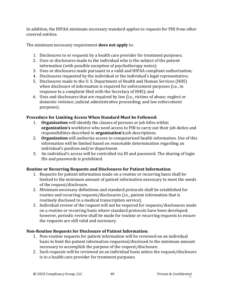In addition, the HIPAA minimum necessary standard applies to *requests* for PHI from other covered entities.

The minimum necessary requirement **does not apply** to:

- 1. Disclosures to or requests by a health care provider for treatment purposes;
- 2. Uses or disclosures made to the individual who is the subject of the patient information (with possible exception of psychotherapy notes);
- 3. Uses or disclosures made pursuant to a valid and HIPAA compliant authorization;
- 4. Disclosures requested by the individual or the individual's legal representative;
- 5. Disclosures made to the U. S. Department of Health and Human Services (HHS) when disclosure of information is required for enforcement purposes (i.e., in response to a complaint filed with the Secretary of HHS); and
- 6. Uses and disclosures that are required by law (i.e., victims of abuse; neglect or domestic violence; judicial administrative proceeding; and law enforcement purposes).

### **Procedure for Limiting Access When Standard Must be Followed:**

- 1. **Organization** will identify the classes of persons or job titles within **organization's** workforce who need access to PHI to carry out their job duties and responsibilities described in **organization's** job descriptions.
- 2. **Organization** will authorize access to computerized health information. Use of this information will be limited based on reasonable determination regarding an individual's position and/or department.
- 3. An individual's access will be controlled via ID and password. The sharing of login IDs and passwords is prohibited.

### **Routine or Recurring Requests and Disclosures for Patient Information:**

- 1. Requests for patient information made on a routine or recurring basis shall be limited to the minimum amount of patient information necessary to meet the needs of the request/disclosure.
- 2. Minimum necessary definitions and standard protocols shall be established for routine and recurring requests/disclosures (i.e., patient information that is routinely disclosed to a medical transcription service).
- 3. Individual review of the request will not be required for requests/disclosures made on a routine or recurring basis where standard protocols have been developed; however, periodic review shall be made for routine or recurring requests to ensure the requests are still valid and necessary.

### **Non-Routine Requests for Disclosure of Patient Information:**

- 1. Non-routine requests for patient information will be reviewed on an individual basis to limit the patient information requested/disclosed to the minimum amount necessary to accomplish the purpose of the request/disclosure.
- 2. Such requests will be reviewed on an individual basis unless the request/disclosure is to a health care provider for treatment purposes.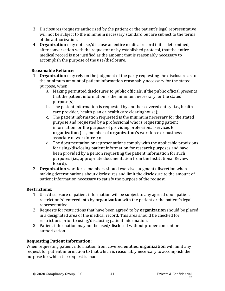- 3. Disclosures/requests authorized by the patient or the patient's legal representative will not be subject to the minimum necessary standard but are subject to the terms of the authorization.
- 4. **Organization** may not use/disclose an entire medical record if it is determined, after conversation with the requestor or by established protocol, that the entire medical record is not justified as the amount that is reasonably necessary to accomplish the purpose of the use/disclosure.

#### **Reasonable Reliance:**

- 1. **Organization** may rely on the judgment of the party requesting the disclosure as to the minimum amount of patient information reasonably necessary for the stated purpose, when:
	- a. Making permitted disclosures to public officials, if the public official presents that the patient information is the minimum necessary for the stated purpose(s);
	- b. The patient information is requested by another covered entity (i.e., health care provider, health plan or health care clearinghouse);
	- c. The patient information requested is the minimum necessary for the stated purpose and requested by a professional who is requesting patient information for the purpose of providing professional services to **organization** (i.e., member of **organization's** workforce or business associate of workforce); or
	- d. The documentation or representations comply with the applicable provisions for using/disclosing patient information for research purposes and have been provided by a person requesting the patient information for such purposes (i.e., appropriate documentation from the Institutional Review Board).
- 2. **Organization** workforce members should exercise judgment/discretion when making determinations about disclosures and limit the disclosure to the amount of patient information necessary to satisfy the purpose of the request.

#### **Restrictions:**

- 1. Use/disclosure of patient information will be subject to any agreed upon patient restriction(s) entered into by **organization** with the patient or the patient's legal representative.
- 2. Requests for restrictions that have been agreed to by **organization** should be placed in a designated area of the medical record. This area should be checked for restrictions prior to using/disclosing patient information.
- 3. Patient information may not be used/disclosed without proper consent or authorization.

#### **Requesting Patient Information:**

When requesting patient information from covered entities, **organization** will limit any request for patient information to that which is reasonably necessary to accomplish the purpose for which the request is made.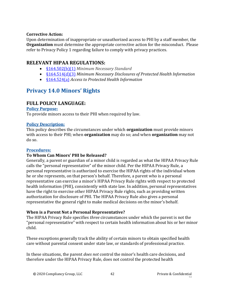#### **Corrective Action:**

Upon determination of inappropriate or unauthorized access to PHI by a staff member, the **Organization** must determine the appropriate corrective action for the misconduct. Please refer to Privacy Policy 1 regarding failure to comply with privacy practices.

### **RELEVANT HIPAA REGULATIONS:**

- [§164.502\(b\)\(1\)](https://gov.ecfr.io/cgi-bin/retrieveECFR?gp=&SID=15863a3e461afc3dc98e0da4885434cc&mc=true&r=SECTION&n=se45.2.164_1502) *Minimum Necessary Standard*
- [§164.514\(d\)\(3\)](https://gov.ecfr.io/cgi-bin/retrieveECFR?gp=&SID=15863a3e461afc3dc98e0da4885434cc&mc=true&r=SECTION&n=se45.2.164_1514) *Minimum Necessary Disclosures of Protected Health Information*
- [§164.524\(a\)](https://gov.ecfr.io/cgi-bin/retrieveECFR?gp=&SID=15863a3e461afc3dc98e0da4885434cc&mc=true&n=sp45.2.164.e&r=SUBPART&ty=HTML#se45.2.164_1524) *Access to Protected Health Information*

# **Privacy 14.0 Minors' Rights**

### **FULL POLICY LANGUAGE:**

#### **Policy Purpose:**

To provide minors access to their PHI when required by law.

#### **Policy Description:**

This policy describes the circumstances under which **organization** must provide minors with access to their PHI; when **organization** may do so; and when **organization** may not do so.

#### **Procedures:**

#### **To Whom Can Minors' PHI be Released?**

Generally, a parent or guardian of a minor child is regarded as what the HIPAA Privacy Rule calls the "personal representative" of the minor child. Per the HIPAA Privacy Rule, a personal representative is authorized to exercise the HIPAA rights of the individual whom he or she represents, on that person's behalf. Therefore, a parent who is a personal representative can exercise a minor's HIPAA Privacy Rule rights with respect to protected health information (PHI), consistently with state law. In addition, personal representatives have the right to exercise other HIPAA Privacy Rule rights, such as providing written authorization for disclosure of PHI. The HIPAA Privacy Rule also gives a personal representative the general right to make medical decisions on the minor's behalf.

#### **When is a Parent Not a Personal Representative?**

The HIPAA Privacy Rule specifies *three* circumstances under which the parent is not the "personal representative" with respect to certain health information about his or her minor child.

These exceptions generally track the ability of certain minors to obtain specified health care without parental consent under state law, or standards of professional practice.

In these situations, the parent *does not* control the minor's health care decisions, and therefore under the HIPAA Privacy Rule, does not control the protected health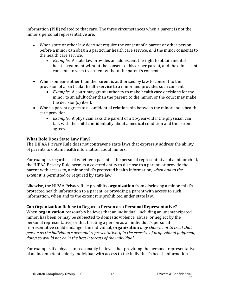information (PHI) related to that care. The three circumstances when a parent is not the minor's personal representative are:

- When state or other law does not require the consent of a parent or other person before a minor can obtain a particular health care service, *and* the minor consents to the health care service.
	- *Example*: A state law provides an adolescent the right to obtain mental health treatment without the consent of his or her parent, and the adolescent consents to such treatment without the parent's consent.
- When someone other than the parent is authorized by law to consent to the provision of a particular health service to a minor and provides such consent.
	- *Example*: A court may grant authority to make health care decisions for the minor to an adult other than the parent, to the minor, or the court may make the decision(s) itself.
- When a parent agrees to a confidential relationship between the minor and a health care provider.
	- *Example*: A physician asks the parent of a 16-year-old if the physician can talk with the child confidentially about a medical condition and the parent agrees.

### **What Role Does State Law Play?**

The HIPAA Privacy Rule does not contravene state laws that expressly address the ability of parents to obtain health information about minors.

For example, regardless of whether a parent is the personal representative of a minor child, the HIPAA Privacy Rule permits a covered entity to disclose to a parent, or provide the parent with access to, a minor child's protected health information, *when and to the extent* it is permitted or required by state law.

Likewise, the HIPAA Privacy Rule prohibits **organization** from disclosing a minor child's protected health information to a parent, or providing a parent with access to such information, when and to the extent it is prohibited under state law.

#### **Can Organization Refuse to Regard a Person as a Personal Representative?**

When **organization** reasonably believes that an individual, including an unemancipated minor, has been or may be subjected to domestic violence, abuse, or neglect by the personal representative, or that treating a person as an individual's personal representative could endanger the individual, **organization** *may choose not to treat that person as the individual's personal representative, if in the exercise of professional judgment, doing so would not be in the best interests of the individual*.

For example, if a physician reasonably believes that providing the personal representative of an incompetent elderly individual with access to the individual's health information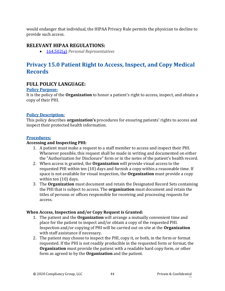would endanger that individual, the HIPAA Privacy Rule permits the physician to decline to provide such access.

### **RELEVANT HIPAA REGULATIONS:**

• [164.502\(g\)](https://gov.ecfr.io/cgi-bin/retrieveECFR?gp=&SID=15863a3e461afc3dc98e0da4885434cc&mc=true&r=SECTION&n=se45.2.164_1502) *Personal Representatives*

# **Privacy 15.0 Patient Right to Access, Inspect, and Copy Medical Records**

### **FULL POLICY LANGUAGE:**

#### **Policy Purpose:**

It is the policy of the **Organization** to honor a patient's right to access, inspect, and obtain a copy of their PHI.

#### **Policy Description:**

This policy describes **organization's** procedures for ensuring patients' rights to access and inspect their protected health information.

#### **Procedures:**

#### **Accessing and Inspecting PHI:**

- 1. A patient must make a request to a staff member to access and inspect their PHI. Whenever possible, this request shall be made in writing and documented on either the "Authorization for Disclosure" form or in the notes of the patient's health record.
- 2. When access is granted, the **Organization** will provide visual access to the requested PHI within ten (10) days and furnish a copy within a reasonable time. If space is not available for visual inspection, the **Organization** must provide a copy within ten (10) days.
- 3. The **Organization** must document and retain the Designated Record Sets containing the PHI that is subject to access. The **organization** must document and retain the titles of persons or offices responsible for receiving and processing requests for access.

#### **When Access, Inspection and/or Copy Request is Granted:**

- 1. The patient and the **Organization** will arrange a mutually convenient time and place for the patient to inspect and/or obtain a copy of the requested PHI. Inspection and/or copying of PHI will be carried out on site at the **Organization** with staff assistance if necessary.
- 2. The patient may choose to inspect the PHI, copy it, or both, in the form or format requested. If the PHI is not readily producible in the requested form or format, the **Organization** must provide the patient with a readable hard copy form, or other form as agreed to by the **Organization** and the patient.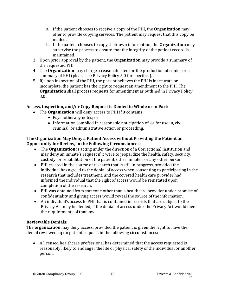- a. If the patient chooses to receive a copy of the PHI, the **Organization** may offer to provide copying services. The patient may request that this copy be mailed.
- b. If the patient chooses to copy their own information, the **Organization** may supervise the process to ensure that the integrity of the patient record is maintained.
- 3. Upon prior approval by the patient, the **Organization** may provide a summary of the requested PHI.
- 4. The **Organization** may charge a reasonable fee for the production of copies or a summary of PHI (please see Privacy Policy 5.0 for specifics).
- 5. If, upon inspection of the PHI, the patient believes the PHI is inaccurate or incomplete, the patient has the right to request an amendment to the PHI. The **Organization** shall process requests for amendment as outlined in Privacy Policy 3.0.

### **Access, Inspection, and/or Copy Request is Denied in Whole or in Part:**

- The **Organization** will deny access to PHI if it contains:
	- Psychotherapy notes; or
	- Information complied in reasonable anticipation of, or for use in, civil, criminal, or administrative action or proceeding.

### **The Organization May Deny a Patient Access without Providing the Patient an Opportunity for Review, in the Following Circumstances:**

- The **Organization** is acting under the direction of a Correctional Institution and may deny an inmate's request if it were to jeopardize the health, safety, security, custody, or rehabilitation of the patient, other inmates, or any other person.
- PHI created in the course of research that is still in progress, provided the individual has agreed to the denial of access when consenting to participating in the research that includes treatment, and the covered health care provider had informed the individual that the right of access would be reinstated upon completion of the research.
- PHI was obtained from someone other than a healthcare provider under promise of confidentiality and giving access would reveal the source of the information.
- An individual's access to PHI that is contained in records that are subject to the Privacy Act may be denied, if the denial of access under the Privacy Act would meet the requirements of that law.

#### **Reviewable Denials:**

The **organization** may deny access, provided the patient is given the right to have the denial reviewed, upon patient request, in the following circumstances:

• A licensed healthcare professional has determined that the access requested is reasonably likely to endanger the life or physical safety of the individual or another person.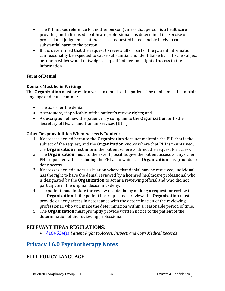- The PHI makes reference to another person (unless that person is a healthcare provider) and a licensed healthcare professional has determined in exercise of professional judgment, that the access requested is reasonably likely to cause substantial harm to the person.
- If it is determined that the request to review all or part of the patient information can reasonably be expected to cause substantial and identifiable harm to the subject or others which would outweigh the qualified person's right of access to the information.

#### **Form of Denial:**

#### **Denials Must be in Writing:**

The **Organization** must provide a written denial to the patient. The denial must be in plain language and must contain:

- The basis for the denial;
- A statement, if applicable, of the patient's review rights; and
- A description of how the patient may complain to the **Organization** or to the Secretary of Health and Human Services (HHS).

#### **Other Responsibilities When Access is Denied:**

- 1. If access is denied because the **Organization** does not maintain the PHI that is the subject of the request, and the **Organization** knows where that PHI is maintained, the **Organization** must inform the patient where to direct the request for access.
- 2. The **Organization** must, to the extent possible, give the patient access to any other PHI requested, after excluding the PHI as to which the **Organization** has grounds to deny access.
- 3. If access is denied under a situation where that denial may be reviewed, individual has the right to have the denial reviewed by a licensed healthcare professional who is designated by the **Organization** to act as a reviewing official and who did not participate in the original decision to deny.
- 4. The patient must initiate the review of a denial by making a request for review to the **Organization**. If the patient has requested a review, the **Organization** must provide or deny access in accordance with the determination of the reviewing professional, who will make the determination within a reasonable period of time.
- 5. The **Organization** must promptly provide written notice to the patient of the determination of the reviewing professional.

### **RELEVANT HIPAA REGULATIONS:**

• [§164.524\(a\)](https://gov.ecfr.io/cgi-bin/retrieveECFR?gp=&SID=15863a3e461afc3dc98e0da4885434cc&mc=true&n=sp45.2.164.e&r=SUBPART&ty=HTML#se45.2.164_1524) *Patient Right to Access, Inspect, and Copy Medical Records*

## **Privacy 16.0 Psychotherapy Notes**

### **FULL POLICY LANGUAGE:**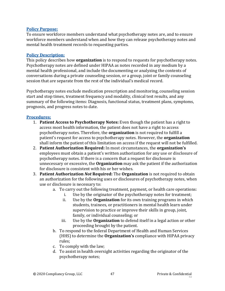#### **Policy Purpose:**

To ensure workforce members understand what psychotherapy notes are, and to ensure workforce members understand when and how they can release psychotherapy notes and mental health treatment records to requesting parties.

#### **Policy Description:**

This policy describes how **organization** is to respond to requests for psychotherapy notes. Psychotherapy notes are defined under HIPAA as notes recorded in any medium by a mental health professional, and include the documenting or analyzing the contents of conversations during a private counseling session, or a group, joint or family counseling session that are separate from the rest of the individual's medical record.

Psychotherapy notes exclude medication prescription and monitoring, counseling session start and stop times, treatment frequency and modality, clinical test results, and any summary of the following items: Diagnosis, functional status, treatment plans, symptoms, prognosis, and progress notes to date.

#### **Procedures:**

- 1. **Patient Access to Psychotherapy Notes:** Even though the patient has a right to access most health information, the patient does not have a right to access psychotherapy notes. Therefore, the **organization** is not required to fulfill a patient's request for access to psychotherapy notes. However, the **organization** shall inform the patient of this limitation on access if the request will not be fulfilled.
- 2. **Patient Authorization Required:** In most circumstances, the **organization's** employees must obtain a patient's written authorization for any use or disclosure of psychotherapy notes. If there is a concern that a request for disclosure is unnecessary or excessive, the **Organization** may ask the patient if the authorization for disclosure is consistent with his or her wishes.
- 3. **Patient Authorization** *Not* **Required:** The **Organization** is not required to obtain an authorization for the following uses or disclosures of psychotherapy notes, when use or disclosure is necessary to:
	- a. To carry out the following treatment, payment, or health care operations:
		- i. Use by the originator of the psychotherapy notes for treatment;
		- ii. Use by the **Organization** for its own training programs in which students, trainees, or practitioners in mental health learn under supervision to practice or improve their skills in group, joint, family, or individual counseling; or
		- iii. Use by the **Organization** to defend itself in a legal action or other proceeding brought by the patient.
	- b. To respond to the federal Department of Health and Human Services (HHS) to determine the **Organization's** compliance with HIPAA privacy rules;
	- c. To comply with the law;
	- d. To assist in health oversight activities regarding the originator of the psychotherapy notes;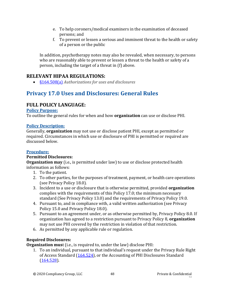- e. To help coroners/medical examiners in the examination of deceased persons; and
- f. To prevent or lessen a serious and imminent threat to the health or safety of a person or the public

In addition, psychotherapy notes may also be revealed, when necessary, to persons who are reasonably able to prevent or lessen a threat to the health or safety of a person, including the target of a threat in (f) above.

## **RELEVANT HIPAA REGULATIONS:**

• [§164.508\(a\)](https://gov.ecfr.io/cgi-bin/retrieveECFR?gp=&SID=15863a3e461afc3dc98e0da4885434cc&mc=true&r=SECTION&n=se45.2.164_1508) *Authorizations for uses and disclosures*

# **Privacy 17.0 Uses and Disclosures: General Rules**

## **FULL POLICY LANGUAGE:**

#### **Policy Purpose:**

To outline the general rules for when and how **organization** can use or disclose PHI.

### **Policy Description:**

Generally, **organization** may not use or disclose patient PHI, except as permitted or required. Circumstances in which use or disclosure of PHI is permitted or required are discussed below.

### **Procedure:**

### **Permitted Disclosures:**

**Organization may** (i.e., is permitted under law) to use or disclose protected health information as follows:

- 1. To the patient.
- 2. To other parties, for the purposes of treatment, payment, or health care operations (see Privacy Policy 18.0).
- 3. Incident to a use or disclosure that is otherwise permitted, provided **organization** complies with the requirements of this Policy 17.0; the minimum necessary standard (See Privacy Policy 13.0) and the requirements of Privacy Policy 19.0.
- 4. Pursuant to, and in compliance with, a valid written authorization (see Privacy Policy 15.0 and Privacy Policy 18.0).
- 5. Pursuant to an agreement under, or as otherwise permitted by, Privacy Policy 8.0. If organization has agreed to a restriction pursuant to Privacy Policy 8, **organization** may not use PHI covered by the restriction in violation of that restriction.
- 6. As permitted by any applicable rule or regulation.

### **Required Disclosures:**

**Organization mus**t (i.e., is required to, under the law) disclose PHI:

1. To an individual, pursuant to that individual's request under the Privacy Rule Right of Access Standard [\(164.524\)](https://gov.ecfr.io/cgi-bin/retrieveECFR?gp=&SID=15863a3e461afc3dc98e0da4885434cc&mc=true&n=sp45.2.164.e&r=SUBPART&ty=HTML#se45.2.164_1524), or the Accounting of PHI Disclosures Standard  $(164.528)$ .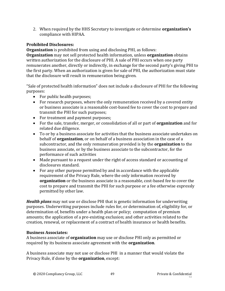2. When required by the HHS Secretary to investigate or determine **organization's** compliance with HIPAA.

#### **Prohibited Disclosures:**

**Organization** is prohibited from using and disclosing PHI, as follows: **Organization** may not sell protected health information, unless **organization** obtains written authorization for the disclosure of PHI. A sale of PHI occurs when one party remunerates another, directly or indirectly, in exchange for the second party's giving PHI to the first party. When an authorization is given for sale of PHI, the authorization must state that the disclosure will result in remuneration being given.

"Sale of protected health information" does not include a disclosure of PHI for the following purposes:

- For public health purposes;
- For research purposes, where the only remuneration received by a covered entity or business associate is a reasonable cost-based fee to cover the cost to prepare and transmit the PHI for such purposes;
- For treatment and payment purposes;
- For the sale, transfer, merger, or consolidation of all or part of **organization** and for related due diligence.
- To or by a business associate for activities that the business associate undertakes on behalf of **organization**, or on behalf of a business association in the case of a subcontractor, and the only remuneration provided is by the **organization** to the business associate, or by the business associate to the subcontractor, for the performance of such activities
- Made pursuant to a request under the right of access standard or accounting of disclosures standard.
- For any other purpose permitted by and in accordance with the applicable requirement of the Privacy Rule, where the only information received by **organization** or the business associate is a reasonable, cost-based fee to cover the cost to prepare and transmit the PHI for such purpose or a fee otherwise expressly permitted by other law.

*Health plans* may not use or disclose PHI that is genetic information for underwriting purposes. Underwriting purposes include rules for, or determination of, eligibility for, or determination of, benefits under a health plan or policy; computation of premium amounts; the application of a pre-existing exclusion; and other activities related to the creation, renewal, or replacement of a contract of health insurance or health benefits.

#### **Business Associates:**

A business associate of **organization** may use or disclose PHI only as permitted or required by its business associate agreement with the **organization**.

A business associate may not use or disclose PHI in a manner that would violate the Privacy Rule, if done by the **organization**, except: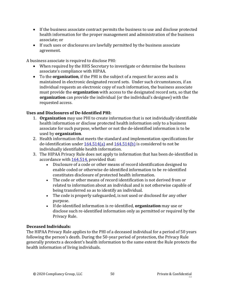- If the business associate contract permits the business to use and disclose protected health information for the proper management and administration of the business associate; or
- If such uses or disclosures are lawfully permitted by the business associate agreement.

A business associate is required to disclose PHI:

- When required by the HHS Secretary to investigate or determine the business associate's compliance with HIPAA.
- To the **organization**, if the PHI is the subject of a request for access and is maintained in electronic designated record sets. Under such circumstances, if an individual requests an electronic copy of such information, the business associate must provide the **organization** with access to the designated record sets, so that the **organization** can provide the individual (or the individual's designee) with the requested access.

### **Uses and Disclosures of De-Identified PHI:**

- 1. **Organization** may use PHI to create information that is not individually identifiable health information or disclose protected health information only to a business associate for such purpose, whether or not the de-identified information is to be used by **organization**.
- 2. Health information that meets the standard and implementation specifications for de-identification under  $164.514(a)$  and  $164.514(b)$  is considered to not be individually identifiable health information.
- 3. The HIPAA Privacy Rule does not apply to information that has been de-identified in accordance wit[h 164.514,](https://gov.ecfr.io/cgi-bin/retrieveECFR?gp=&SID=15863a3e461afc3dc98e0da4885434cc&mc=true&r=SECTION&n=se45.2.164_1514) provided that:
	- Disclosure of a code or other means of record identification designed to enable coded or otherwise de-identified information to be re-identified constitutes disclosure of protected health information.
	- The code or other means of record identification is not derived from or related to information about an individual and is not otherwise capable of being transferred so as to identify an individual.
	- The code is properly safeguarded, is not used or disclosed for any other purpose.
	- If de-identified information is re-identified, **organization** may use or disclose such re-identified information only as permitted or required by the Privacy Rule.

#### **Deceased Individuals:**

The HIPAA Privacy Rule applies to the PHI of a deceased individual for a period of 50 years following the person's death. During the 50-year period of protection, the Privacy Rule generally protects a decedent's health information to the same extent the Rule protects the health information of living individuals.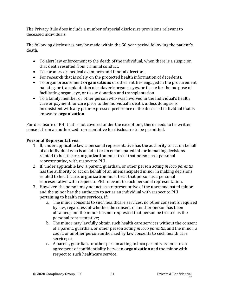The Privacy Rule does include a number of special disclosure provisions relevant to deceased individuals.

The following disclosures may be made within the 50-year period following the patient's death:

- To alert law enforcement to the death of the individual, when there is a suspicion that death resulted from criminal conduct.
- To coroners or medical examiners and funeral directors.
- For research that is solely on the protected health information of decedents.
- To organ procurement **organizations** or other entities engaged in the procurement, banking, or transplantation of cadaveric organs, eyes, or tissue for the purpose of facilitating organ, eye, or tissue donation and transplantation.
- To a family member or other person who was involved in the individual's health care or payment for care prior to the individual's death, unless doing so is inconsistent with any prior expressed preference of the deceased individual that is known to **organization**.

For disclosure of PHI that is not covered under the exceptions, there needs to be written consent from an authorized representative for disclosure to be permitted.

#### **Personal Representatives:**

- 1. If, under applicable law, a personal representative has the authority to act on behalf of an individual who is an adult or an emancipated minor in making decisions related to healthcare, **organization** must treat that person as a personal representative, with respect to PHI.
- 2. If, under applicable law, a parent, guardian, or other person acting *in loco parentis* has the authority to act on behalf of an unemancipated minor in making decisions related to healthcare, **organization** must treat that person as a personal representative with respect to PHI relevant to such personal representation.
- 3. However, the person may not act as a representative of the unemancipated minor, and the minor has the authority to act as an individual with respect to PHI pertaining to health care services, if:
	- a. The minor consents to such healthcare services; no other consent is required by law, regardless of whether the consent of another person has been obtained; and the minor has not requested that person be treated as the personal representative;
	- b. The minor may lawfully obtain such health care services without the consent of a parent, guardian, or other person acting *in loco parentis*, and the minor, a court, or another person authorized by law consents to such health care service; or
	- c. A parent, guardian, or other person acting in loco parentis assents to an agreement of confidentiality between **organization** and the minor with respect to such healthcare service.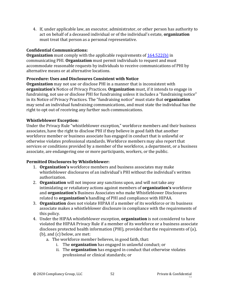4. If, under applicable law, an executor, administrator, or other person has authority to act on behalf of a deceased individual or of the individual's estate, **organization** must treat that person as a personal representative.

### **Confidential Communications:**

**Organization** must comply with the applicable requirements of [164.522\(b\)](https://www.ecfr.gov/cgi-bin/text-idx?SID=53c18c4f7a4240f452022cb17054accb&mc=true&node=se45.1.164_1522&rgn=div8) in communicating PHI. **Organization** must permit individuals to request and must accommodate reasonable requests by individuals to receive communications of PHI by alternative means or at alternative locations.

### **Procedure: Uses and Disclosures Consistent with Notice**

**Organization** may not use or disclose PHI in a manner that is inconsistent with **organization's** Notice of Privacy Practices. **Organization** must, if it intends to engage in fundraising, not use or disclose PHI for fundraising unless it includes a "fundraising notice" in its Notice of Privacy Practices. The "fundraising notice" must state that **organization**  may send an individual fundraising communications, and must state the individual has the right to opt out of receiving any further such communications.

### **Whistleblower Exception:**

Under the Privacy Rule "whistleblower exception," workforce members and their business associates, have the right to disclose PHI if they believe in good faith that another workforce member or business associate has engaged in conduct that is unlawful or otherwise violates professional standards. Workforce members may also report that services or conditions provided by a member of the workforce, a department, or a business associate, are endangering one or more participants, workers, or the public.

### **Permitted Disclosures by Whistleblower:**

- 1. **Organization's** workforce members and business associates may make whistleblower disclosures of an individual's PHI without the individual's written authorization.
- 2. **Organization** will not impose any sanctions upon, and will not take any intimidating or retaliatory actions against members of **organization's** workforce and **organization's** Business Associates who make Whistleblower Disclosures related to **organization's** handling of PHI and compliance with HIPAA.
- 3. **Organization** does not violate HIPAA if a member of its workforce or its business associate makes a whistleblower disclosure in compliance with the requirements of this policy.
- 4. Under the HIPAA whistleblower exception, **organization** is not considered to have violated the HIPAA Privacy Rule if a member of its workforce or a business associate discloses protected health information (PHI), provided that the requirements of (a), (b), and (c) below, are met:
	- a. The workforce member believes, in good faith, that:
		- i. The **organization** has engaged in unlawful conduct; or
		- ii. The **organization** has engaged in conduct that otherwise violates professional or clinical standards; or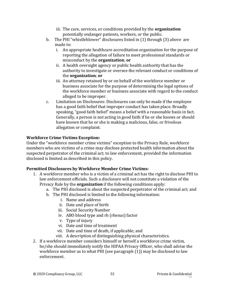- iii. The care, services, or conditions provided by the **organization**  potentially endanger patients, workers, or the public.
- b. The PHI "whistleblower" disclosures listed in (1) through (3) above are made to:
	- i. An appropriate healthcare accreditation organization for the purpose of reporting the allegation of failure to meet professional standards or misconduct by the **organization**; **or**
	- ii. A health oversight agency or public health authority that has the authority to investigate or oversee the relevant conduct or conditions of the **organization**; **or**
	- iii. An attorney retained by or on behalf of the workforce member or business associate for the purpose of determining the legal options of the workforce member or business associate with regard to the conduct alleged to be improper.
- c. Limitation on Disclosures: Disclosures can only be made if the employee has a good faith belief that improper conduct has taken place. Broadly speaking, "good faith belief" means a belief with a reasonable basis in fact. Generally, a person is not acting in good faith if he or she knows or should have known that he or she is making a malicious, false, or frivolous allegation or complaint.

### **Workforce Crime Victims Exception:**

Under the "workforce member crime victims" exception to the Privacy Rule, workforce members who are victims of a crime may disclose protected health information about the suspected perpetrator of the criminal act; to law enforcement, provided the information disclosed is limited as described in this policy.

### **Permitted Disclosures by Workforce Member Crime Victims:**

- 1. A workforce member who is a victim of a criminal act has the right to disclose PHI to law enforcement officials. Such a disclosure will not constitute a violation of the Privacy Rule by the **organization** if the following conditions apply:
	- a. The PHI disclosed is about the suspected perpetrator of the criminal act; and
	- b. The PHI disclosed is limited to the following information:
		- i. Name and address
		- ii. Date and place of birth
		- iii. Social Security Number
		- iv. ABO blood type and rh (rhesus) factor
		- v. Type of injury
		- vi. Date and time of treatment
		- vii. Date and time of death, if applicable; and
		- viii. A description of distinguishing physical characteristics.
- 2. If a workforce member considers himself or herself a workforce crime victim, he/she should immediately notify the HIPAA Privacy Officer, who shall advise the workforce member as to what PHI (see paragraph (1)) may be disclosed to law enforcement.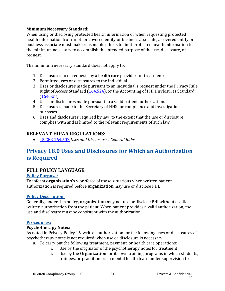#### **Minimum Necessary Standard:**

When using or disclosing protected health information or when requesting protected health information from another covered entity or business associate, a covered entity or business associate must make reasonable efforts to limit protected health information to the minimum necessary to accomplish the intended purpose of the use, disclosure, or request.

The minimum necessary standard does not apply to:

- 1. Disclosures to or requests by a health care provider for treatment;
- 2. Permitted uses or disclosures to the individual.
- 3. Uses or disclosures made pursuant to an individual's request under the Privacy Rule Right of Access Standard [\(164.524\)](https://gov.ecfr.io/cgi-bin/retrieveECFR?gp=&SID=15863a3e461afc3dc98e0da4885434cc&mc=true&n=sp45.2.164.e&r=SUBPART&ty=HTML#se45.2.164_1524), or the Accounting of PHI Disclosures Standard [\(164.528\)](https://gov.ecfr.io/cgi-bin/retrieveECFR?gp=&SID=15863a3e461afc3dc98e0da4885434cc&mc=true&n=sp45.2.164.e&r=SUBPART&ty=HTML#se45.2.164_1528).
- 4. Uses or disclosures made pursuant to a valid patient authorization.
- 5. Disclosures made to the Secretary of HHS for compliance and investigation purposes.
- 6. Uses and disclosures required by law, to the extent that the use or disclosure complies with and is limited to the relevant requirements of such law.

### **RELEVANT HIPAA REGULATIONS:**

• [45 CFR 164.502](https://gov.ecfr.io/cgi-bin/retrieveECFR?gp=&SID=15863a3e461afc3dc98e0da4885434cc&mc=true&n=pt45.2.164&r=PART&ty=HTML#se45.2.164_1502) *Uses and Disclosures: General Rules*

# **Privacy 18.0 Uses and Disclosures for Which an Authorization is Required**

### **FULL POLICY LANGUAGE:**

#### **Policy Purpose:**

To inform **organization's** workforce of those situations when written patient authorization is required before **organization** may use or disclose PHI.

#### **Policy Description:**

Generally, under this policy, **organization** may not use or disclose PHI without a valid written authorization from the patient. When patient provides a valid authorization, the use and disclosure must be consistent with the authorization.

#### **Procedures:**

#### **Psychotherapy Notes:**

As noted in Privacy Policy 16, written authorization for the following uses or disclosures of psychotherapy notes is not required when use or disclosure is necessary:

- a. To carry out the following treatment, payment, or health care operations:
	- i. Use by the originator of the psychotherapy notes for treatment;
	- ii. Use by the **Organization** for its own training programs in which students, trainees, or practitioners in mental health learn under supervision to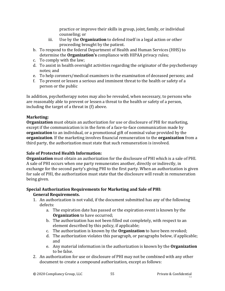practice or improve their skills in group, joint, family, or individual counseling; or

- iii. Use by the **Organization** to defend itself in a legal action or other proceeding brought by the patient.
- b. To respond to the federal Department of Health and Human Services (HHS) to determine the **Organization's** compliance with HIPAA privacy rules;
- c. To comply with the law;
- d. To assist in health oversight activities regarding the originator of the psychotherapy notes; and
- e. To help coroners/medical examiners in the examination of deceased persons; and
- f. To prevent or lessen a serious and imminent threat to the health or safety of a person or the public

In addition, psychotherapy notes may also be revealed, when necessary, to persons who are reasonably able to prevent or lessen a threat to the health or safety of a person, including the target of a threat in (f) above.

### **Marketing:**

**Organization** must obtain an authorization for use or disclosure of PHI for marketing, except if the communication is in the form of a face-to-face communication made by **organization** to an individual, or a promotional gift of nominal value provided by the **organization**. If the marketing involves financial remuneration to the **organization** from a third party, the authorization must state that such remuneration is involved.

### **Sale of Protected Health Information:**

**Organization** must obtain an authorization for the disclosure of PHI which is a sale of PHI. A sale of PHI occurs when one party remunerates another, directly or indirectly, in exchange for the second party's giving PHI to the first party. When an authorization is given for sale of PHI, the authorization must state that the disclosure will result in remuneration being given.

### **Special Authorization Requirements for Marketing and Sale of PHI: General Requirements.**

- 1. An authorization is not valid, if the document submitted has any of the following defects:
	- a. The expiration date has passed or the expiration event is known by the **Organization** to have occurred;
	- b. The authorization has not been filled out completely, with respect to an element described by this policy, if applicable;
	- c. The authorization is known by the **Organization** to have been revoked;
	- d. The authorization violates this paragraph, or paragraphs below, if applicable; and
	- e. Any material information in the authorization is known by the **Organization** to be false.
- 2. An authorization for use or disclosure of PHI may not be combined with any other document to create a compound authorization, except as follows: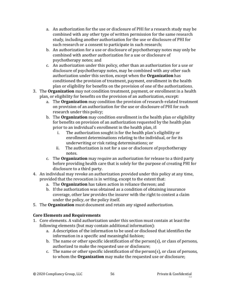- a. An authorization for the use or disclosure of PHI for a research study may be combined with any other type of written permission for the same research study, including another authorization for the use or disclosure of PHI for such research or a consent to participate in such research;
- b. An authorization for a use or disclosure of psychotherapy notes may only be combined with another authorization for a use or disclosure of psychotherapy notes; and
- c. An authorization under this policy, other than an authorization for a use or disclosure of psychotherapy notes, may be combined with any other such authorization under this section, except when the **Organization** has conditioned the provision of treatment, payment, enrollment in the health plan or eligibility for benefits on the provision of one of the authorizations.
- 3. The **Organization** may not condition treatment, payment, or enrollment in a health plan, or eligibility for benefits on the provision of an authorization, except:
	- a. The **Organization** may condition the provision of research-related treatment on provision of an authorization for the use or disclosure of PHI for such research under this policy;
	- b. The **Organization** may condition enrollment in the health plan or eligibility for benefits on provision of an authorization requested by the health plan prior to an individual's enrollment in the health plan, if:
		- i. The authorization sought is for the health plan's eligibility or enrollment determinations relating to the individual, or for its underwriting or risk rating determinations; or
		- ii. The authorization is not for a use or disclosure of psychotherapy notes.
	- c. The **Organization** may require an authorization for release to a third party before providing health care that is solely for the purpose of creating PHI for disclosure to a third party.
- 4. An individual may revoke an authorization provided under this policy at any time, provided that the revocation is in writing, except to the extent that:
	- a. The **Organization** has taken action in reliance thereon; and
	- b. If the authorization was obtained as a condition of obtaining insurance coverage, other law provides the insurer with the right to contest a claim under the policy, or the policy itself.
- 5. The **Organization** must document and retain any signed authorization.

### **Core Elements and Requirements**

- 1. Core elements. A valid authorization under this section must contain at least the following elements (but may contain additional information):
	- a. A description of the information to be used or disclosed that identifies the information in a specific and meaningful fashion;
	- b. The name or other specific identification of the person(s), or class of persons, authorized to make the requested use or disclosure;
	- c. The name or other specific identification of the person(s), or class of persons, to whom the **Organization** may make the requested use or disclosure;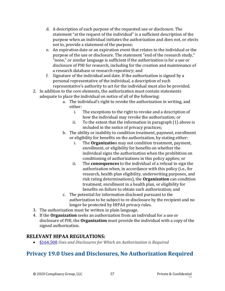- d. A description of each purpose of the requested use or disclosure. The statement "at the request of the individual" is a sufficient description of the purpose when an individual initiates the authorization and does not, or elects not to, provide a statement of the purpose;
- e. An expiration date or an expiration event that relates to the individual or the purpose of the use or disclosure. The statement "end of the research study," "none," or similar language is sufficient if the authorization is for a use or disclosure of PHI for research, including for the creation and maintenance of a research database or research repository; and
- f. Signature of the individual and date. If the authorization is signed by a personal representative of the individual, a description of such representative's authority to act for the individual must also be provided.
- 2. In addition to the core elements, the authorization must contain statements adequate to place the individual on notice of all of the following:
	- a. The individual's right to revoke the authorization in writing, and either:
		- i. The exceptions to the right to revoke and a description of how the individual may revoke the authorization; or
		- ii. To the extent that the information in paragraph (1) above is included in the notice of privacy practices;
	- b. The ability or inability to condition treatment, payment, enrollment or eligibility for benefits on the authorization, by stating either:
		- i. The **Organizatio**n may not condition treatment, payment, enrollment, or eligibility for benefits on whether the individual signs the authorization when the prohibition on conditioning of authorizations in this policy applies; or
		- ii. The **consequences** to the individual of a refusal to sign the authorization when, in accordance with this policy (i.e., for research, health plan eligibility, underwriting purposes, and risk rating determinations), the **Organization** can condition treatment, enrollment in a health plan, or eligibility for benefits on failure to obtain such authorization; and
	- c. The potential for information disclosed pursuant to the authorization to be subject to re-disclosure by the recipient and no longer be protected by HIPAA privacy rules.
- 3. The authorization must be written in plain language.
- 4. If the **Organization** seeks an authorization from an individual for a use or disclosure of PHI, the **Organization** must provide the individual with a copy of the signed authorization.

## **RELEVANT HIPAA REGULATIONS:**

• [§164.508](https://gov.ecfr.io/cgi-bin/retrieveECFR?gp=&SID=15863a3e461afc3dc98e0da4885434cc&mc=true&r=SECTION&n=se45.2.164_1508) *Uses and Disclosures for Which an Authorization is Required*

# **Privacy 19.0 Uses and Disclosures, No Authorization Required**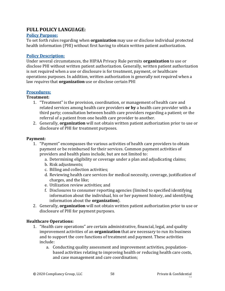### **FULL POLICY LANGUAGE:**

#### **Policy Purpose:**

To set forth rules regarding when **organization** may use or disclose individual protected health information (PHI) without first having to obtain written patient authorization.

#### **Policy Description:**

Under several circumstances, the HIPAA Privacy Rule permits **organization** to use or disclose PHI without written patient authorization. Generally, written patient authorization is not required when a use or disclosure is for treatment, payment, or healthcare operations purposes. In addition, written authorization is generally not required when a law *requires* that **organization** use or disclose certain PHI

#### **Procedures:**

#### **Treatment:**

- 1. "Treatment" is the provision, coordination, or management of health care and related services among health care providers **or by** a health care provider with a third party; consultation between health care providers regarding a patient; or the referral of a patient from one health care provider to another.
- 2. Generally, **organization** will not obtain written patient authorization prior to use or disclosure of PHI for treatment purposes.

#### **Payment:**

- 1. "Payment" encompasses the various activities of health care providers to obtain payment or be reimbursed for their services. Common payment activities of providers and health plans include, but are not limited to:
	- a. Determining eligibility or coverage under a plan and adjudicating claims;
	- b. Risk adjustments;
	- c. Billing and collection activities;
	- d. Reviewing health care services for medical necessity, coverage, justification of charges, and the like;
	- e. Utilization review activities; and
	- f. Disclosures to consumer reporting agencies (limited to specified identifying information about the individual, his or her payment history, and identifying information about the **organization**).
- 2. Generally, **organization** will not obtain written patient authorization prior to use or disclosure of PHI for payment purposes.

#### **Healthcare Operations:**

- 1. "Health care operations" are certain administrative, financial, legal, and quality improvement activities of an **organization** that are necessary to run its business and to support the core functions of treatment and payment. These activities include:
	- a. Conducting quality assessment and improvement activities, populationbased activities relating to improving health or reducing health care costs, and case management and care coordination;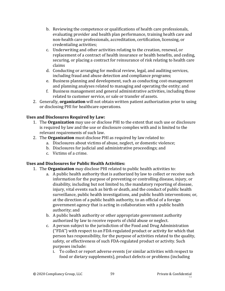- b. Reviewing the competence or qualifications of health care professionals, evaluating provider and health plan performance, training health care and non-health care professionals, accreditation, certification, licensing, or credentialing activities;
- c. Underwriting and other activities relating to the creation, renewal, or replacement of a contract of health insurance or health benefits, and ceding, securing, or placing a contract for reinsurance of risk relating to health care claims
- d. Conducting or arranging for medical review, legal, and auditing services, including fraud and abuse detection and compliance programs;
- e. Business planning and development, such as conducting cost-management and planning analyses related to managing and operating the entity; and
- f. Business management and general administrative activities, including those related to customer service, or sale or transfer of assets.
- 2. Generally, **organization** will not obtain written patient authorization prior to using or disclosing PHI for healthcare operations.

### **Uses and Disclosures Required by Law:**

- 1. The **Organization** may use or disclose PHI to the extent that such use or disclosure is required by law and the use or disclosure complies with and is limited to the relevant requirements of such law.
- 2. The **Organization** must disclose PHI as required by law related to:
	- a. Disclosures about victims of abuse, neglect, or domestic violence;
	- b. Disclosures for judicial and administrative proceedings; and
	- c. Victims of a crime.

### **Uses and Disclosures for Public Health Activities:**

- 1. The **Organization** may disclose PHI related to public health activities to:
	- a. A public health authority that is authorized by law to collect or receive such information for the purpose of preventing or controlling disease, injury, or disability, including but not limited to, the mandatory reporting of disease, injury, vital events such as birth or death, and the conduct of public health surveillance, public health investigations, and public health interventions; or, at the direction of a public health authority, to an official of a foreign government agency that is acting in collaboration with a public health authority; and
	- b. A public health authority or other appropriate government authority authorized by law to receive reports of child abuse or neglect.
	- c. A person subject to the jurisdiction of the Food and Drug Administration ("FDA") with respect to an FDA-regulated product or activity for which that person has responsibility, for the purpose of activities related to the quality, safety, or effectiveness of such FDA-regulated product or activity. Such purposes include:
		- i. To collect or report adverse events (or similar activities with respect to food or dietary supplements), product defects or problems (including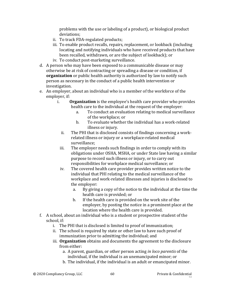problems with the use or labeling of a product), or biological product deviations;

- ii. To track FDA-regulated products;
- iii. To enable product recalls, repairs, replacement, or lookback (including locating and notifying individuals who have received products that have been recalled, withdrawn, or are the subject of lookback); or
- iv. To conduct post-marketing surveillance.
- d. A person who may have been exposed to a communicable disease or may otherwise be at risk of contracting or spreading a disease or condition, if **organization** or public health authority is authorized by law to notify such person as necessary in the conduct of a public health intervention or investigation.
- e. An employer, about an individual who is a member of the workforce of the employer, if:
	- i. **Organization** is the employee's health care provider who provides health care to the individual at the request of the employer:
		- a. To conduct an evaluation relating to medical surveillance of the workplace; or
		- b. To evaluate whether the individual has a work-related illness or injury.
		- ii. The PHI that is disclosed consists of findings concerning a workrelated illness or injury or a workplace-related medical surveillance;
		- iii. The employer needs such findings in order to comply with its obligations under OSHA, MSHA, or under State law having a similar purpose to record such illness or injury, or to carry out responsibilities for workplace medical surveillance; or
		- iv. The covered health care provider provides written notice to the individual that PHI relating to the medical surveillance of the workplace and work-related illnesses and injuries is disclosed to the employer:
			- a. By giving a copy of the notice to the individual at the time the health care is provided; or
			- b. If the health care is provided on the work site of the employer, by posting the notice in a prominent place at the location where the health care is provided.
- f. A school, about an individual who is a student or prospective student of the school, if:
	- i. The PHI that is disclosed is limited to proof of immunization;
	- ii. The school is required by state or other law to have such proof of immunization prior to admitting the individual; and
	- iii. **Organization** obtains and documents the agreement to the disclosure from either:
		- a. A parent, guardian, or other person acting *in loco parentis* of the individual, if the individual is an unemancipated minor; or
		- b. The individual, if the individual is an adult or emancipated minor.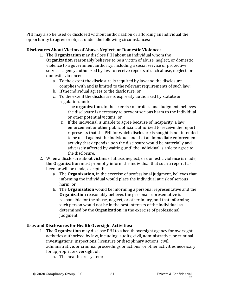PHI may also be used or disclosed without authorization or affording an individual the opportunity to agree or object under the following circumstances:

#### **Disclosures About Victims of Abuse, Neglect, or Domestic Violence:**

- 1. The **Organization** may disclose PHI about an individual whom the **Organization** reasonably believes to be a victim of abuse, neglect, or domestic violence to a government authority, including a social service or protective services agency authorized by law to receive reports of such abuse, neglect, or domestic violence:
	- a. To the extent the disclosure is required by law and the disclosure complies with and is limited to the relevant requirements of such law;
	- b. If the individual agrees to the disclosure; or
	- c. To the extent the disclosure is expressly authorized by statute or regulation, and:
		- i. The **organization**, in the exercise of professional judgment, believes the disclosure is necessary to prevent serious harm to the individual or other potential victims; or
		- ii. If the individual is unable to agree because of incapacity, a law enforcement or other public official authorized to receive the report represents that the PHI for which disclosure is sought is not intended to be used against the individual and that an immediate enforcement activity that depends upon the disclosure would be materially and adversely affected by waiting until the individual is able to agree to the disclosure.
- 2. When a disclosure about victims of abuse, neglect, or domestic violence is made, the **Organization** must promptly inform the individual that such a report has been or will be made, except if:
	- a. The **Organization**, in the exercise of professional judgment, believes that informing the individual would place the individual at risk of serious harm; or
	- b. The **Organization** would be informing a personal representative and the **Organization** reasonably believes the personal representative is responsible for the abuse, neglect, or other injury, and that informing such person would not be in the best interests of the individual as determined by the **Organization**, in the exercise of professional judgment.

### **Uses and Disclosures for Health Oversight Activities:**

- 1. The **Organization** may disclose PHI to a health oversight agency for oversight activities authorized by law, including: audits; civil, administrative, or criminal investigations; inspections; licensure or disciplinary actions; civil, administrative, or criminal proceedings or actions; or other activities necessary for appropriate oversight of:
	- a. The healthcare system;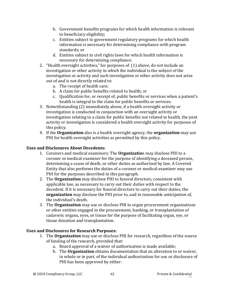- b. Government benefits programs for which health information is relevant to beneficiary eligibility;
- c. Entities subject to government regulatory programs for which health information is necessary for determining compliance with program standards; or
- d. Entities subject to civil rights laws for which health information is necessary for determining compliance.
- 2. "Health oversight activities," for purposes of (1) above, do not include an investigation or other activity in which the individual is the subject of the investigation or activity and such investigation or other activity does not arise out of and is not directly related to:
	- a. The receipt of health care;
	- b. A claim for public benefits related to health; or
	- c. Qualification for, or receipt of, public benefits or services when a patient's health is integral to the claim for public benefits or services.
- 3. Notwithstanding (2) immediately above, if a health oversight activity or investigation is conducted in conjunction with an oversight activity or investigation relating to a claim for public benefits not related to health, the joint activity or investigation is considered a health oversight activity for purposes of this policy.
- 4. If the **Organization** also is a health oversight agency, the **organization** may use PHI for health oversight activities as permitted by this policy.

#### **Uses and Disclosures About Decedents:**

- 1. Coroners and medical examiners: The **Organizatio**n may disclose PHI to a coroner or medical examiner for the purpose of identifying a deceased person, determining a cause of death, or other duties as authorized by law. A Covered Entity that also performs the duties of a coroner or medical examiner may use PHI for the purposes described in this paragraph.
- 2. The **Organization** may disclose PHI to funeral directors, consistent with applicable law, as necessary to carry out their duties with respect to the decedent. If it is necessary for funeral directors to carry out their duties, the **organization** may disclose the PHI prior to, and in reasonable anticipation of, the individual's death.
- 3. The **Organization** may use or disclose PHI to organ procurement organizations or other entities engaged in the procurement, banking, or transplantation of cadaveric organs, eyes, or tissue for the purpose of facilitating organ, eye, or tissue donation and transplantation.

### **Uses and Disclosures for Research Purposes:**

- 1. The **Organization** may use or disclose PHI for research, regardless of the source of funding of the research, provided that:
	- a. Board approval of a waiver of authorization is made available;
	- b. The **Organization** obtains documentation that an alteration to or waiver, in whole or in part, of the individual authorization for use or disclosure of PHI has been approved by either: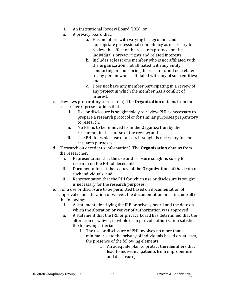- i. An Institutional Review Board (IRB); or
- ii. A privacy board that:
	- a. Has members with varying backgrounds and appropriate professional competency as necessary to review the effect of the research protocol on the individual's privacy rights and related interests;
	- b. Includes at least one member who is not affiliated with the **organization**, not affiliated with any entity conducting or sponsoring the research, and not related to any person who is affiliated with any of such entities; and
	- c. Does not have any member participating in a review of any project in which the member has a conflict of interest.
- c. (Reviews preparatory to research). The **Organization** obtains from the researcher representations that:
	- i. Use or disclosure is sought solely to review PHI as necessary to prepare a research protocol or for similar purposes preparatory to research;
	- ii. No PHI is to be removed from the **Organization** by the researcher in the course of the review; and
	- iii. The PHI for which use or access is sought is necessary for the research purposes.
- d. (Research on decedent's information). The **Organization** obtains from the researcher:
	- i. Representation that the use or disclosure sought is solely for research on the PHI of decedents;
	- ii. Documentation, at the request of the **Organization**, of the death of such individuals; and
	- iii. Representation that the PHI for which use or disclosure is sought is necessary for the research purposes.
- e. For a use or disclosure to be permitted based on documentation of approval of an alteration or waiver, the documentation must include all of the following:
	- i. A statement identifying the IRB or privacy board and the date on which the alteration or waiver of authorization was approved;
	- ii. A statement that the IRB or privacy board has determined that the alteration or waiver, in whole or in part, of authorization satisfies the following criteria:
		- 1. The use or disclosure of PHI involves no more than a minimal risk to the privacy of individuals based on, at least, the presence of the following elements:
			- a. An adequate plan to protect the identifiers that lead to individual patients from improper use and disclosure;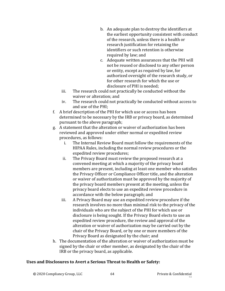- b. An adequate plan to destroy the identifiers at the earliest opportunity consistent with conduct of the research, unless there is a health or research justification for retaining the identifiers or such retention is otherwise required by law; and
- c. Adequate written assurances that the PHI will not be reused or disclosed to any other person or entity, except as required by law, for authorized oversight of the research study, or for other research for which the use or disclosure of PHI is needed;
- iii. The research could not practically be conducted without the waiver or alteration; and
- iv. The research could not practically be conducted without access to and use of the PHI;
- f. A brief description of the PHI for which use or access has been determined to be necessary by the IRB or privacy board, as determined pursuant to the above paragraph;
- g. A statement that the alteration or waiver of authorization has been reviewed and approved under either normal or expedited review procedures, as follows:
	- i. The Internal Review Board must follow the requirements of the HIPAA Rules, including the normal review procedures or the expedited review procedures;
	- ii. The Privacy Board must review the proposed research at a convened meeting at which a majority of the privacy board members are present, including at least one member who satisfies the Privacy Officer or Compliance Officer title, and the alteration or waiver of authorization must be approved by the majority of the privacy board members present at the meeting, unless the privacy board elects to use an expedited review procedure in accordance with the below paragraph; and
	- iii. A Privacy Board may use an expedited review procedure if the research involves no more than minimal risk to the privacy of the individuals who are the subject of the PHI for which use or disclosure is being sought. If the Privacy Board elects to use an expedited review procedure, the review and approval of the alteration or waiver of authorization may be carried out by the chair of the Privacy Board, or by one or more members of the Privacy Board as designated by the chair; and
- h. The documentation of the alteration or waiver of authorization must be signed by the chair or other member, as designated by the chair of the IRB or the privacy board, as applicable.

#### **Uses and Disclosures to Avert a Serious Threat to Health or Safety:**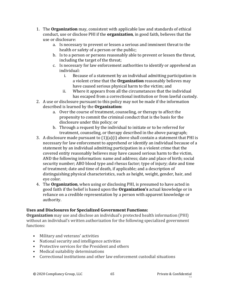- 1. The **Organization** may, consistent with applicable law and standards of ethical conduct, use or disclose PHI if the **organization**, in good faith, believes that the use or disclosure:
	- a. Is necessary to prevent or lessen a serious and imminent threat to the health or safety of a person or the public;
	- b. Is to a person or persons reasonably able to prevent or lessen the threat, including the target of the threat;
	- c. Is necessary for law enforcement authorities to identify or apprehend an individual:
		- i. Because of a statement by an individual admitting participation in a violent crime that the **Organization** reasonably believes may have caused serious physical harm to the victim; and
		- ii. Where it appears from all the circumstances that the individual has escaped from a correctional institution or from lawful custody.
- 2. A use or disclosure pursuant to this policy may not be made if the information described is learned by the **Organization:**
	- a. Over the course of treatment, counseling, or therapy to affect the propensity to commit the criminal conduct that is the basis for the disclosure under this policy; or
	- b. Through a request by the individual to initiate or to be referred for treatment, counseling, or therapy described in the above paragraph;
- 3. A disclosure made pursuant to (1)(a)(i) above shall contain a statement that PHI is necessary for law enforcement to apprehend or identify an individual because of a statement by an individual admitting participation in a violent crime that the covered entity reasonably believes may have caused serious harm to the victim, AND the following information: name and address; date and place of birth; social security number; ABO blood type and rhesus factor; type of injury; date and time of treatment; date and time of death, if applicable; and a description of distinguishing physical characteristics, such as height, weight, gender, hair, and eye color.
- 4. The **Organization**, when using or disclosing PHI, is presumed to have acted in good faith if the belief is based upon the **Organization's** actual knowledge or in reliance on a credible representation by a person with apparent knowledge or authority.

### **Uses and Disclosures for Specialized Government Functions:**

**Organization** may use and disclose an individual's protected health information (PHI) without an individual's written authorization for the following specialized government functions:

- Military and veterans' activities
- National security and intelligence activities
- Protective services for the President and others
- Medical suitability determinations
- Correctional institutions and other law enforcement custodial situations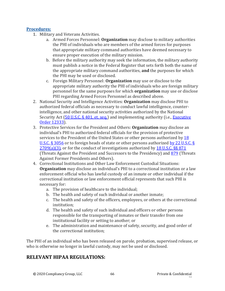#### **Procedures:**

- 1. Military and Veterans Activities.
	- a. Armed Forces Personnel: **Organization** may disclose to military authorities the PHI of individuals who are members of the armed forces for purposes that appropriate military command authorities have deemed necessary to ensure proper execution of the military mission.
	- b. Before the military authority may seek the information, the military authority must publish a notice in the Federal Register that sets forth both the name of the appropriate military command authorities, **and** the purposes for which the PHI may be used or disclosed.
	- c. Foreign Military Personnel: **Organization** may use or disclose to the appropriate military authority the PHI of individuals who are foreign military personnel for the same purposes for which **organization** may use or disclose PHI regarding Armed Forces Personnel as described above.
- 2. National Security and Intelligence Activities: **Organization** may disclose PHI to authorized federal officials as necessary to conduct lawful intelligence, counterintelligence, and other national security activities authorized by the National Security Act [\(50 U.S.C. § 401, et. seq.\)](https://uscode.house.gov/view.xhtml?req=(title:50%20section:3002%20edition:prelim)%20OR%20(granuleid:USC-prelim-title50-section3002)&f=treesort&num=0&edition=prelim) and implementing authority (i.e., **Executive** [Order 12333\)](https://www.archives.gov/federal-register/codification/executive-order/12333.html).
- 3. Protective Services for the President and Others: **Organization** may disclose an individual's PHI to authorized federal officials for the provision of protective services to the President of the United States or other persons authorized by 18 [U.S.C. § 3056](https://www.justice.gov/archives/jm/criminal-resource-manual-1562-obstruction-secret-service-18-usc-3056d) or to foreign heads of state or other persons authorized by 22 U.S.C. §  $2709(a)(3)$ , or for the conduct of investigations authorized by [18 U.S.C. §§ 871](https://www.govinfo.gov/content/pkg/USCODE-2011-title18/html/USCODE-2011-title18-partI-chap41-sec871.htm) (Threats Against the President and Successors to the Presidency) and [879](https://www.justice.gov/archives/jm/criminal-resource-manual-1532-threats-against-former-presidents-and-certain-other-secret) (Threats Against Former Presidents and Others).
- 4. Correctional Institutions and Other Law Enforcement Custodial Situations: **Organization** may disclose an individual's PHI to a correctional institution or a law enforcement official who has lawful custody of an inmate or other individual if the correctional institution or law enforcement official represents that such PHI is necessary for:
	- a. The provision of healthcare to the individual;
	- b. The health and safety of such individual or another inmate;
	- c. The health and safety of the officers, employees, or others at the correctional institution;
	- d. The health and safety of such individual and officers or other persons responsible for the transporting of inmates or their transfer from one institutional facility or setting to another; or
	- e. The administration and maintenance of safety, security, and good order of the correctional institution;

The PHI of an individual who has been released on parole, probation, supervised release, or who is otherwise no longer in lawful custody, may not be used or disclosed.

### **RELEVANT HIPAA REGULATIONS:**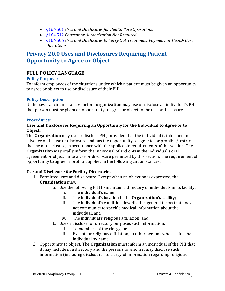- [§164.501](https://gov.ecfr.io/cgi-bin/text-idx?SID=a7c7a7ed6ddfb49f7200a9d84a925136&mc=true&node=se45.2.164_1501&rgn=div8) *Uses and Disclosures for Health Care Operations*
- [§164.512](https://gov.ecfr.io/cgi-bin/retrieveECFR?gp=&SID=15863a3e461afc3dc98e0da4885434cc&mc=true&r=SECTION&n=se45.2.164_1512) *Consent or Authorization Not Required*
- [§164.506](https://gov.ecfr.io/cgi-bin/retrieveECFR?gp=&SID=15863a3e461afc3dc98e0da4885434cc&mc=true&r=SECTION&n=se45.2.164_1506) *Uses and Disclosures to Carry Out Treatment, Payment, or Health Care Operations*

# **Privacy 20.0 Uses and Disclosures Requiring Patient Opportunity to Agree or Object**

### **FULL POLICY LANGUAGE:**

#### **Policy Purpose:**

To inform employees of the situations under which a patient must be given an opportunity to agree or object to use or disclosure of their PHI.

### **Policy Description:**

Under several circumstances, before **organization** may use or disclose an individual's PHI, that person must be given an opportunity to agree or object to the use or disclosure.

### **Procedures:**

#### **Uses and Disclosures Requiring an Opportunity for the Individual to Agree or to Object:**

The **Organization** may use or disclose PHI, provided that the individual is informed in advance of the use or disclosure and has the opportunity to agree to, or prohibit/restrict the use or disclosure, in accordance with the applicable requirements of this section. The **Organization** may orally inform the individual of and obtain the individual's oral agreement or objection to a use or disclosure permitted by this section. The requirement of opportunity to agree or prohibit applies in the following circumstances:

### **Use and Disclosure for Facility Directories:**

- 1. Permitted uses and disclosure. Except when an objection is expressed, the **Organization** may:
	- a. Use the following PHI to maintain a directory of individuals in its facility:
		- i. The individual's name;
		- ii. The individual's location in the **Organization's** facility;
		- iii. The individual's condition described in general terms that does not communicate specific medical information about the individual; and
		- iv. The individual's religious affiliation; and
	- b. Use or disclose for directory purposes such information:
		- i. To members of the clergy; or
		- ii. Except for religious affiliation, to other persons who ask for the individual by name.
- 2. Opportunity to object: The **Organization** must inform an individual of the PHI that it may include in a directory and the persons to whom it may disclose such information (including disclosures to clergy of information regarding religious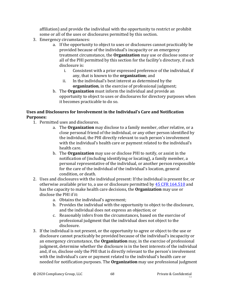affiliation) and provide the individual with the opportunity to restrict or prohibit some or all of the uses or disclosures permitted by this section.

- 3. Emergency circumstances:
	- a. If the opportunity to object to uses or disclosures cannot practicably be provided because of the individual's incapacity or an emergency treatment circumstance, the **Organization** may use or disclose some or all of the PHI permitted by this section for the facility's directory, if such disclosure is:
		- i. Consistent with a prior expressed preference of the individual, if any, that is known to the **organization**; and
		- ii. In the individual's best interest as determined by the **organization**, in the exercise of professional judgment;
	- b. The **Organization** must inform the individual and provide an opportunity to object to uses or disclosures for directory purposes when it becomes practicable to do so.

### **Uses and Disclosures for Involvement in the Individual's Care and Notification Purposes:**

- 1. Permitted uses and disclosures.
	- a. The **Organization** may disclose to a family member, other relative, or a close personal friend of the individual, or any other person identified by the individual, the PHI directly relevant to such person's involvement with the individual's health care or payment related to the individual's health care.
	- b. The **Organization** may use or disclose PHI to notify, or assist in the notification of (including identifying or locating), a family member, a personal representative of the individual, or another person responsible for the care of the individual of the individual's location, general condition, or death.
- 2. Uses and disclosures with the individual present: If the individual is present for, or otherwise available prior to, a use or disclosure permitted by [45 CFR 164.510](https://gov.ecfr.io/cgi-bin/retrieveECFR?gp=&SID=15863a3e461afc3dc98e0da4885434cc&mc=true&r=SECTION&n=se45.2.164_1510) and has the capacity to make health care decisions, the **Organization** may use or disclose the PHI if it:
	- a. Obtains the individual's agreement;
	- b. Provides the individual with the opportunity to object to the disclosure, and the individual does not express an objection; or
	- c. Reasonably infers from the circumstances, based on the exercise of professional judgment that the individual does not object to the disclosure.
- 3. If the individual is not present, or the opportunity to agree or object to the use or disclosure cannot practicably be provided because of the individual's incapacity or an emergency circumstance, the **Organization** may, in the exercise of professional judgment, determine whether the disclosure is in the best interests of the individual and, if so, disclose only the PHI that is directly relevant to the person's involvement with the individual's care or payment related to the individual's health care or needed for notification purposes. The **Organization** may use professional judgment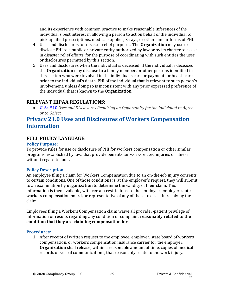and its experience with common practice to make reasonable inferences of the individual's best interest in allowing a person to act on behalf of the individual to pick up filled prescriptions, medical supplies, X-rays, or other similar forms of PHI.

- 4. Uses and disclosures for disaster relief purposes. The **Organization** may use or disclose PHI to a public or private entity authorized by law or by its charter to assist in disaster relief efforts, for the purpose of coordinating with such entities the uses or disclosures permitted by this section.
- 5. Uses and disclosures when the individual is deceased. If the individual is deceased, the **Organization** may disclose to a family member, or other persons identified in this section who were involved in the individual's care or payment for health care prior to the individual's death, PHI of the individual that is relevant to such person's involvement, unless doing so is inconsistent with any prior expressed preference of the individual that is known to the **Organization**.

### **RELEVANT HIPAA REGULATIONS:**

• [§164.510](https://gov.ecfr.io/cgi-bin/retrieveECFR?gp=&SID=15863a3e461afc3dc98e0da4885434cc&mc=true&r=SECTION&n=se45.2.164_1510) *Uses and Disclosures Requiring an Opportunity for the Individual to Agree or to Object*

# **Privacy 21.0 Uses and Disclosures of Workers Compensation Information**

### **FULL POLICY LANGUAGE:**

#### **Policy Purpose:**

To provide rules for use or disclosure of PHI for workers compensation or other similar programs, established by law, that provide benefits for work-related injuries or illness without regard to fault.

#### **Policy Description:**

An employee filing a claim for Workers Compensation due to an on-the-job injury consents to certain conditions. One of those conditions is, at the employer's request, they will submit to an examination by **organization** to determine the validity of their claim. This information is then available, with certain restrictions, to the employee, employer, state workers compensation board, or representative of any of these to assist in resolving the claim.

Employees filing a Workers Compensation claim waive all provider-patient privilege of information or results regarding any condition or complaint **reasonably related to the condition that they are claiming compensation for.**

#### **Procedures:**

1. After receipt of written request to the employee, employer, state board of workers compensation, or workers compensation insurance carrier for the employer, **Organization** shall release, within a reasonable amount of time, copies of medical records or verbal communications, that reasonably relate to the work injury.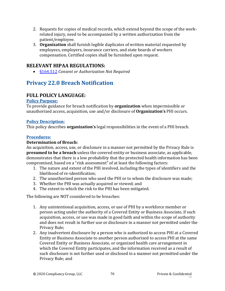- 2. Requests for copies of medical records, which extend beyond the scope of the workrelated injury, need to be accompanied by a written authorization from the patient/employee.
- 3. **Organization** shall furnish legible duplicates of written material requested by employees, employers, insurance carriers, and state boards of workers compensation. Certified copies shall be furnished upon request.

### **RELEVANT HIPAA REGULATIONS:**

• [§164.512](https://gov.ecfr.io/cgi-bin/retrieveECFR?gp=&SID=15863a3e461afc3dc98e0da4885434cc&mc=true&r=SECTION&n=se45.2.164_1512) *Consent or Authorization Not Required* 

# **Privacy 22.0 Breach Notification**

### **FULL POLICY LANGUAGE:**

#### **Policy Purpose:**

To provide guidance for breach notification by **organization** when impermissible or unauthorized access, acquisition, use and/or disclosure of **Organization's** PHI occurs.

#### **Policy Description:**

This policy describes **organization's** legal responsibilities in the event of a PHI breach.

#### **Procedures:**

#### **Determination of Breach:**

An acquisition, access, use, or disclosure in a manner not permitted by the Privacy Rule is **presumed to be a breach** unless the covered entity or business associate, as applicable, demonstrates that there is a low probability that the protected health information has been compromised, based on a "risk assessment" of at least the following factors:

- 1. The nature and extent of the PHI involved, including the types of identifiers and the likelihood of re-identification;
- 2. The unauthorized person who used the PHI or to whom the disclosure was made;
- 3. Whether the PHI was actually acquired or viewed; and
- 4. The extent to which the risk to the PHI has been mitigated.

The following are NOT considered to be breaches:

- 1. Any unintentional acquisition, access, or use of PHI by a workforce member or person acting under the authority of a Covered Entity or Business Associate, if such acquisition, access, or use was made in good faith and within the scope of authority and does not result in further use or disclosure in a manner not permitted under the Privacy Rule;
- 2. Any inadvertent disclosure by a person who is authorized to access PHI at a Covered Entity or Business Associate to another person authorized to access PHI at the same Covered Entity or Business Associate, or organized health care arrangement in which the Covered Entity participates, and the information received as a result of such disclosure is not further used or disclosed in a manner not permitted under the Privacy Rule; and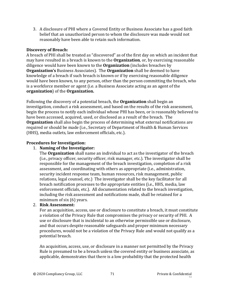3. A disclosure of PHI where a Covered Entity or Business Associate has a good faith belief that an unauthorized person to whom the disclosure was made would not reasonably have been able to retain such information.

#### **Discovery of Breach:**

A breach of PHI shall be treated as "discovered" as of the first day on which an incident that may have resulted in a breach is known to the **Organization**, or, by exercising reasonable diligence would have been known to the **Organization** (includes breaches by **Organization's** Business Associates). The **Organization** shall be deemed to have knowledge of a breach if such breach is known or if by exercising reasonable diligence would have been known, to any person, other than the person committing the breach, who is a workforce member or agent (i.e. a Business Associate acting as an agent of the **organization**) of the **Organization.**

Following the discovery of a potential breach, the **Organization** shall begin an investigation, conduct a risk assessment, and based on the results of the risk assessment, begin the process to notify each individual whose PHI has been, or is reasonably believed to have been accessed, acquired, used, or disclosed as a result of the breach. The **Organization** shall also begin the process of determining what external notifications are required or should be made (i.e., Secretary of Department of Health & Human Services (HHS), media outlets, law enforcement officials, etc.).

#### **Procedures for Investigation:**

#### 1. **Naming of the Investigator:**

The **Organization** shall name an individual to act as the investigator of the breach (i.e., privacy officer, security officer, risk manager, etc.). The investigator shall be responsible for the management of the breach investigation, completion of a risk assessment, and coordinating with others as appropriate (i.e., administration, security incident response team, human resources, risk management, public relations, legal counsel, etc.) The investigator shall be the key facilitator for all breach notification processes to the appropriate entities (i.e., HHS, media, law enforcement officials, etc.). All documentation related to the breach investigation, including the risk assessment and notifications made, shall be retained for a minimum of six (6) years.

#### 2. **Risk Assessment:**

For an acquisition, access, use or disclosure to constitute a breach, it must constitute a violation of the Privacy Rule that compromises the privacy or security of PHI. A use or disclosure that is incidental to an otherwise permissible use or disclosure, and that occurs despite reasonable safeguards and proper minimum necessary procedures, would not be a violation of the Privacy Rule and would not qualify as a potential breach.

An acquisition, access, use, or disclosure in a manner not permitted by the Privacy Rule is presumed to be a breach unless the covered entity or business associate, as applicable, demonstrates that there is a low probability that the protected health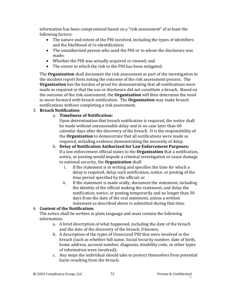information has been compromised based on a "risk assessment" of at least the following factors:

- The nature and extent of the PHI involved, including the types of identifiers and the likelihood of re-identification;
- The unauthorized person who used the PHI or to whom the disclosure was made;
- Whether the PHI was actually acquired or viewed; and
- The extent to which the risk to the PHI has been mitigated.

The **Organization** shall document the risk assessment as part of the investigation in the incident report form noting the outcome of the risk assessment process. The **Organization** has the burden of proof for demonstrating that all notifications were made as required or that the use or disclosure did not constitute a breach. Based on the outcome of the risk assessment, the **Organization** will then determine the need to move forward with breach notification. The **Organization** may make breach notifications without completing a risk assessment.

### 3. **Breach Notification:**

### a. **Timeliness of Notification:**

Upon determination that breach notification is required, the notice shall be made without unreasonable delay and in no case later than 60 calendar days after the discovery of the breach. It is the responsibility of the **Organization** to demonstrate that all notifications were made as required, including evidence demonstrating the necessity of delay.

- b. **Delay of Notification Authorized for Law Enforcement Purposes:**  If a law enforcement official states to the **Organization** that a notification, notice, or posting would impede a criminal investigation or cause damage to national security, the **Organization** shall:
	- i. If the statement is in writing and specifies the time for which a delay is required, delay such notification, notice, or posting of the time period specified by the official; or
	- ii. If the statement is made orally, document the statement, including the identity of the official making the statement, and delay the notification, notice, or posting temporarily and no longer than 30 days from the date of the oral statement, unless a written statement as described above is submitted during that time.

### 4. **Content of the Notification:**

The notice shall be written in plain language and must contain the following information:

- a. A brief description of what happened, including the date of the breach and the date of the discovery of the breach, if known;
- b. A description of the types of Unsecured PHI that were involved in the breach (such as whether full name, Social Security number, date of birth, home address, account number, diagnosis, disability code, or other types of information were involved);
- c. Any steps the individual should take to protect themselves from potential harm resulting from the breach;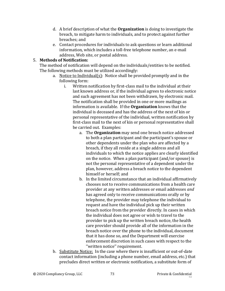- d. A brief description of what the **Organization** is doing to investigate the breach, to mitigate harm to individuals, and to protect against further breaches; and
- e. Contact procedures for individuals to ask questions or learn additional information, which includes a toll-free telephone number, an e-mail address, Web site, or postal address.

#### 5. **Methods of Notification:**

The method of notification will depend on the individuals/entities to be notified. The following methods must be utilized accordingly:

- a. Notice to Individual(s): Notice shall be provided promptly and in the following form:
	- i. Written notification by first-class mail to the individual at their last known address or, if the individual agrees to electronic notice and such agreement has not been withdrawn, by electronic mail. The notification shall be provided in one or more mailings as information is available. If the **Organization** knows that the individual is deceased and has the address of the next of kin or personal representative of the individual, written notification by first-class mail to the next of kin or personal representative shall be carried out. Examples:
		- a. The **Organization** may send one breach notice addressed to both a plan participant and the participant's spouse or other dependents under the plan who are affected by a breach, if they all reside at a single address and all individuals to which the notice applies are clearly identified on the notice. When a plan participant (and/or spouse) is not the personal representative of a dependent under the plan, however, address a breach notice to the dependent himself or herself; and
		- b. In the limited circumstance that an individual affirmatively chooses not to receive communications from a health care provider at any written addresses or email addresses *and* has agreed only to receive communications orally or by telephone, the provider may telephone the individual to request and have the individual pick up their written breach notice from the provider directly. In cases in which the individual does not agree or wish to travel to the provider to pick up the written breach notice, the health care provider should provide all of the information in the breach notice over the phone to the individual, document that it has done so, and the Department will exercise enforcement discretion in such cases with respect to the ''written notice'' requirement.
- b. Substitute Notice: In the case where there is insufficient or out-of-date contact information (including a phone number, email address, etc.) that precludes direct written or electronic notification, a substitute form of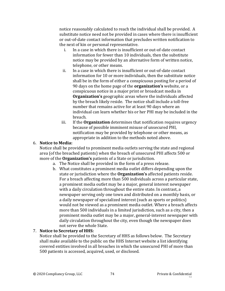notice reasonably calculated to reach the individual shall be provided. A substitute notice need not be provided in cases where there is insufficient or out-of-date contact information that precludes written notification to the next of kin or personal representative.

- i. In a case in which there is insufficient or out-of-date contact information for fewer than 10 individuals, then the substitute notice may be provided by an alternative form of written notice, telephone, or other means.
- ii. In a case in which there is insufficient or out-of-date contact information for 10 or more individuals, then the substitute notice shall be in the form of either a conspicuous posting for a period of 90 days on the home page of the **organization's** website, or a conspicuous notice in a major print or broadcast media in **Organization's** geographic areas where the individuals affected by the breach likely reside. The notice shall include a toll-free number that remains active for at least 90 days where an individual can learn whether his or her PHI may be included in the breach.
- iii. If the **Organization** determines that notification requires urgency because of possible imminent misuse of unsecured PHI, notification may be provided by telephone or other means, as appropriate in addition to the methods noted above.

#### 6. **Notice to Media:**

Notice shall be provided to prominent media outlets serving the state and regional area (of the breached patients) when the breach of unsecured PHI affects 500 or more of the **Organization's** patients of a State or jurisdiction.

- a. The Notice shall be provided in the form of a press release.
- b. What constitutes a prominent media outlet differs depending upon the state or jurisdiction where the **Organization's** affected patients reside. For a breach affecting more than 500 individuals across a particular state, a prominent media outlet may be a major, general interest newspaper with a daily circulation throughout the entire state. In contrast, a newspaper serving only one town and distributed on a monthly basis, or a daily newspaper of specialized interest (such as sports or politics) would not be viewed as a prominent media outlet. Where a breach affects more than 500 individuals in a limited jurisdiction, such as a city, then a prominent media outlet may be a major, general-interest newspaper with daily circulation throughout the city, even though the newspaper does not serve the whole State.

#### 7. **Notice to Secretary of HHS:**

Notice shall be provided to the Secretary of HHS as follows below. The Secretary shall make available to the public on the HHS Internet website a list identifying covered entities involved in all breaches in which the unsecured PHI of more than 500 patients is accessed, acquired, used, or disclosed.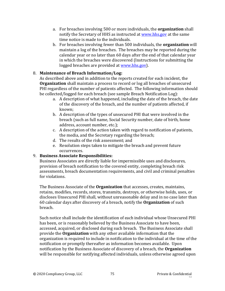- a. For breaches involving 500 or more individuals, the **organization** shall notify the Secretary of HHS as instructed a[t www.hhs.gov](http://www.hhs.gov/) at the same time notice is made to the individuals.
- b. For breaches involving fewer than 500 individuals, the **organization** will maintain a log of the breaches. The breaches may be reported during the calendar year or no later than 60 days after the end of that calendar year in which the breaches were discovered (Instructions for submitting the logged breaches are provided at [www.hhs.gov\)](http://www.hhs.gov/).

#### 8. **Maintenance of Breach Information/Log:**

As described above and in addition to the reports created for each incident, the **Organization** shall maintain a process to record or log all breaches of unsecured PHI regardless of the number of patients affected. The following information should be collected/logged for each breach (see sample Breach Notification Log):

- a. A description of what happened, including the date of the breach, the date of the discovery of the breach, and the number of patients affected, if known;
- b. A description of the types of unsecured PHI that were involved in the breach (such as full name, Social Security number, date of birth, home address, account number, etc.);
- c. A description of the action taken with regard to notification of patients, the media, and the Secretary regarding the breach;
- d. The results of the risk assessment; and
- e. Resolution steps taken to mitigate the breach and prevent future occurrences.

#### 9. **Business Associate Responsibilities:**

Business Associates are directly liable for impermissible uses and disclosures, provision of breach notification to the covered entity, completing breach risk assessments, breach documentation requirements, and civil and criminal penalties for violations.

The Business Associate of the **Organization** that accesses, creates, maintains, retains, modifies, records, stores, transmits, destroys, or otherwise holds, uses, or discloses Unsecured PHI shall, without unreasonable delay and in no case later than 60 calendar days after discovery of a breach, notify the **Organization** of such breach.

Such notice shall include the identification of each individual whose Unsecured PHI has been, or is reasonably believed by the Business Associate to have been, accessed, acquired, or disclosed during such breach. The Business Associate shall provide the **Organization** with any other available information that the organization is required to include in notification to the individual at the time of the notification or promptly thereafter as information becomes available. Upon notification by the Business Associate of discovery of a breach, the **Organization** will be responsible for notifying affected individuals, unless otherwise agreed upon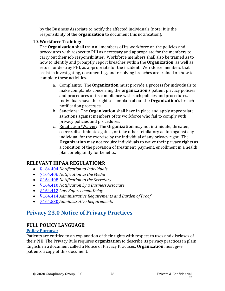by the Business Associate to notify the affected individuals (note: It is the responsibility of the **organization** to document this notification).

### 10. **Workforce Training:**

The **Organization** shall train all members of its workforce on the policies and procedures with respect to PHI as necessary and appropriate for the members to carry out their job responsibilities. Workforce members shall also be trained as to how to identify and promptly report breaches within the **Organization**, as well as return or destroy PHI, as appropriate for the incident. Workforce members that assist in investigating, documenting, and resolving breaches are trained on how to complete these activities.

- a. Complaints: The **Organization** must provide a process for individuals to make complaints concerning the **organization's** patient privacy policies and procedures or its compliance with such policies and procedures. Individuals have the right to complain about the **Organization's** breach notification processes.
- b. Sanctions: The **Organization** shall have in place and apply appropriate sanctions against members of its workforce who fail to comply with privacy policies and procedures.
- c. Retaliation/Waiver: The **Organization** may not intimidate, threaten, coerce, discriminate against, or take other retaliatory action against any individual for the exercise by the individual of any privacy right. The **Organization** may not require individuals to waive their privacy rights as a condition of the provision of treatment, payment, enrollment in a health plan, or eligibility for benefits.

# **RELEVANT HIPAA REGULATIONS:**

- [§ 164.404](https://www.law.cornell.edu/cfr/text/45/164.404) *Notification to Individuals*
- [§ 164.406](https://www.law.cornell.edu/cfr/text/45/164.406) *Notification to the Media*
- [§ 164.408](https://www.law.cornell.edu/cfr/text/45/164.408) *Notification to the Secretary*
- [§ 164.410](https://www.law.cornell.edu/cfr/text/45/164.410) *Notification by a Business Associate*
- [§ 164.412](https://www.law.cornell.edu/cfr/text/45/164.412) *Law Enforcement Delay*
- [§ 164.414](https://www.law.cornell.edu/cfr/text/45/164.414) *Administrative Requirements and Burden of Proof*
- [§ 164.530](https://gov.ecfr.io/cgi-bin/retrieveECFR?gp=&SID=15863a3e461afc3dc98e0da4885434cc&mc=true&n=sp45.2.164.e&r=SUBPART&ty=HTML#se45.2.164_1530) *Administrative Requirements*

# **Privacy 23.0 Notice of Privacy Practices**

# **FULL POLICY LANGUAGE:**

## **Policy Purpose:**

Patients are entitled to an explanation of their rights with respect to uses and discloses of their PHI. The Privacy Rule requires **organization** to describe its privacy practices in plain English, in a document called a Notice of Privacy Practices. **Organization** must give patients a copy of this document.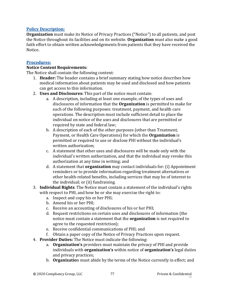#### **Policy Description:**

**Organization** must make its Notice of Privacy Practices ("Notice") to all patients, and post the Notice throughout its facilities and on its website. **Organization** must also make a good faith effort to obtain written acknowledgements from patients that they have received the Notice.

#### **Procedures:**

#### **Notice Content Requirements:**

The Notice shall contain the following content:

- 1. **Header:** The header contains a brief summary stating how notice describes how medical information about patients may be used and disclosed and how patients can get access to this information.
- 2. **Uses and Disclosures:** This part of the notice must contain:
	- a. A description, including at least one example, of the types of uses and disclosures of information that the **Organization** is permitted to make for each of the following purposes: treatment, payment, and health care operations. The description must include sufficient detail to place the individual on notice of the uses and disclosures that are permitted or required by state and federal law;
	- b. A description of each of the other purposes (other than Treatment, Payment, or Health Care Operations) for which the **Organization** is permitted or required to use or disclose PHI without the individual's written authorization;
	- c. A statement that other uses and disclosures will be made only with the individual's written authorization, and that the individual may revoke this authorization at any time in writing; and
	- d. A statement that **organization** may contact individuals for: (i) Appointment reminders or to provide information regarding treatment alternatives or other health-related benefits, including services that may be of interest to the individual; or (ii) fundraising.
- 3. **Individual Rights**: The Notice must contain a statement of the individual's rights with respect to PHI, and how he or she may exercise the right to:
	- a. Inspect and copy his or her PHI;
	- b. Amend his or her PHI;
	- c. Receive an accounting of disclosures of his or her PHI;
	- d. Request restrictions on certain uses and disclosures of information (the notice must contain a statement that the **organization** is not required to agree to the requested restriction);
	- e. Receive confidential communications of PHI; and
	- f. Obtain a paper copy of the Notice of Privacy Practices upon request.
- 4. **Provider Duties:** The Notice must indicate the following:
	- a. **Organization's** providers must maintain the privacy of PHI and provide individuals with **organization's** within notice of **organization's** legal duties and privacy practices;
	- b. **Organizatio**n must abide by the terms of the Notice currently in effect; and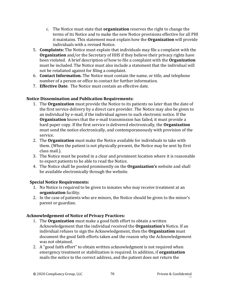- c. The Notice must state that **organization** reserves the right to change the terms of its Notice and to make the new Notice provisions effective for all PHI it maintains. This statement must explain how the **Organization** will provide individuals with a revised Notice.
- 5. **Complaints:** The Notice must explain that individuals may file a complaint with the **Organization** and/or the Secretary of HHS if they believe their privacy rights have been violated. A brief description of how to file a complaint with the **Organization** must be included. The Notice must also include a statement that the individual will not be retaliated against for filing a complaint.
- 6. **Contact Information.** The Notice must contain the name, or title, and telephone number of a person or office to contact for further information.
- 7. **Effective Date**. The Notice must contain an effective date.

## **Notice Dissemination and Publication Requirements:**

- 1. The **Organization** must provide the Notice to its patients no later than the date of the first service delivery by a direct care provider. The Notice may also be given to an individual by e-mail, if the individual agrees to such electronic notice. If the **Organization** knows that the e-mail transmission has failed, it must provide a hard paper copy. If the first service is delivered electronically, the **Organization** must send the notice electronically, and contemporaneously with provision of the service.
- 2. The **Organization** must make the Notice available for individuals to take with them. (When the patient is not physically present, the Notice may be sent by first class mail.).
- 3. The Notice must be posted in a clear and prominent location where it is reasonable to expect patients to be able to read the Notice.
- 4. The Notice shall be posted prominently on the **Organization's** website and shall be available electronically through the website.

## **Special Notice Requirements:**

- 1. No Notice is required to be given to inmates who may receive treatment at an **organization** facility.
- 2. In the case of patients who are minors, the Notice should be given to the minor's parent or guardian.

## **Acknowledgement of Notice of Privacy Practices:**

- 1. The **Organization** must make a good faith effort to obtain a written Acknowledgement that the individual received the **Organization's** Notice. If an individual refuses to sign the Acknowledgement, then the **Organization** must document the good faith efforts taken and the reason why the Acknowledgement was not obtained.
- 2. A "good faith effort" to obtain written acknowledgment is not required when emergency treatment or stabilization is required. In addition, if **organization** mails the notice to the correct address, and the patient does not return the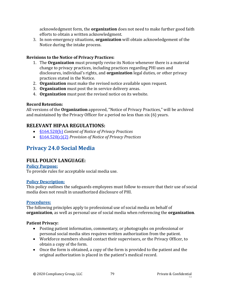acknowledgment form, the **organization** does not need to make further good faith efforts to obtain a written acknowledgment.

3. In non-emergency situations, **organization** will obtain acknowledgement of the Notice during the intake process.

### **Revisions to the Notice of Privacy Practices:**

- 1. The **Organization** must promptly revise its Notice whenever there is a material change to privacy practices, including practices regarding PHI uses and disclosures, individual's rights, and **organization** legal duties, or other privacy practices stated in the Notice.
- 2. **Organization** must make the revised notice available upon request.
- 3. **Organization** must post the in service delivery areas.
- 4. **Organization** must post the revised notice on its website.

#### **Record Retention:**

All versions of the **Organization** approved, "Notice of Privacy Practices," will be archived and maintained by the Privacy Officer for a period no less than six (6) years.

# **RELEVANT HIPAA REGULATIONS:**

- [§164.520\(b\)](https://gov.ecfr.io/cgi-bin/retrieveECFR?gp=&SID=15863a3e461afc3dc98e0da4885434cc&mc=true&n=sp45.2.164.e&r=SUBPART&ty=HTML#se45.2.164_1520) *Content of Notice of Privacy Practices*
- [§164.520\(c\)\(2\)](https://gov.ecfr.io/cgi-bin/retrieveECFR?gp=&SID=15863a3e461afc3dc98e0da4885434cc&mc=true&n=sp45.2.164.e&r=SUBPART&ty=HTML#se45.2.164_1520) *Provision of Notice of Privacy Practices*

# **Privacy 24.0 Social Media**

# **FULL POLICY LANGUAGE:**

#### **Policy Purpose:**

To provide rules for acceptable social media use.

#### **Policy Description:**

This policy outlines the safeguards employees must follow to ensure that their use of social media does not result in unauthorized disclosure of PHI.

#### **Procedures:**

The following principles apply to professional use of social media on behalf of **organization**, as well as personal use of social media when referencing the **organization**.

#### **Patient Privacy:**

- Posting patient information, commentary, or photographs on professional or personal social media sites requires written authorization from the patient.
- Workforce members should contact their supervisors, or the Privacy Officer, to obtain a copy of the form.
- Once the form is obtained, a copy of the form is provided to the patient and the original authorization is placed in the patient's medical record.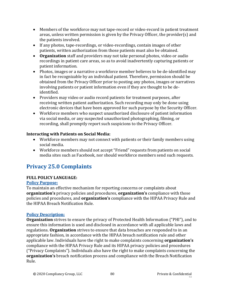- Members of the workforce may not tape-record or video-record in patient treatment areas, unless written permission is given by the Privacy Officer, the provider(s) and the patients involved.
- If any photos, tape-recordings, or video-recordings, contain images of other patients, written authorization from those patients must also be obtained.
- **Organization** staff and providers may not take personal photos, video or audio recordings in patient care areas, so as to avoid inadvertently capturing patients or patient information.
- Photos, images or a narrative a workforce member believes to be de-identified may in fact be recognizable by an individual patient. Therefore, permission should be obtained from the Privacy Officer prior to posting any photos, images or narratives involving patients or patient information even if they are thought to be deidentified.
- Providers may video or audio record patients for treatment purposes, after receiving written patient authorization. Such recording may only be done using electronic devices that have been approved for such purpose by the Security Officer.
- Workforce members who suspect unauthorized disclosure of patient information via social media, or any suspected unauthorized photographing, filming, or recording, shall promptly report such suspicions to the Privacy Officer.

### **Interacting with Patients on Social Media:**

- Workforce members may not connect with patients or their family members using social media.
- Workforce members should not accept "Friend" requests from patients on social media sites such as Facebook, nor should workforce members send such requests.

# **Privacy 25.0 Complaints**

## **FULL POLICY LANGUAGE:**

#### **Policy Purpose:**

To maintain an effective mechanism for reporting concerns or complaints about **organization's** privacy policies and procedures, **organization's** compliance with those policies and procedures, and **organization's** compliance with the HIPAA Privacy Rule and the HIPAA Breach Notification Rule.

#### **Policy Description:**

**Organization** strives to ensure the privacy of Protected Health Information ("PHI"), and to ensure this information is used and disclosed in accordance with all applicable laws and regulations. **Organization** strives to ensure that data breaches are responded to in an appropriate fashion, in accordance with the HIPAA breach notification rule and other applicable law. Individuals have the right to make complaints concerning **organization's** compliance with the HIPAA Privacy Rule and its HIPAA privacy policies and procedures ("Privacy Complaints"). Individuals also have the right to make complaints concerning the **organization's** breach notification process and compliance with the Breach Notification Rule.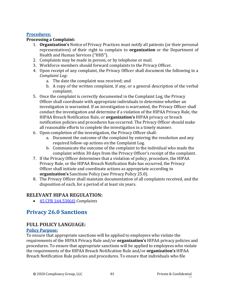#### **Procedures:**

#### **Processing a Complaint:**

- 1. **Organization's** Notice of Privacy Practices must notify all patients (or their personal representatives) of their right to complain to **organization** or the Department of Health and Human Services ("HHS")*.*
- 2. Complaints may be made in person, or by telephone or mail.
- 3. Workforce members should forward complaints to the Privacy Officer.
- 4. Upon receipt of any complaint, the Privacy Officer shall document the following in a *Complaint Log*:
	- a. The date the complaint was received; and
	- b. A copy of the written complaint, if any, or a general description of the verbal complaint.
- 5. Once the complaint is correctly documented in the Complaint Log, the Privacy Officer shall coordinate with appropriate individuals to determine whether an investigation is warranted. If an investigation is warranted, the Privacy Officer shall conduct the investigation and determine if a violation of the HIPAA Privacy Rule, the HIPAA Breach Notification Rule, or **organization's** HIPAA privacy or breach notification policies and procedures has occurred. The Privacy Officer should make all reasonable efforts to complete the investigation in a timely manner.
- 6. Upon completion of the investigation, the Privacy Officer shall:
	- a. Document the outcome of the complaint by entering the resolution and any required follow-up actions on the Complaint Log.
	- b. Communicate the outcome of the complaint to the individual who made the complaint within 30 days from the Privacy Officer's receipt of the complaint.
- 7. If the Privacy Officer determines that a violation of policy, procedure, the HIPAA Privacy Rule, or the HIPAA Breach Notification Rule has occurred, the Privacy Officer shall initiate and coordinate actions as appropriate according to **organization's** Sanctions Policy (see Privacy Policy 25.0).
- 8. The Privacy Officer shall maintain documentation of all complaints received, and the disposition of each, for a period of at least six years.

# **RELEVANT HIPAA REGULATION:**

• [45 CFR 164.530\(d\)](https://gov.ecfr.io/cgi-bin/retrieveECFR?gp=&SID=15863a3e461afc3dc98e0da4885434cc&mc=true&n=sp45.2.164.e&r=SUBPART&ty=HTML#se45.2.164_1530) *Complaints*

# **Privacy 26.0 Sanctions**

# **FULL POLICY LANGUAGE:**

#### **Policy Purpose:**

To ensure that appropriate sanctions will be applied to employees who violate the requirements of the HIPAA Privacy Rule and/or **organization's** HIPAA privacy policies and procedures. To ensure that appropriate sanctions will be applied to employees who violate the requirements of the HIPAA Breach Notification Rule and/or **organization's** HIPAA Breach Notification Rule policies and procedures. To ensure that individuals who file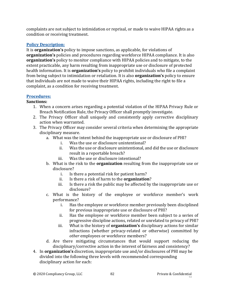complaints are not subject to intimidation or reprisal, or made to waive HIPAA rights as a condition or receiving treatment.

### **Policy Description:**

It is **organization's** policy to impose sanctions, as applicable, for violations of **organization's** policies and procedures regarding workforce HIPAA compliance. It is also **organization's** policy to monitor compliance with HIPAA policies and to mitigate, to the extent practicable, any harm resulting from inappropriate use or disclosure of protected health information. It is **organization's** policy to prohibit individuals who file a complaint from being subject to intimidation or retaliation. It is also **organization's** policy to ensure that individuals are not made to waive their HIPAA rights, including the right to file a complaint, as a condition for receiving treatment.

#### **Procedures:**

#### **Sanctions:**

- 1. When a concern arises regarding a potential violation of the HIPAA Privacy Rule or Breach Notification Rule, the Privacy Officer shall promptly investigate.
- 2. The Privacy Officer shall uniquely and consistently apply corrective disciplinary action when warranted.
- 3. The Privacy Officer may consider several criteria when determining the appropriate disciplinary measure.
	- a. What was the intent behind the inappropriate use or disclosure of PHI?
		- i. Was the use or disclosure unintentional?
		- ii. Was the use or disclosure unintentional, and did the use or disclosure result in a reportable breach?
		- iii. Was the use or disclosure intentional?
	- b. What is the risk to the **organization** resulting from the inappropriate use or disclosure?
		- i. Is there a potential risk for patient harm?
		- ii. Is there a risk of harm to the **organization**?
		- iii. Is there a risk the public may be affected by the inappropriate use or disclosure?
	- c. What is the history of the employee or workforce member's work performance?
		- i. Has the employee or workforce member previously been disciplined for previous inappropriate use or disclosure of PHI?
		- ii. Has the employee or workforce member been subject to a series of progressive discipline actions, related or unrelated to privacy of PHI?
		- iii. What is the history of **organization's** disciplinary actions for similar infractions (whether privacy-related or otherwise) committed by *other* employees or workforce members?
	- d. Are there mitigating circumstances that would support reducing the disciplinary/corrective action in the interest of fairness and consistency?
- 4. In **organization's** discretion, inappropriate use and/or disclosures of PHI may be divided into the following three levels with recommended corresponding disciplinary action for each: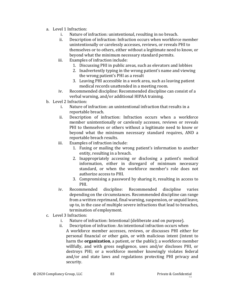- a. Level 1 Infraction:
	- i. Nature of infraction: unintentional, resulting in no breach.
	- ii. Description of infraction: Infraction occurs when workforce member unintentionally or carelessly accesses, reviews, or reveals PHI to themselves or to others, either without a legitimate need to know, or beyond what the minimum necessary standard permits.
	- iii. Examples of infraction include:
		- 1. Discussing PHI in public areas, such as elevators and lobbies
		- 2. Inadvertently typing in the wrong patient's name and viewing the wrong patient's PHI as a result
		- 3. Leaving PHI accessible in a work area, such as leaving patient medical records unattended in a meeting room.
	- iv. Recommended discipline: Recommended discipline can consist of a verbal warning, and/or additional HIPAA training.
- b. Level 2 Infraction:
	- i. Nature of infraction: an unintentional infraction that results in a reportable breach.
	- ii. Description of infraction: Infraction occurs when a workforce member unintentionally or carelessly accesses, reviews or reveals PHI to themselves or others without a legitimate need to know or beyond what the minimum necessary standard requires, AND a reportable breach results.
	- iii. Examples of infraction include:
		- 1. Faxing or mailing the wrong patient's information to another entity, resulting in a breach.
		- 2. Inappropriately accessing or disclosing a patient's medical information, either in disregard of minimum necessary standard, or when the workforce member's role does not authorize access to PHI.
		- 3. Compromising a password by sharing it, resulting in access to PHI.
	- iv. Recommended discipline: Recommended discipline varies depending on the circumstances. Recommended discipline can range from a written reprimand, final warning, suspension, or unpaid leave, up to, in the case of multiple severe infractions that lead to breaches, termination of employment.
- c. Level 3 Infraction:
	- i. Nature of infraction: Intentional (deliberate and on purpose).
	- ii. Description of infraction: An intentional infraction occurs when A workforce member accesses, reviews, or discusses PHI either for personal financial or other gain, or with malicious intent (intent to harm the **organization**, a patient, or the public); a workforce member willfully, and with gross negligence, uses and/or discloses PHI, or destroys PHI; or a workforce member knowingly violates federal and/or and state laws and regulations protecting PHI privacy and security.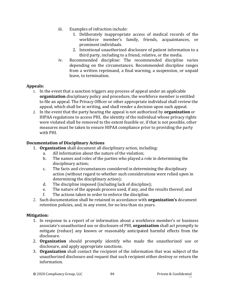- iii. Examples of infraction include:
	- 1. Deliberately inappropriate access of medical records of the workforce member's family, friends, acquaintances, or prominent individuals.
	- 2. Intentional unauthorized disclosure of patient information to a third party, including to a friend, relative, or the media.
- iv. Recommended discipline: The recommended discipline varies depending on the circumstances. Recommended discipline ranges from a written reprimand, a final warning, a suspension, or unpaid leave, to termination.

#### **Appeals:**

- 1. In the event that a sanction triggers any process of appeal under an applicable **organization** disciplinary policy and procedure, the workforce member is entitled to file an appeal. The Privacy Officer or other appropriate individual shall review the appeal, which shall be in writing, and shall render a decision upon such appeal.
- 2. In the event that the party hearing the appeal is not authorized by **organization** or HIPAA regulations to access PHI, the identity of the individual whose privacy rights were violated shall be removed to the extent feasible or, if that is not possible, other measures must be taken to ensure HIPAA compliance prior to providing the party with PHI.

#### **Documentation of Disciplinary Actions**

- 1. **Organization** shall document all disciplinary action, including:
	- a. All information about the nature of the violation;
	- b. The names and roles of the parties who played a role in determining the disciplinary action;
	- c. The facts and circumstances considered in determining the disciplinary action (without regard to whether such considerations were relied upon in determining the disciplinary action);
	- d. The discipline imposed (including lack of discipline);
	- e. The nature of the appeals process used, if any, and the results thereof; and
	- f. The actions taken in order to enforce the discipline.
- 2. Such documentation shall be retained in accordance with **organization's** document retention policies, and, in any event, for no less than six years.

#### **Mitigation:**

- 1. In response to a report of or information about a workforce member's or business associate's unauthorized use or disclosure of PHI, **organization** shall act promptly to mitigate (reduce) any known or reasonably anticipated harmful effects from the disclosure.
- 2. **Organization** should promptly identify who made the unauthorized use or disclosure, and apply appropriate sanctions.
- 3. **Organization** shall contact the recipient of the information that was subject of the unauthorized disclosure and request that such recipient either destroy or return the information.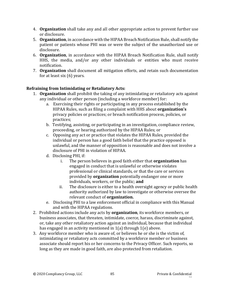- 4. **Organization** shall take any and all other appropriate action to prevent further use or disclosure.
- 5. **Organization**, in accordance with the HIPAA Breach Notification Rule, shall notify the patient or patients whose PHI was or were the subject of the unauthorized use or disclosure.
- 6. **Organization**, in accordance with the HIPAA Breach Notification Rule, shall notify HHS, the media, and/or any other individuals or entities who must receive notification.
- 7. **Organization** shall document all mitigation efforts, and retain such documentation for at least six (6) years.

### **Refraining from Intimidating or Retaliatory Acts:**

- 1. **Organization** shall prohibit the taking of any intimidating or retaliatory acts against any individual or other person (including a workforce member) for:
	- a. Exercising their rights or participating in any process established by the HIPAA Rules, such as filing a complaint with HHS about **organization's**  privacy policies or practices; or breach notification process, policies, or practices;
	- b. Testifying, assisting, or participating in an investigation, compliance review, proceeding, or hearing authorized by the HIPAA Rules; or
	- c. Opposing any act or practice that violates the HIPAA Rules, provided the individual or person has a good faith belief that the practice opposed is unlawful, and the manner of opposition is reasonable and does not involve a disclosure of PHI in violation of HIPAA.
	- d. Disclosing PHI, if:
		- i. The person believes in good faith either that **organization** has engaged in conduct that is unlawful or otherwise violates professional or clinical standards, or that the care or services provided by **organization** potentially endanger one or more individuals, workers, or the public; **and**
		- ii. The disclosure is either to a health oversight agency or public health authority authorized by law to investigate or otherwise oversee the relevant conduct of **organization.**
	- e. Disclosing PHI to a law enforcement official in compliance with this Manual and with the HIPAA regulations.
- 2. Prohibited actions include any acts by **organization**, its workforce members, or business associates, that threaten, intimidate, coerce, harass, discriminate against, or, take any other retaliatory action against an individual, because that individual has engaged in an activity mentioned in 1(a) through 1(e) above.
- 3. Any workforce member who is aware of, or believes he or she is the victim of, intimidating or retaliatory acts committed by a workforce member or business associate should report his or her concerns to the Privacy Officer. Such reports, so long as they are made in good faith, are also protected from retaliation.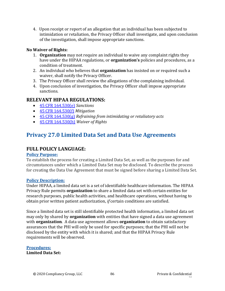4. Upon receipt or report of an allegation that an individual has been subjected to intimidation or retaliation, the Privacy Officer shall investigate, and upon conclusion of the investigation, shall impose appropriate sanctions.

#### **No Waiver of Rights:**

- 1. **Organization** may not require an individual to waive any complaint rights they have under the HIPAA regulations, or **organization's** policies and procedures, as a condition of treatment.
- 2. An individual who believes that **organization** has insisted on or required such a waiver, shall notify the Privacy Officer.
- 3. The Privacy Officer shall review the allegations of the complaining individual.
- 4. Upon conclusion of investigation, the Privacy Officer shall impose appropriate sanctions.

## **RELEVANT HIPAA REGULATIONS:**

- [45 CFR 164.530\(e\)](https://gov.ecfr.io/cgi-bin/retrieveECFR?gp=&SID=15863a3e461afc3dc98e0da4885434cc&mc=true&n=sp45.2.164.e&r=SUBPART&ty=HTML#se45.2.164_1530) *Sanctions*
- [45 CFR 164.530\(f\)](https://gov.ecfr.io/cgi-bin/retrieveECFR?gp=&SID=15863a3e461afc3dc98e0da4885434cc&mc=true&n=sp45.2.164.e&r=SUBPART&ty=HTML#se45.2.164_1530) *Mitigation*
- [45 CFR 164.530\(g\)](https://gov.ecfr.io/cgi-bin/retrieveECFR?gp=&SID=15863a3e461afc3dc98e0da4885434cc&mc=true&n=sp45.2.164.e&r=SUBPART&ty=HTML#se45.2.164_1530) *Refraining from intimidating or retaliatory acts*
- [45 CFR 164.530\(h\)](https://gov.ecfr.io/cgi-bin/retrieveECFR?gp=&SID=15863a3e461afc3dc98e0da4885434cc&mc=true&n=sp45.2.164.e&r=SUBPART&ty=HTML#se45.2.164_1530) *Waiver of Rights*

# **Privacy 27.0 Limited Data Set and Data Use Agreements**

# **FULL POLICY LANGUAGE:**

#### **Policy Purpose:**

To establish the process for creating a Limited Data Set, as well as the purposes for and circumstances under which a Limited Data Set may be disclosed. To describe the process for creating the Data Use Agreement that must be signed before sharing a Limited Data Set.

#### **Policy Description:**

Under HIPAA, a limited data set is a set of identifiable healthcare information. The HIPAA Privacy Rule permits **organization** to share a limited data set with certain entities for research purposes, public health activities, and healthcare operations, without having to obtain prior written patient authorization, *if* certain conditions are satisfied.

Since a limited data set is still identifiable protected health information, a limited data set may only by shared by **organization** with entities that have signed a data use agreement with **organization**. A data use agreement allows **organization** to obtain satisfactory assurances that the PHI will only be used for specific purposes; that the PHI will not be disclosed by the entity with which it is shared; and that the HIPAA Privacy Rule requirements will be observed.

# **Procedures:**

**Limited Data Set:**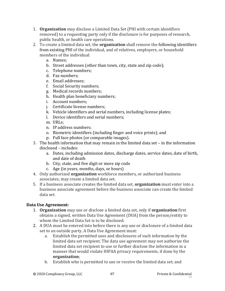- 1. **Organization** may disclose a Limited Data Set (PHI with certain identifiers removed) to a requesting party only if the disclosure is for purposes of research, public health, or health care operations.
- 2. To create a limited data set, the **organization** shall remove the following identifiers from existing PHI of the individual, and of relatives, employers, or household members of the individual:
	- a. Names;
	- b. Street addresses (other than town, city, state and zip code);
	- c. Telephone numbers;
	- d. Fax numbers;
	- e. Email addresses;
	- f. Social Security numbers;
	- g. Medical records numbers;
	- h. Health plan beneficiary numbers;
	- i. Account numbers;
	- j. Certificate license numbers;
	- k. Vehicle identifiers and serial numbers, including license plates;
	- l. Device identifiers and serial numbers;
	- m. URLs;
	- n. IP address numbers;
	- o. Biometric identifiers (including finger and voice prints); and
	- p. Full face photos (or comparable images).
- 3. The health information that may remain in the limited data set in the information disclosed – includes:
	- a. Dates, including admission dates, discharge dates, service dates, date of birth, and date of death
	- b. City, state, and five digit or more zip code
	- c. Age (in years, months, days, or hours)
- 4. Only authorized **organization** workforce members, or authorized business associates, may create a limited data set.
- 5. If a business associate creates the limited data set, **organization** must enter into a business associate agreement before the business associate can create the limited data set.

# **Data Use Agreement:**

- 1. **Organization** may use or disclose a limited data set, only if **organization** first obtains a signed, written Data Use Agreement (DUA) from the person/entity to whom the Limited Data Set is to be disclosed.
- 2. A DUA must be entered into before there is any use or disclosure of a limited data set to an outside party. A Data Use Agreement must:
	- a. Establish the permitted uses and disclosures of such information by the limited data set recipient. The data use agreement may not authorize the limited data set recipient to use or further disclose the information in a manner that would violate HIPAA privacy requirements, if done by the **organization**;
	- b. Establish who is permitted to use or receive the limited data set; and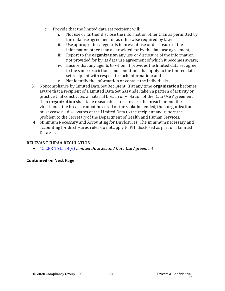- c. Provide that the limited data set recipient will:
	- i. Not use or further disclose the information other than as permitted by the data use agreement or as otherwise required by law;
	- ii. Use appropriate safeguards to prevent use or disclosure of the information other than as provided for by the data use agreement;
	- iii. Report to the **organization** any use or disclosure of the information not provided for by its data use agreement of which it becomes aware;
	- iv. Ensure that any agents to whom it provides the limited data set agree to the same restrictions and conditions that apply to the limited data set recipient with respect to such information; and
	- v. Not identify the information or contact the individuals.
- 3. Noncompliance by Limited Data Set Recipient: If at any time **organization** becomes aware that a recipient of a Limited Data Set has undertaken a pattern of activity or practice that constitutes a material breach or violation of the Data Use Agreement, then **organization** shall take reasonable steps to cure the breach or end the violation. If the breach cannot be cured or the violation ended, then **organization**  must cease all disclosures of the Limited Data to the recipient and report the problem to the Secretary of the Department of Health and Human Services.
- 4. Minimum Necessary and Accounting for Disclosures: The minimum necessary and accounting for disclosures rules do not apply to PHI disclosed as part of a Limited Data Set.

#### **RELEVANT HIPAA REGULATION:**

• [45 CFR 164.514\(e\)](https://gov.ecfr.io/cgi-bin/retrieveECFR?gp=&SID=15863a3e461afc3dc98e0da4885434cc&mc=true&r=SECTION&n=se45.2.164_1514) *Limited Data Set and Data Use Agreement*

#### **Continued on Next Page**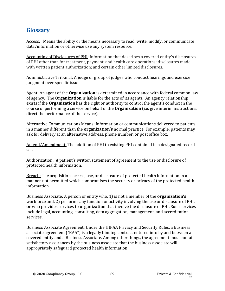# **Glossary**

Access: Means the ability or the means necessary to read, write, modify, or communicate data/information or otherwise use any system resource.

Accounting of Disclosures of PHI: Information that describes a covered entity's disclosures of PHI other than for treatment, payment, and health care operations; disclosures made with written patient authorization; and certain other limited disclosures.

Administrative Tribunal: A judge or group of judges who conduct hearings and exercise judgment over specific issues.

Agent: An agent of the **Organization** is determined in accordance with federal common law of agency. The **Organization** is liable for the acts of its agents. An agency relationship exists if the **Organization** has the right or authority to control the agent's conduct in the course of performing a service on behalf of the **Organization** (i.e. give interim instructions, direct the performance of the service).

Alternative Communications Means: Information or communications delivered to patients in a manner different than the **organization's** normal practice. For example, patients may ask for delivery at an alternative address, phone number, or post office box.

Amend/Amendment: The addition of PHI to existing PHI contained in a designated record set.

Authorization: A patient's written statement of agreement to the use or disclosure of protected health information.

Breach: The acquisition, access, use, or disclosure of protected health information in a manner not permitted which compromises the security or privacy of the protected health information.

Business Associate: A person or entity who, 1) is not a member of the **organization's** workforce and, 2) performs any function or activity involving the use or disclosure of PHI, **or** who provides services to **organization** that involve the disclosure of PHI. Such services include legal, accounting, consulting, data aggregation, management, and accreditation services.

Business Associate Agreement: Under the HIPAA Privacy and Security Rules, a business associate agreement ("BAA") is a legally binding contract entered into by and between a covered entity and a Business Associate. Among other things, the agreement must contain satisfactory assurances by the business associate that the business associate will appropriately safeguard protected health information.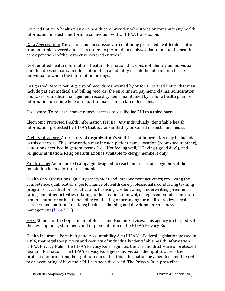Covered Entity: A health plan or a health care provider who stores or transmits any health information in electronic form in connection with a HIPAA transaction.

Data Aggregation: The act of a business associate combining protected health information from multiple covered entities in order "to permit data analyses that relate to the health care operations of the respective covered entities."

De-Identified health information: Health information that does not identify an individual, and that does not contain information that can identify or link the information to the individual to whom the information belongs.

Designated Record Set: A group of records maintained by or for a Covered Entity that may include patient medical and billing records; the enrollment, payment, claims, adjudication, and cases or medical management record systems maintained by or for a health plan; or information used in whole or in part to make care-related decisions.

Disclosure: To release, transfer, prove access to, or divulge PHI to a third party.

Electronic Protected Health Information (ePHI): Any individually identifiable health information protected by HIPAA that is transmitted by or stored in electronic media.

Facility Directory: A directory of **organization's** staff. Patient information may be included in this directory. This information may include patient name, location (room/bed number), condition described in general terms (i.e., "Not feeling well," "Having a good day"), and religious affiliation. Religious affiliation is available to clergy members only.

Fundraising: An organized campaign designed to reach out to certain segments of the population in an effort to raise monies.

Health Care Operations. Quality assessment and improvement activities; reviewing the competence, qualifications, performance of health care professionals, conducting training programs, accreditation, certification, licensing, credentialing, underwriting, premium rating, and other activities relating to the creation, renewal, or replacement of a contract of health insurance or health benefits; conducting or arranging for medical review, legal services, and audition functions; business planning and development; business management [\(§164.501\)](https://gov.ecfr.io/cgi-bin/text-idx?SID=a7c7a7ed6ddfb49f7200a9d84a925136&mc=true&node=se45.2.164_1501&rgn=div8).

HHS: Stands for the Department of Health and Human Services. This agency is charged with the development, statement, and implementation of the HIPAA Privacy Rule.

Health Insurance Portability and Accountability Act (HIPAA): Federal legislation passed in 1996, that regulates privacy and security of individually identifiable health information. HIPAA Privacy Rule: The HIPAA Privacy Rule regulates the use and disclosure of protected health information. The HIPAA Privacy Rule gives individuals the right to access their protected information; the right to request that this information be amended; and the right to an accounting of how their PHI has been disclosed. The Privacy Rule prescribes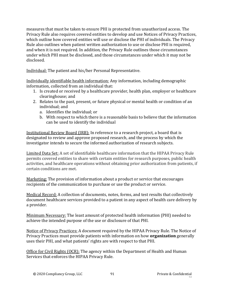measures that must be taken to ensure PHI is protected from unauthorized access. The Privacy Rule also requires covered entities to develop and use Notices of Privacy Practices, which outline how covered entities will use or disclose the PHI of individuals. The Privacy Rule also outlines when patient written authorization to use or disclose PHI is required, and when it is not required. In addition, the Privacy Rule outlines those circumstances under which PHI must be disclosed, and those circumstances under which it may not be disclosed.

Individual: The patient and his/her Personal Representative.

Individually identifiable health information: Any information, including demographic information, collected from an individual that:

- 1. Is created or received by a healthcare provider, health plan, employer or healthcare clearinghouse; and
- 2. Relates to the past, present, or future physical or mental health or condition of an individual; and
	- a. Identifies the individual; or
	- b. With respect to which there is a reasonable basis to believe that the information can be used to identify the individual

Institutional Review Board (IRB): In reference to a research project, a board that is designated to review and approve proposed research, and the process by which the investigator intends to secure the informed authorization of research subjects.

Limited Data Set: A set of identifiable healthcare information that the HIPAA Privacy Rule permits covered entities to share with certain entities for research purposes, public health activities, and healthcare operations without obtaining prior authorization from patients, if certain conditions are met.

Marketing: The provision of information about a product or service that encourages recipients of the communication to purchase or use the product or service.

Medical Record: A collection of documents, notes, forms, and test results that collectively document healthcare services provided to a patient in any aspect of health care delivery by a provider.

Minimum Necessary: The least amount of protected health information (PHI) needed to achieve the intended purpose of the use or disclosure of that PHI.

Notice of Privacy Practices: A document required by the HIPAA Privacy Rule. The Notice of Privacy Practices must provide patients with information on how **organization** generally uses their PHI, and what patients' rights are with respect to that PHI.

Office for Civil Rights (OCR): The agency within the Department of Health and Human Services that enforces the HIPAA Privacy Rule.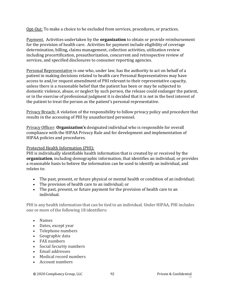Opt-Out: To make a choice to be excluded from services, procedures, or practices.

Payment. Activities undertaken by the **organization** to obtain or provide reimbursement for the provision of health care. Activities for payment include eligibility of coverage determination, billing, claims management, collection activities, utilization review including precertification, preauthorization, concurrent and retrospective review of services, and specified disclosures to consumer reporting agencies.

Personal Representative is one who, under law, has the authority to act on behalf of a patient in making decisions related to health care Personal Representatives may have access to and/or request amendment of PHI relevant to their representative capacity, unless there is a reasonable belief that the patient has been or may be subjected to domestic violence, abuse, or neglect by such person, the release could endanger the patient, or in the exercise of professional judgment it is decided that it is not in the best interest of the patient to treat the person as the patient's personal representative.

Privacy Breach: A violation of the responsibility to follow privacy policy and procedure that results in the accessing of PHI by unauthorized personnel.

Privacy Officer: **Organization's** designated individual who is responsible for overall compliance with the HIPAA Privacy Rule and for development and implementation of HIPAA policies and procedures.

#### Protected Health Information (PHI):

PHI is individually identifiable health information that is created by or received by the **organization**, including demographic information, that identifies an individual, or provides a reasonable basis to believe the information can be used to identify an individual, and relates to:

- The past, present, or future physical or mental health or condition of an individual;
- The provision of health care to an individual; or
- The past, present, or future payment for the provision of health care to an individual.

PHI is any health information that can be tied to an individual. Under HIPAA, PHI includes one or more of the following 18 identifiers:

- Names
- Dates, except year
- Telephone numbers
- Geographic data
- FAX numbers
- Social Security numbers
- Email addresses
- Medical record numbers
- Account numbers